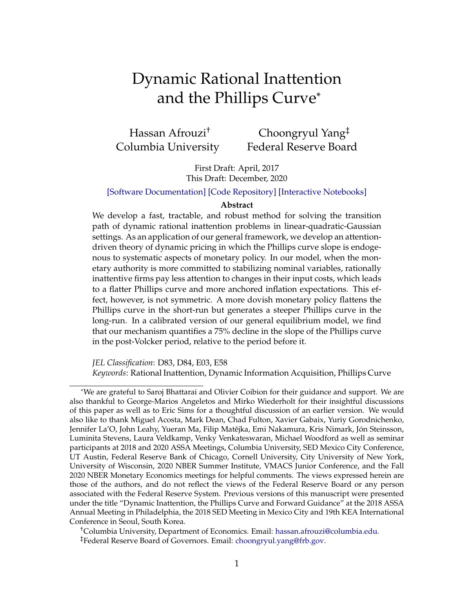# <span id="page-0-0"></span>Dynamic Rational Inattention and the Phillips Curve\*

Hassan Afrouzi† Columbia University

Choongryul Yang‡ Federal Reserve Board

First Draft: April, 2017 This Draft: December, 2020

[\[Software Documentation\]](https://afrouzi.com/DRIPs.jl/dev/) [\[Code Repository\]](https://www.github.com/afrouzi/DRIPs.jl) [\[Interactive Notebooks\]](https://mybinder.org/v2/gh/afrouzi/DRIPs.jl/binder?filepath=examples)

#### **Abstract**

We develop a fast, tractable, and robust method for solving the transition path of dynamic rational inattention problems in linear-quadratic-Gaussian settings. As an application of our general framework, we develop an attentiondriven theory of dynamic pricing in which the Phillips curve slope is endogenous to systematic aspects of monetary policy. In our model, when the monetary authority is more committed to stabilizing nominal variables, rationally inattentive firms pay less attention to changes in their input costs, which leads to a flatter Phillips curve and more anchored inflation expectations. This effect, however, is not symmetric. A more dovish monetary policy flattens the Phillips curve in the short-run but generates a steeper Phillips curve in the long-run. In a calibrated version of our general equilibrium model, we find that our mechanism quantifies a 75% decline in the slope of the Phillips curve in the post-Volcker period, relative to the period before it.

*JEL Classification*: D83, D84, E03, E58 *Keywords*: Rational Inattention, Dynamic Information Acquisition, Phillips Curve

†Columbia University, Department of Economics. Email: [hassan.afrouzi@columbia.edu.](mailto:hassan.afrouzi@columbia.edu)

‡Federal Reserve Board of Governors. Email: [choongryul.yang@frb.gov.](mailto:choongryul.yang@frb.gov)

<sup>\*</sup>We are grateful to Saroj Bhattarai and Olivier Coibion for their guidance and support. We are also thankful to George-Marios Angeletos and Mirko Wiederholt for their insightful discussions of this paper as well as to Eric Sims for a thoughtful discussion of an earlier version. We would also like to thank Miguel Acosta, Mark Dean, Chad Fulton, Xavier Gabaix, Yuriy Gorodnichenko, Jennifer La'O, John Leahy, Yueran Ma, Filip Matějka, Emi Nakamura, Kris Nimark, Jón Steinsson, Luminita Stevens, Laura Veldkamp, Venky Venkateswaran, Michael Woodford as well as seminar participants at 2018 and 2020 ASSA Meetings, Columbia University, SED Mexico City Conference, UT Austin, Federal Reserve Bank of Chicago, Cornell University, City University of New York, University of Wisconsin, 2020 NBER Summer Institute, VMACS Junior Conference, and the Fall 2020 NBER Monetary Economics meetings for helpful comments. The views expressed herein are those of the authors, and do not reflect the views of the Federal Reserve Board or any person associated with the Federal Reserve System. Previous versions of this manuscript were presented under the title "Dynamic Inattention, the Phillips Curve and Forward Guidance" at the 2018 ASSA Annual Meeting in Philadelphia, the 2018 SED Meeting in Mexico City and 19th KEA International Conference in Seoul, South Korea.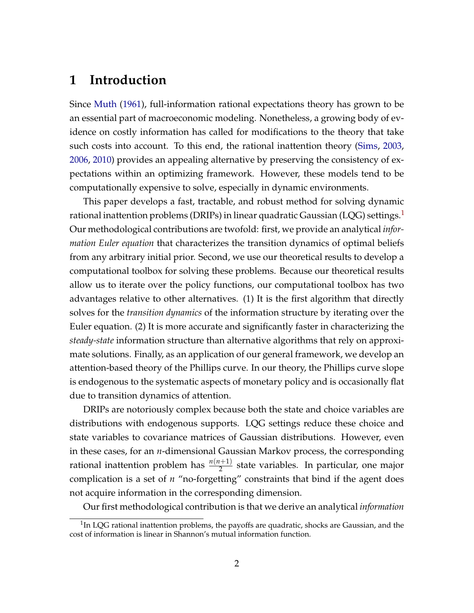## **1 Introduction**

Since [Muth](#page-44-0) [\(1961\)](#page-44-0), full-information rational expectations theory has grown to be an essential part of macroeconomic modeling. Nonetheless, a growing body of evidence on costly information has called for modifications to the theory that take such costs into account. To this end, the rational inattention theory [\(Sims,](#page-44-1) [2003,](#page-44-1) [2006,](#page-44-2) [2010\)](#page-44-3) provides an appealing alternative by preserving the consistency of expectations within an optimizing framework. However, these models tend to be computationally expensive to solve, especially in dynamic environments.

This paper develops a fast, tractable, and robust method for solving dynamic rational inattention problems (DRIPs) in linear quadratic Gaussian (LQG) settings.<sup>[1](#page-0-0)</sup> Our methodological contributions are twofold: first, we provide an analytical *information Euler equation* that characterizes the transition dynamics of optimal beliefs from any arbitrary initial prior. Second, we use our theoretical results to develop a computational toolbox for solving these problems. Because our theoretical results allow us to iterate over the policy functions, our computational toolbox has two advantages relative to other alternatives. (1) It is the first algorithm that directly solves for the *transition dynamics* of the information structure by iterating over the Euler equation. (2) It is more accurate and significantly faster in characterizing the *steady-state* information structure than alternative algorithms that rely on approximate solutions. Finally, as an application of our general framework, we develop an attention-based theory of the Phillips curve. In our theory, the Phillips curve slope is endogenous to the systematic aspects of monetary policy and is occasionally flat due to transition dynamics of attention.

DRIPs are notoriously complex because both the state and choice variables are distributions with endogenous supports. LQG settings reduce these choice and state variables to covariance matrices of Gaussian distributions. However, even in these cases, for an *n*-dimensional Gaussian Markov process, the corresponding rational inattention problem has  $\frac{n(n+1)}{2}$  state variables. In particular, one major complication is a set of *n* "no-forgetting" constraints that bind if the agent does not acquire information in the corresponding dimension.

Our first methodological contribution is that we derive an analytical *information*

 $1$ In LQG rational inattention problems, the payoffs are quadratic, shocks are Gaussian, and the cost of information is linear in Shannon's mutual information function.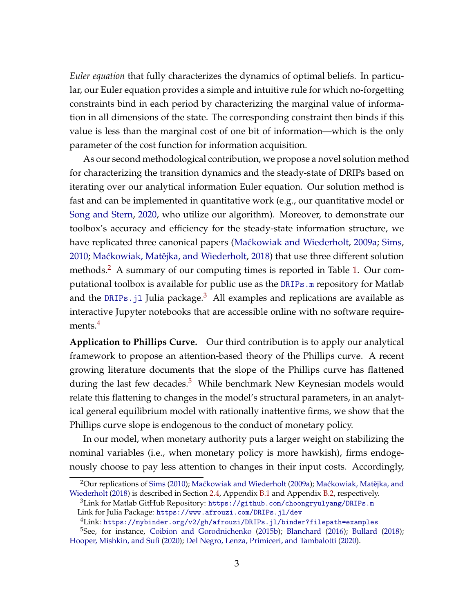*Euler equation* that fully characterizes the dynamics of optimal beliefs. In particular, our Euler equation provides a simple and intuitive rule for which no-forgetting constraints bind in each period by characterizing the marginal value of information in all dimensions of the state. The corresponding constraint then binds if this value is less than the marginal cost of one bit of information—which is the only parameter of the cost function for information acquisition.

As our second methodological contribution, we propose a novel solution method for characterizing the transition dynamics and the steady-state of DRIPs based on iterating over our analytical information Euler equation. Our solution method is fast and can be implemented in quantitative work (e.g., our quantitative model or [Song and Stern,](#page-44-4) [2020,](#page-44-4) who utilize our algorithm). Moreover, to demonstrate our toolbox's accuracy and efficiency for the steady-state information structure, we have replicated three canonical papers (Maćkowiak and Wiederholt, [2009a;](#page-43-0) [Sims,](#page-44-3) [2010;](#page-44-3) Maćkowiak, Matějka, and Wiederholt, [2018\)](#page-43-1) that use three different solution methods.<sup>[2](#page-0-0)</sup> A summary of our computing times is reported in Table [1.](#page-15-0) Our computational toolbox is available for public use as the [DRIPs.m](https://github.com/choongryulyang/DRIPs.m) repository for Matlab and the DRIPs. j1 Julia package.<sup>[3](#page-0-0)</sup> All examples and replications are available as interactive Jupyter notebooks that are accessible online with no software require-ments.<sup>[4](#page-0-0)</sup>

**Application to Phillips Curve.** Our third contribution is to apply our analytical framework to propose an attention-based theory of the Phillips curve. A recent growing literature documents that the slope of the Phillips curve has flattened during the last few decades. $5$  While benchmark New Keynesian models would relate this flattening to changes in the model's structural parameters, in an analytical general equilibrium model with rationally inattentive firms, we show that the Phillips curve slope is endogenous to the conduct of monetary policy.

In our model, when monetary authority puts a larger weight on stabilizing the nominal variables (i.e., when monetary policy is more hawkish), firms endogenously choose to pay less attention to changes in their input costs. Accordingly,

 $2$ Our replications of [Sims](#page-44-3) [\(2010\)](#page-44-3); Maćkowiak and Wiederholt [\(2009a\)](#page-43-0); Maćkowiak, Matějka, and [Wiederholt](#page-43-1) [\(2018\)](#page-43-1) is described in Section [2.4,](#page-17-0) Appendix [B.1](#page-56-0) and Appendix [B.2,](#page-56-1) respectively.

<sup>3</sup>Link for Matlab GitHub Repository: <https://github.com/choongryulyang/DRIPs.m> Link for Julia Package: <https://www.afrouzi.com/DRIPs.jl/dev>

<sup>4</sup>Link: <https://mybinder.org/v2/gh/afrouzi/DRIPs.jl/binder?filepath=examples>

<sup>5</sup>See, for instance, [Coibion and Gorodnichenko](#page-41-0) [\(2015b\)](#page-41-0); [Blanchard](#page-41-1) [\(2016\)](#page-41-1); [Bullard](#page-41-2) [\(2018\)](#page-41-2); [Hooper, Mishkin, and Sufi](#page-42-0) [\(2020\)](#page-42-0); [Del Negro, Lenza, Primiceri, and Tambalotti](#page-42-1) [\(2020\)](#page-42-1).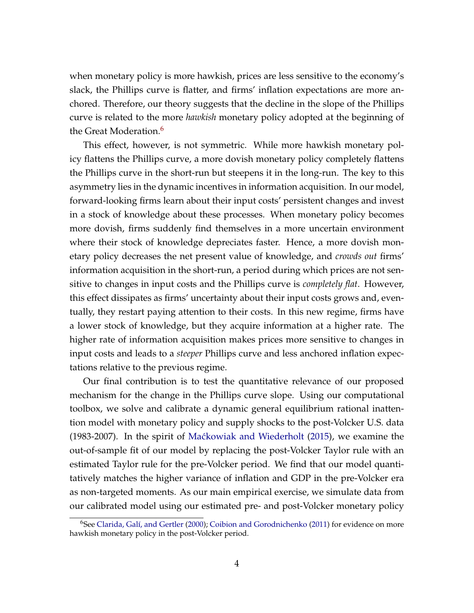when monetary policy is more hawkish, prices are less sensitive to the economy's slack, the Phillips curve is flatter, and firms' inflation expectations are more anchored. Therefore, our theory suggests that the decline in the slope of the Phillips curve is related to the more *hawkish* monetary policy adopted at the beginning of the Great Moderation.<sup>[6](#page-0-0)</sup>

This effect, however, is not symmetric. While more hawkish monetary policy flattens the Phillips curve, a more dovish monetary policy completely flattens the Phillips curve in the short-run but steepens it in the long-run. The key to this asymmetry lies in the dynamic incentives in information acquisition. In our model, forward-looking firms learn about their input costs' persistent changes and invest in a stock of knowledge about these processes. When monetary policy becomes more dovish, firms suddenly find themselves in a more uncertain environment where their stock of knowledge depreciates faster. Hence, a more dovish monetary policy decreases the net present value of knowledge, and *crowds out* firms' information acquisition in the short-run, a period during which prices are not sensitive to changes in input costs and the Phillips curve is *completely flat*. However, this effect dissipates as firms' uncertainty about their input costs grows and, eventually, they restart paying attention to their costs. In this new regime, firms have a lower stock of knowledge, but they acquire information at a higher rate. The higher rate of information acquisition makes prices more sensitive to changes in input costs and leads to a *steeper* Phillips curve and less anchored inflation expectations relative to the previous regime.

Our final contribution is to test the quantitative relevance of our proposed mechanism for the change in the Phillips curve slope. Using our computational toolbox, we solve and calibrate a dynamic general equilibrium rational inattention model with monetary policy and supply shocks to the post-Volcker U.S. data (1983-2007). In the spirit of [Ma´ckowiak and Wiederholt](#page-43-2) [\(2015\)](#page-43-2), we examine the out-of-sample fit of our model by replacing the post-Volcker Taylor rule with an estimated Taylor rule for the pre-Volcker period. We find that our model quantitatively matches the higher variance of inflation and GDP in the pre-Volcker era as non-targeted moments. As our main empirical exercise, we simulate data from our calibrated model using our estimated pre- and post-Volcker monetary policy

 $6$ See [Clarida, Galí, and Gertler](#page-41-3) [\(2000\)](#page-41-3); [Coibion and Gorodnichenko](#page-41-4) [\(2011\)](#page-41-4) for evidence on more hawkish monetary policy in the post-Volcker period.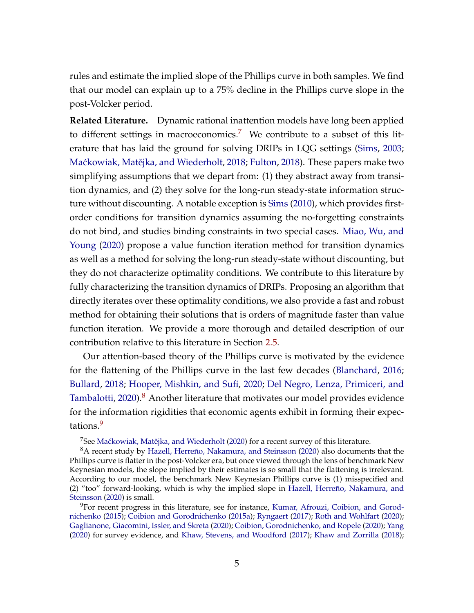rules and estimate the implied slope of the Phillips curve in both samples. We find that our model can explain up to a 75% decline in the Phillips curve slope in the post-Volcker period.

**Related Literature.** Dynamic rational inattention models have long been applied to different settings in macroeconomics.<sup>[7](#page-0-0)</sup> We contribute to a subset of this literature that has laid the ground for solving DRIPs in LQG settings [\(Sims,](#page-44-1) [2003;](#page-44-1) Maćkowiak, Matějka, and Wiederholt, [2018;](#page-43-1) [Fulton,](#page-42-2) [2018\)](#page-42-2). These papers make two simplifying assumptions that we depart from: (1) they abstract away from transition dynamics, and (2) they solve for the long-run steady-state information structure without discounting. A notable exception is [Sims](#page-44-3) [\(2010\)](#page-44-3), which provides firstorder conditions for transition dynamics assuming the no-forgetting constraints do not bind, and studies binding constraints in two special cases. [Miao, Wu, and](#page-43-3) [Young](#page-43-3) [\(2020\)](#page-43-3) propose a value function iteration method for transition dynamics as well as a method for solving the long-run steady-state without discounting, but they do not characterize optimality conditions. We contribute to this literature by fully characterizing the transition dynamics of DRIPs. Proposing an algorithm that directly iterates over these optimality conditions, we also provide a fast and robust method for obtaining their solutions that is orders of magnitude faster than value function iteration. We provide a more thorough and detailed description of our contribution relative to this literature in Section [2.5.](#page-21-0)

Our attention-based theory of the Phillips curve is motivated by the evidence for the flattening of the Phillips curve in the last few decades [\(Blanchard,](#page-41-1) [2016;](#page-41-1) [Bullard,](#page-41-2) [2018;](#page-41-2) [Hooper, Mishkin, and Sufi,](#page-42-0) [2020;](#page-42-0) [Del Negro, Lenza, Primiceri, and](#page-42-1) [Tambalotti,](#page-42-1) [2020\)](#page-42-1).<sup>[8](#page-0-0)</sup> Another literature that motivates our model provides evidence for the information rigidities that economic agents exhibit in forming their expec-tations.<sup>[9](#page-0-0)</sup>

 $7$ See Maćkowiak, Matějka, and Wiederholt [\(2020\)](#page-43-4) for a recent survey of this literature.

<sup>8</sup>A recent study by [Hazell, Herreño, Nakamura, and Steinsson](#page-42-3) [\(2020\)](#page-42-3) also documents that the Phillips curve is flatter in the post-Volcker era, but once viewed through the lens of benchmark New Keynesian models, the slope implied by their estimates is so small that the flattening is irrelevant. According to our model, the benchmark New Keynesian Phillips curve is (1) misspecified and (2) "too" forward-looking, which is why the implied slope in [Hazell, Herreño, Nakamura, and](#page-42-3) [Steinsson](#page-42-3) [\(2020\)](#page-42-3) is small.

 $9$ For recent progress in this literature, see for instance, [Kumar, Afrouzi, Coibion, and Gorod](#page-43-5)[nichenko](#page-43-5) [\(2015\)](#page-43-5); [Coibion and Gorodnichenko](#page-41-5) [\(2015a\)](#page-41-5); [Ryngaert](#page-44-5) [\(2017\)](#page-44-5); [Roth and Wohlfart](#page-44-6) [\(2020\)](#page-44-6); [Gaglianone, Giacomini, Issler, and Skreta](#page-42-4) [\(2020\)](#page-42-4); [Coibion, Gorodnichenko, and Ropele](#page-42-5) [\(2020\)](#page-42-5); [Yang](#page-44-7) [\(2020\)](#page-44-7) for survey evidence, and [Khaw, Stevens, and Woodford](#page-42-6) [\(2017\)](#page-42-6); [Khaw and Zorrilla](#page-43-6) [\(2018\)](#page-43-6);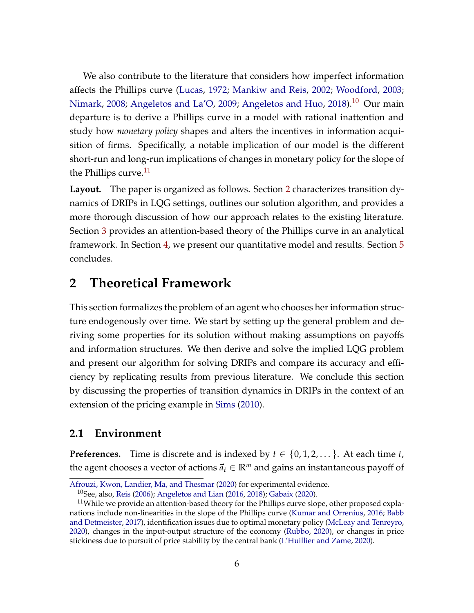We also contribute to the literature that considers how imperfect information affects the Phillips curve [\(Lucas,](#page-43-7) [1972;](#page-43-7) [Mankiw and Reis,](#page-43-8) [2002;](#page-43-8) [Woodford,](#page-44-8) [2003;](#page-44-8) [Nimark,](#page-44-9) [2008;](#page-44-9) [Angeletos and La'O,](#page-41-6) [2009;](#page-41-6) [Angeletos and Huo,](#page-40-0) [2018\)](#page-40-0).<sup>[10](#page-0-0)</sup> Our main departure is to derive a Phillips curve in a model with rational inattention and study how *monetary policy* shapes and alters the incentives in information acquisition of firms. Specifically, a notable implication of our model is the different short-run and long-run implications of changes in monetary policy for the slope of the Phillips curve. $^{11}$  $^{11}$  $^{11}$ 

**Layout.** The paper is organized as follows. Section [2](#page-5-0) characterizes transition dynamics of DRIPs in LQG settings, outlines our solution algorithm, and provides a more thorough discussion of how our approach relates to the existing literature. Section [3](#page-22-0) provides an attention-based theory of the Phillips curve in an analytical framework. In Section [4,](#page-32-0) we present our quantitative model and results. Section [5](#page-40-1) concludes.

### <span id="page-5-0"></span>**2 Theoretical Framework**

This section formalizes the problem of an agent who chooses her information structure endogenously over time. We start by setting up the general problem and deriving some properties for its solution without making assumptions on payoffs and information structures. We then derive and solve the implied LQG problem and present our algorithm for solving DRIPs and compare its accuracy and efficiency by replicating results from previous literature. We conclude this section by discussing the properties of transition dynamics in DRIPs in the context of an extension of the pricing example in [Sims](#page-44-3) [\(2010\)](#page-44-3).

#### <span id="page-5-1"></span>**2.1 Environment**

**Preferences.** Time is discrete and is indexed by  $t \in \{0, 1, 2, \dots\}$ . At each time  $t$ , the agent chooses a vector of actions  $\vec{a}_t \in \mathbb{R}^m$  and gains an instantaneous payoff of

[Afrouzi, Kwon, Landier, Ma, and Thesmar](#page-40-2) [\(2020\)](#page-40-2) for experimental evidence.

<sup>&</sup>lt;sup>10</sup>See, also, [Reis](#page-44-10) [\(2006\)](#page-44-10); [Angeletos and Lian](#page-41-7) [\(2016,](#page-41-7) [2018\)](#page-41-8); [Gabaix](#page-42-7) [\(2020\)](#page-42-7).

<sup>&</sup>lt;sup>11</sup>While we provide an attention-based theory for the Phillips curve slope, other proposed explanations include non-linearities in the slope of the Phillips curve [\(Kumar and Orrenius,](#page-43-9) [2016;](#page-43-9) [Babb](#page-41-9) [and Detmeister,](#page-41-9) [2017\)](#page-41-9), identification issues due to optimal monetary policy [\(McLeay and Tenreyro,](#page-43-10) [2020\)](#page-43-10), changes in the input-output structure of the economy [\(Rubbo,](#page-44-11) [2020\)](#page-44-11), or changes in price stickiness due to pursuit of price stability by the central bank [\(L'Huillier and Zame,](#page-43-11) [2020\)](#page-43-11).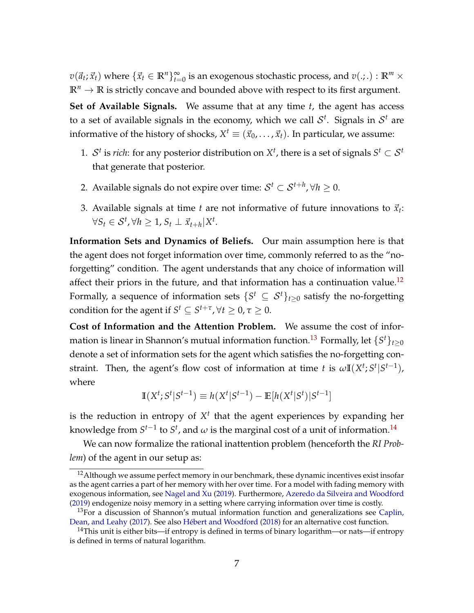$v(\vec{a}_t; \vec{x}_t)$  where  $\{\vec{x}_t \in \mathbb{R}^n\}_{t=0}^\infty$  is an exogenous stochastic process, and  $v(.;.) : \mathbb{R}^m \times$  $\mathbb{R}^n \to \mathbb{R}$  is strictly concave and bounded above with respect to its first argument.

**Set of Available Signals.** We assume that at any time *t*, the agent has access to a set of available signals in the economy, which we call  $\mathcal{S}^t$ . Signals in  $\mathcal{S}^t$  are informative of the history of shocks,  $X^t \equiv (\vec{x}_0, \ldots, \vec{x}_t).$  In particular, we assume:

- 1.  $S<sup>t</sup>$  is *rich*: for any posterior distribution on  $X<sup>t</sup>$ , there is a set of signals  $S<sup>t</sup> \subset S<sup>t</sup>$ that generate that posterior.
- 2. Available signals do not expire over time:  $\mathcal{S}^t \subset \mathcal{S}^{t+h}$ ,  $\forall h \geq 0$ .
- 3. Available signals at time  $t$  are not informative of future innovations to  $\vec{x}_t$ :  $\forall S_t \in \mathcal{S}^t, \forall h \geq 1, S_t \perp \vec{x}_{t+h} | X^t.$

**Information Sets and Dynamics of Beliefs.** Our main assumption here is that the agent does not forget information over time, commonly referred to as the "noforgetting" condition. The agent understands that any choice of information will affect their priors in the future, and that information has a continuation value.<sup>[12](#page-0-0)</sup> Formally, a sequence of information sets  $\{S^t \subseteq \mathcal{S}^t\}_{t \geq 0}$  satisfy the no-forgetting condition for the agent if  $S^t \subseteq S^{t+\tau}$ ,  $\forall t \geq 0$ ,  $\tau \geq 0$ .

**Cost of Information and the Attention Problem.** We assume the cost of information is linear in Shannon's mutual information function. $^{13}$  $^{13}$  $^{13}$  Formally, let  $\{S^t\}_{t\geq 0}$ denote a set of information sets for the agent which satisfies the no-forgetting constraint. Then, the agent's flow cost of information at time *t* is  $\omega \mathbb{I}(X^t; S^t | S^{t-1})$ , where

$$
\mathbb{I}(X^t; S^t | S^{t-1}) \equiv h(X^t | S^{t-1}) - \mathbb{E}[h(X^t | S^t) | S^{t-1}]
$$

is the reduction in entropy of  $X<sup>t</sup>$  that the agent experiences by expanding her knowledge from  $S^{t-1}$  to  $S^t$ , and  $\omega$  is the marginal cost of a unit of information.<sup>[14](#page-0-0)</sup>

We can now formalize the rational inattention problem (henceforth the *RI Problem*) of the agent in our setup as:

 $12$ Although we assume perfect memory in our benchmark, these dynamic incentives exist insofar as the agent carries a part of her memory with her over time. For a model with fading memory with exogenous information, see [Nagel and Xu](#page-44-12) [\(2019\)](#page-44-12). Furthermore, [Azeredo da Silveira and Woodford](#page-41-10) [\(2019\)](#page-41-10) endogenize noisy memory in a setting where carrying information over time is costly.

 $13$  For a discussion of Shannon's mutual information function and generalizations see [Caplin,](#page-41-11) [Dean, and Leahy](#page-41-11) [\(2017\)](#page-41-11). See also [Hébert and Woodford](#page-42-8) [\(2018\)](#page-42-8) for an alternative cost function.

<sup>&</sup>lt;sup>14</sup>This unit is either bits—if entropy is defined in terms of binary logarithm—or nats—if entropy is defined in terms of natural logarithm.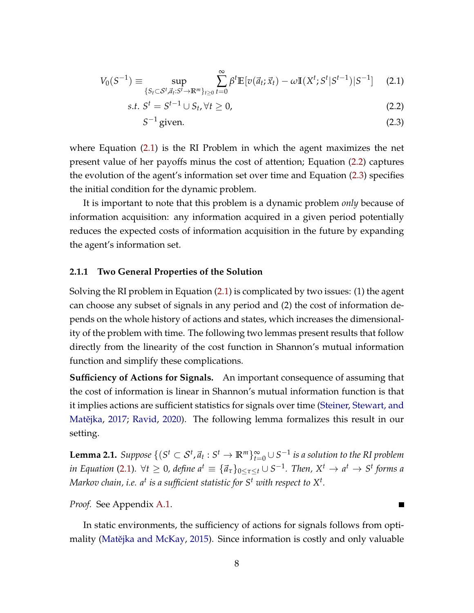$$
V_0(S^{-1}) \equiv \sup_{\{S_t \subset \mathcal{S}^t, \vec{a}_t : S^t \to \mathbb{R}^m\}_{t \ge 0}} \sum_{t=0}^{\infty} \beta^t \mathbb{E} [v(\vec{a}_t; \vec{x}_t) - \omega \mathbb{I}(X^t; S^t | S^{t-1}) | S^{-1}] \tag{2.1}
$$

$$
s.t. St = St-1 \cup St, \forall t \ge 0,
$$
\n
$$
(2.2)
$$

<span id="page-7-2"></span><span id="page-7-1"></span><span id="page-7-0"></span>
$$
S^{-1} \text{ given.} \tag{2.3}
$$

where Equation [\(2.1\)](#page-7-0) is the RI Problem in which the agent maximizes the net present value of her payoffs minus the cost of attention; Equation [\(2.2\)](#page-7-1) captures the evolution of the agent's information set over time and Equation [\(2.3\)](#page-7-2) specifies the initial condition for the dynamic problem.

It is important to note that this problem is a dynamic problem *only* because of information acquisition: any information acquired in a given period potentially reduces the expected costs of information acquisition in the future by expanding the agent's information set.

#### **2.1.1 Two General Properties of the Solution**

Solving the RI problem in Equation [\(2.1\)](#page-7-0) is complicated by two issues: (1) the agent can choose any subset of signals in any period and (2) the cost of information depends on the whole history of actions and states, which increases the dimensionality of the problem with time. The following two lemmas present results that follow directly from the linearity of the cost function in Shannon's mutual information function and simplify these complications.

**Sufficiency of Actions for Signals.** An important consequence of assuming that the cost of information is linear in Shannon's mutual information function is that it implies actions are sufficient statistics for signals over time [\(Steiner, Stewart, and](#page-44-13) Matějka, [2017;](#page-44-13) [Ravid,](#page-44-14) [2020\)](#page-44-14). The following lemma formalizes this result in our setting.

<span id="page-7-3"></span> ${\bf L}$ emma 2.1.  $Suppose\ \{(S^t\subset\mathcal{S}^t,\vec{a}_t:S^t\to\mathbb{R}^m\}_{t=0}^\infty\cup S^{-1}$  is a solution to the RI problem  $i$ *n* Equation [\(2.1\)](#page-7-0).  $\forall t \geq 0$ , define  $a^t \equiv \{\vec{a}_\tau\}_{0 \leq \tau \leq t} \cup S^{-1}$ . Then,  $X^t \to a^t \to S^t$  forms a Markov chain, i.e. a<sup>t</sup> is a sufficient statistic for  $S^t$  with respect to  $X^t$ .

*Proof.* See Appendix [A.1.](#page-45-0)

In static environments, the sufficiency of actions for signals follows from opti-mality (Matějka and McKay, [2015\)](#page-43-12). Since information is costly and only valuable

П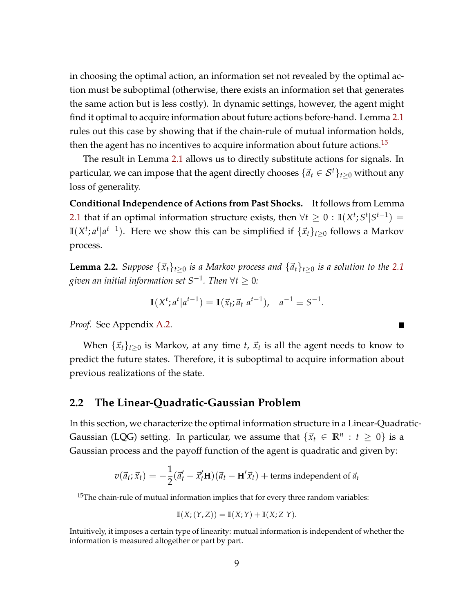in choosing the optimal action, an information set not revealed by the optimal action must be suboptimal (otherwise, there exists an information set that generates the same action but is less costly). In dynamic settings, however, the agent might find it optimal to acquire information about future actions before-hand. Lemma [2.1](#page-7-3) rules out this case by showing that if the chain-rule of mutual information holds, then the agent has no incentives to acquire information about future actions.<sup>[15](#page-0-0)</sup>

The result in Lemma [2.1](#page-7-3) allows us to directly substitute actions for signals. In particular, we can impose that the agent directly chooses  $\{\vec{a}_t \in S^t\}_{t \geq 0}$  without any loss of generality.

**Conditional Independence of Actions from Past Shocks.** It follows from Lemma [2.1](#page-7-3) that if an optimal information structure exists, then  $\forall t \geq 0 : \mathbb{I}(X^t; S^t | S^{t-1}) =$ **I**( $X^t$ ;  $a^t | a^{t-1}$ ). Here we show this can be simplified if  $\{\vec{x}_t\}_{t≥0}$  follows a Markov process.

<span id="page-8-0"></span>**Lemma 2.2.** *Suppose*  $\{\vec{x}_t\}_{t>0}$  *is a Markov process and*  $\{\vec{a}_t\}_{t>0}$  *is a solution to the* [2.1](#page-7-0) *given an initial information set S*−<sup>1</sup> *. Then* ∀*t* ≥ 0*:*

$$
\mathbb{I}(X^t; a^t | a^{t-1}) = \mathbb{I}(\vec{x}_t; \vec{a}_t | a^{t-1}), \quad a^{-1} \equiv S^{-1}.
$$

 $\blacksquare$ 

*Proof.* See Appendix [A.2.](#page-46-0)

When  $\{\vec{x}_t\}_{t\geq0}$  is Markov, at any time *t*,  $\vec{x}_t$  is all the agent needs to know to predict the future states. Therefore, it is suboptimal to acquire information about previous realizations of the state.

#### **2.2 The Linear-Quadratic-Gaussian Problem**

In this section, we characterize the optimal information structure in a Linear-Quadratic-Gaussian (LQG) setting. In particular, we assume that  $\{\vec{x}_t \in \mathbb{R}^n : t \geq 0\}$  is a Gaussian process and the payoff function of the agent is quadratic and given by:

$$
v(\vec{a}_t; \vec{x}_t) = -\frac{1}{2}(\vec{a}'_t - \vec{x}'_t \mathbf{H})(\vec{a}_t - \mathbf{H}'\vec{x}_t) + \text{terms independent of } \vec{a}_t
$$

$$
\mathbb{I}(X; (Y, Z)) = \mathbb{I}(X; Y) + \mathbb{I}(X; Z|Y).
$$

<sup>&</sup>lt;sup>15</sup>The chain-rule of mutual information implies that for every three random variables:

Intuitively, it imposes a certain type of linearity: mutual information is independent of whether the information is measured altogether or part by part.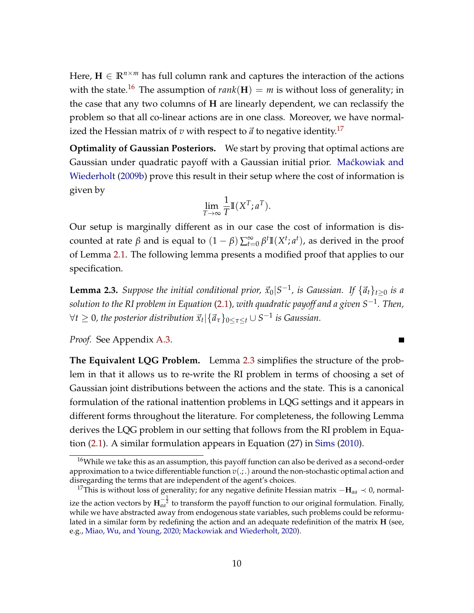Here,  $\mathbf{H} \in \mathbb{R}^{n \times m}$  has full column rank and captures the interaction of the actions with the state.<sup>[16](#page-0-0)</sup> The assumption of  $rank(H) = m$  is without loss of generality; in the case that any two columns of **H** are linearly dependent, we can reclassify the problem so that all co-linear actions are in one class. Moreover, we have normalized the Hessian matrix of  $v$  with respect to  $\vec{a}$  to negative identity.<sup>[17](#page-0-0)</sup>

**Optimality of Gaussian Posteriors.** We start by proving that optimal actions are Gaussian under quadratic payoff with a Gaussian initial prior. Maćkowiak and [Wiederholt](#page-43-13) [\(2009b\)](#page-43-13) prove this result in their setup where the cost of information is given by

$$
\lim_{T \to \infty} \frac{1}{T} \mathbb{I}(X^T; a^T).
$$

Our setup is marginally different as in our case the cost of information is discounted at rate *β* and is equal to  $(1 - β) \sum_{t=0}^{\infty} β^t \mathbb{I}(X^t; a^t)$ , as derived in the proof of Lemma [2.1.](#page-7-3) The following lemma presents a modified proof that applies to our specification.

<span id="page-9-0"></span>**Lemma 2.3.** Suppose the initial conditional prior,  $\vec{x}_0$ |S<sup>-1</sup>, is Gaussian. If  $\{\vec{a}_t\}_{t\geq 0}$  is a *solution to the RI problem in Equation* [\(2.1\)](#page-7-0)*, with quadratic payoff and a given S*−<sup>1</sup> *. Then,*  $\forall t \geq 0$ , the posterior distribution  $\vec{x}_t | \{\vec{a}_\tau\}_{0 \leq \tau \leq t} \cup S^{-1}$  is Gaussian.

 $\blacksquare$ 

*Proof.* See Appendix [A.3.](#page-46-1)

**The Equivalent LQG Problem.** Lemma [2.3](#page-9-0) simplifies the structure of the problem in that it allows us to re-write the RI problem in terms of choosing a set of Gaussian joint distributions between the actions and the state. This is a canonical formulation of the rational inattention problems in LQG settings and it appears in different forms throughout the literature. For completeness, the following Lemma derives the LQG problem in our setting that follows from the RI problem in Equation [\(2.1\)](#page-7-0). A similar formulation appears in Equation (27) in [Sims](#page-44-3) [\(2010\)](#page-44-3).

<sup>&</sup>lt;sup>16</sup>While we take this as an assumption, this payoff function can also be derived as a second-order approximation to a twice differentiable function  $v(.,.)$  around the non-stochastic optimal action and disregarding the terms that are independent of the agent's choices.

<sup>17</sup>This is without loss of generality; for any negative definite Hessian matrix −**H***aa* ≺ 0, normalize the action vectors by  ${\bf H}_{aa}^{-\frac{1}{2}}$  to transform the payoff function to our original formulation. Finally, while we have abstracted away from endogenous state variables, such problems could be reformulated in a similar form by redefining the action and an adequate redefinition of the matrix **H** (see, e.g., [Miao, Wu, and Young,](#page-43-3) [2020;](#page-43-3) [Mackowiak and Wiederholt,](#page-43-14) [2020\)](#page-43-14).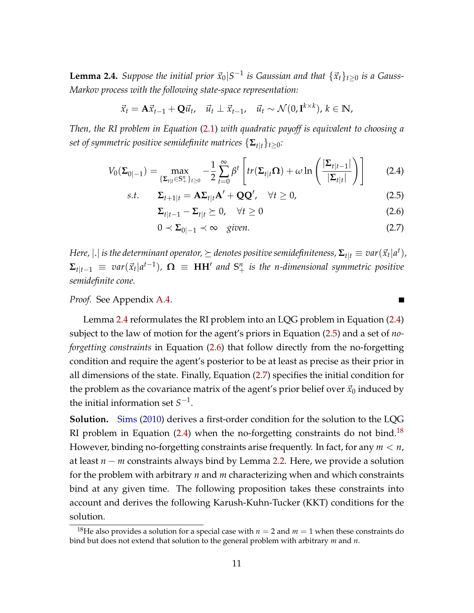<span id="page-10-0"></span> $\bf{Lemma 2.4.}$  *Suppose the initial prior*  $\vec{x}_0|S^{-1}$  *is Gaussian and that*  $\{\vec{x}_t\}_{t\geq 0}$  *is a Gauss*-*Markov process with the following state-space representation:*

$$
\vec{x}_t = \mathbf{A}\vec{x}_{t-1} + \mathbf{Q}\vec{u}_t, \quad \vec{u}_t \perp \vec{x}_{t-1}, \quad \vec{u}_t \sim \mathcal{N}(0, \mathbf{I}^{k \times k}), k \in \mathbb{N},
$$

*Then, the RI problem in Equation* [\(2.1\)](#page-7-0) *with quadratic payoff is equivalent to choosing a set of symmetric positive semidefinite matrices*  $\{\mathbf{\Sigma}_{t|t}\}_{t\geq0}$ *:* 

$$
V_0(\Sigma_{0|-1}) = \max_{\{\Sigma_{t|t}\in\mathbb{S}_+^n\}_{t\geq 0}} -\frac{1}{2}\sum_{t=0}^\infty \beta^t \left[tr(\Sigma_{t|t}\Omega) + \omega \ln\left(\frac{|\Sigma_{t|t-1}|}{|\Sigma_{t|t}|}\right)\right]
$$
(2.4)

$$
s.t. \qquad \Sigma_{t+1|t} = A\Sigma_{t|t}A' + QQ', \quad \forall t \ge 0,
$$
\n
$$
(2.5)
$$

$$
\Sigma_{t|t-1} - \Sigma_{t|t} \succeq 0, \quad \forall t \ge 0 \tag{2.6}
$$

$$
0 \prec \Sigma_{0|-1} \prec \infty \quad given. \tag{2.7}
$$

 $H$ ere,  $|.|$  is the determinant operator,  $\succeq$  denotes positive semidefiniteness,  $\mathbf{\Sigma}_{t|t}\equiv var(\vec{x}_t|a^t)$ ,  $\Sigma_{t|t-1}$   $\equiv$   $var(\vec{x}_t|a^{t-1})$ ,  $\mathbf{\Omega}$   $\equiv$   $\mathbf{HH}'$  and  $\mathbf{S}^n_+$  is the n-dimensional symmetric positive *semidefinite cone.*

*Proof.* See Appendix [A.4.](#page-47-0)

Lemma [2.4](#page-10-0) reformulates the RI problem into an LQG problem in Equation [\(2.4\)](#page-10-1) subject to the law of motion for the agent's priors in Equation [\(2.5\)](#page-10-2) and a set of *noforgetting constraints* in Equation [\(2.6\)](#page-10-3) that follow directly from the no-forgetting condition and require the agent's posterior to be at least as precise as their prior in all dimensions of the state. Finally, Equation [\(2.7\)](#page-10-4) specifies the initial condition for the problem as the covariance matrix of the agent's prior belief over  $\vec{x}_0$  induced by the initial information set  $S^{-1}$ .

**Solution.** [Sims](#page-44-3) [\(2010\)](#page-44-3) derives a first-order condition for the solution to the LQG RI problem in Equation  $(2.4)$  when the no-forgetting constraints do not bind.<sup>[18](#page-0-0)</sup> However, binding no-forgetting constraints arise frequently. In fact, for any *m* < *n*, at least *n* − *m* constraints always bind by Lemma [2.2.](#page-8-0) Here, we provide a solution for the problem with arbitrary *n* and *m* characterizing when and which constraints bind at any given time. The following proposition takes these constraints into account and derives the following Karush-Kuhn-Tucker (KKT) conditions for the solution.

<span id="page-10-4"></span><span id="page-10-3"></span><span id="page-10-2"></span><span id="page-10-1"></span> $\blacksquare$ 

<sup>&</sup>lt;sup>18</sup>He also provides a solution for a special case with  $n = 2$  and  $m = 1$  when these constraints do bind but does not extend that solution to the general problem with arbitrary *m* and *n*.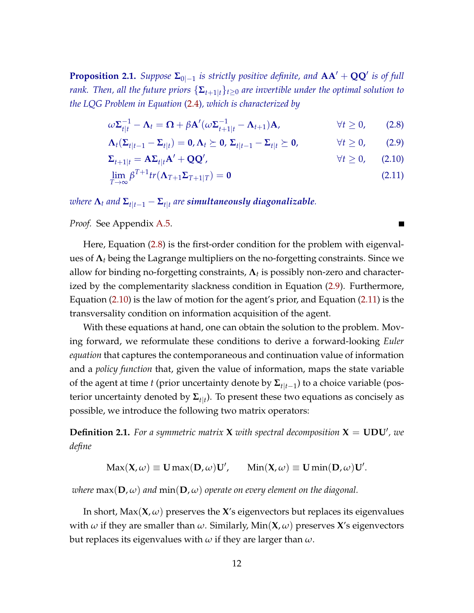<span id="page-11-4"></span>**Proposition 2.1.** *Suppose*  $\Sigma_{0|-1}$  *is strictly positive definite, and*  $AA' + QQ'$  *is of full rank. Then, all the future priors*  $\{\Sigma_{t+1|t}\}_{t\geq0}$  *are invertible under the optimal solution to the LQG Problem in Equation* [\(2.4\)](#page-10-1)*, which is characterized by*

$$
\omega \Sigma_{t|t}^{-1} - \Lambda_t = \Omega + \beta \mathbf{A}'(\omega \Sigma_{t+1|t}^{-1} - \Lambda_{t+1}) \mathbf{A}, \qquad \forall t \ge 0, \qquad (2.8)
$$

$$
\Lambda_t(\Sigma_{t|t-1}-\Sigma_{t|t})=0,\Lambda_t\succeq 0,\,\Sigma_{t|t-1}-\Sigma_{t|t}\succeq 0,\qquad\forall t\geq 0,\qquad(2.9)
$$

$$
\Sigma_{t+1|t} = A\Sigma_{t|t}A' + QQ', \qquad \forall t \ge 0, \qquad (2.10)
$$

$$
\lim_{T \to \infty} \beta^{T+1} tr(\mathbf{\Lambda}_{T+1} \Sigma_{T+1|T}) = \mathbf{0}
$$
\n(2.11)

 $\bm{x}$  *where*  $\bm{\Lambda}_t$  *and*  $\bm{\Sigma}_{t|t-1} - \bm{\Sigma}_{t|t}$  are simultaneously diagonalizable.

*Proof.* See Appendix [A.5.](#page-48-0)

Here, Equation [\(2.8\)](#page-11-0) is the first-order condition for the problem with eigenvalues of **Λ***<sup>t</sup>* being the Lagrange multipliers on the no-forgetting constraints. Since we allow for binding no-forgetting constraints, **Λ***<sup>t</sup>* is possibly non-zero and characterized by the complementarity slackness condition in Equation [\(2.9\)](#page-11-1). Furthermore, Equation [\(2.10\)](#page-11-2) is the law of motion for the agent's prior, and Equation [\(2.11\)](#page-11-3) is the transversality condition on information acquisition of the agent.

With these equations at hand, one can obtain the solution to the problem. Moving forward, we reformulate these conditions to derive a forward-looking *Euler equation* that captures the contemporaneous and continuation value of information and a *policy function* that, given the value of information, maps the state variable of the agent at time *t* (prior uncertainty denote by **Σ***t*|*t*−<sup>1</sup> ) to a choice variable (posterior uncertainty denoted by **Σ***t*|*<sup>t</sup>* ). To present these two equations as concisely as possible, we introduce the following two matrix operators:

**Definition 2.1.** For a symmetric matrix **X** with spectral decomposition  $X = UDU'$ , we *define*

 $\text{Max}(\mathbf{X}, \omega) \equiv \mathbf{U} \max(\mathbf{D}, \omega) \mathbf{U}'$ ,  $\text{Min}(\mathbf{X}, \omega) \equiv \mathbf{U} \min(\mathbf{D}, \omega) \mathbf{U}'$ .

*where*  $max(D, \omega)$  *and*  $min(D, \omega)$  *operate on every element on the diagonal.* 

In short,  $Max(X, \omega)$  preserves the X's eigenvectors but replaces its eigenvalues with *ω* if they are smaller than *ω*. Similarly, Min(**X**, *ω*) preserves **X**'s eigenvectors but replaces its eigenvalues with *ω* if they are larger than *ω*.

<span id="page-11-3"></span><span id="page-11-2"></span><span id="page-11-1"></span><span id="page-11-0"></span>П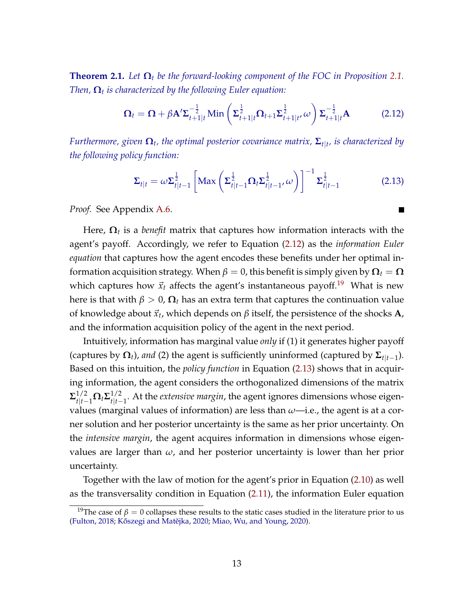<span id="page-12-2"></span>**Theorem [2.1.](#page-11-4)** Let  $\Omega_t$  be the forward-looking component of the FOC in Proposition 2.1. *Then,* **Ω***<sup>t</sup> is characterized by the following Euler equation:*

<span id="page-12-0"></span>
$$
\mathbf{\Omega}_{t} = \mathbf{\Omega} + \beta \mathbf{A}^{\prime} \mathbf{\Sigma}_{t+1|t}^{-\frac{1}{2}} \text{Min}\left(\mathbf{\Sigma}_{t+1|t}^{\frac{1}{2}} \mathbf{\Omega}_{t+1} \mathbf{\Sigma}_{t+1|t}^{\frac{1}{2}} \omega\right) \mathbf{\Sigma}_{t+1|t}^{-\frac{1}{2}} \mathbf{A}
$$
 (2.12)

*Furthermore, given* **Ω***<sup>t</sup> , the optimal posterior covariance matrix,* **Σ***t*|*<sup>t</sup> , is characterized by the following policy function:*

<span id="page-12-1"></span>
$$
\Sigma_{t|t} = \omega \Sigma_{t|t-1}^{\frac{1}{2}} \left[ \text{Max} \left( \Sigma_{t|t-1}^{\frac{1}{2}} \Omega_t \Sigma_{t|t-1}^{\frac{1}{2}}, \omega \right) \right]^{-1} \Sigma_{t|t-1}^{\frac{1}{2}} \tag{2.13}
$$

*Proof.* See Appendix [A.6.](#page-51-0)

Here, **Ω***<sup>t</sup>* is a *benefit* matrix that captures how information interacts with the agent's payoff. Accordingly, we refer to Equation [\(2.12\)](#page-12-0) as the *information Euler equation* that captures how the agent encodes these benefits under her optimal information acquisition strategy. When  $\beta = 0$ , this benefit is simply given by  $\mathbf{\Omega}_t = \mathbf{\Omega}$ which captures how  $\vec{x}_t$  affects the agent's instantaneous payoff.<sup>[19](#page-0-0)</sup> What is new here is that with  $β > 0$ ,  $Ω_t$  has an extra term that captures the continuation value of knowledge about  $\vec{x}_t$ , which depends on  $\beta$  itself, the persistence of the shocks  $\mathbf{A}$ , and the information acquisition policy of the agent in the next period.

Intuitively, information has marginal value *only* if (1) it generates higher payoff (captures by  $\mathbf{\Omega}_t$ ), and (2) the agent is sufficiently uninformed (captured by  $\mathbf{\Sigma}_{t|t-1}$ ). Based on this intuition, the *policy function* in Equation [\(2.13\)](#page-12-1) shows that in acquiring information, the agent considers the orthogonalized dimensions of the matrix  $\mathbf{\Sigma}_{t|t-1}^{1/2} \mathbf{\Omega}_t \mathbf{\Sigma}_{t|t-1}^{1/2}$ *t*|*t*−1 . At the *extensive margin*, the agent ignores dimensions whose eigenvalues (marginal values of information) are less than *ω*—i.e., the agent is at a corner solution and her posterior uncertainty is the same as her prior uncertainty. On the *intensive margin*, the agent acquires information in dimensions whose eigenvalues are larger than *ω*, and her posterior uncertainty is lower than her prior uncertainty.

Together with the law of motion for the agent's prior in Equation [\(2.10\)](#page-11-2) as well as the transversality condition in Equation [\(2.11\)](#page-11-3), the information Euler equation

<sup>&</sup>lt;sup>19</sup>The case of  $\beta = 0$  collapses these results to the static cases studied in the literature prior to us [\(Fulton,](#page-42-2) [2018;](#page-42-2) Kőszegi and Matějka, [2020;](#page-43-15) [Miao, Wu, and Young,](#page-43-3) [2020\)](#page-43-3).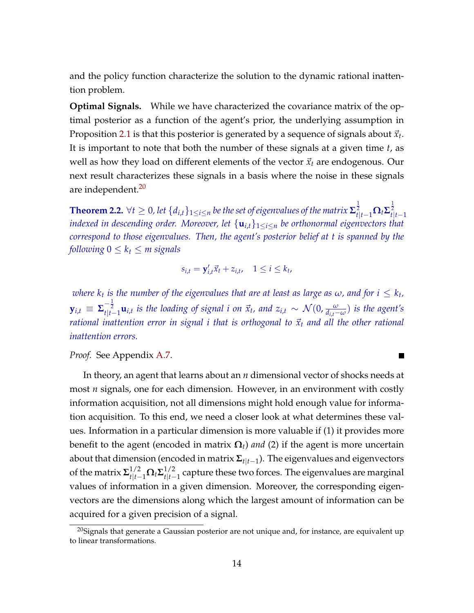and the policy function characterize the solution to the dynamic rational inattention problem.

**Optimal Signals.** While we have characterized the covariance matrix of the optimal posterior as a function of the agent's prior, the underlying assumption in Proposition [2.1](#page-11-4) is that this posterior is generated by a sequence of signals about  $\vec{x}_t$ . It is important to note that both the number of these signals at a given time *t*, as well as how they load on different elements of the vector  $\vec{x}_t$  are endogenous. Our next result characterizes these signals in a basis where the noise in these signals are independent.<sup>[20](#page-0-0)</sup>

<span id="page-13-0"></span> $\bf{Theorem 2.2.}\; \forall t≥ 0,$  let  $\{d_{i,t}\}_{1\leq i\leq n}$  be the set of eigenvalues of the matrix  $\mathbf{\Sigma}_{t|t-1}^{\frac{1}{2}}\mathbf{\Omega}_t\mathbf{\Sigma}_{t|t-1}^{\frac{1}{2}}$ *indexed in descending order. Moreover, let* {**u***i*,*t*}1≤*i*≤*<sup>n</sup> be orthonormal eigenvectors that correspond to those eigenvalues. Then, the agent's posterior belief at t is spanned by the following*  $0 \leq k_t \leq m$  *signals* 

$$
s_{i,t} = \mathbf{y}'_{i,t} \vec{x}_t + z_{i,t}, \quad 1 \le i \le k_t,
$$

 $i$  *where*  $k_t$  *is the number of the eigenvalues that are at least as large as*  $\omega$ *, and for*  $i \leq k_t$ *,*  ${\bf y}_{i,t}\,\equiv\,\boldsymbol{\Sigma}_{t|t-1}^{-\frac{1}{2}}{\bf u}_{i,t}$  is the loading of signal i on  $\vec{x}_t$ , and  $z_{i,t}\,\sim\,\mathcal{N}(0,\frac{\omega}{d_{i,t}-\omega})$  is the agent's *rational inattention error in signal i that is orthogonal to*  $\vec{x}_t$  *and all the other rational inattention errors.*

٠

*Proof.* See Appendix [A.7.](#page-53-0)

In theory, an agent that learns about an *n* dimensional vector of shocks needs at most *n* signals, one for each dimension. However, in an environment with costly information acquisition, not all dimensions might hold enough value for information acquisition. To this end, we need a closer look at what determines these values. Information in a particular dimension is more valuable if (1) it provides more benefit to the agent (encoded in matrix  $\Omega_t$ ) *and* (2) if the agent is more uncertain about that dimension (encoded in matrix **Σ***t*|*t*−<sup>1</sup> ). The eigenvalues and eigenvectors of the matrix  $\mathbf{\Sigma}_{t|t-1}^{1/2} \mathbf{\Omega}_t \mathbf{\Sigma}_{t|t-1}^{1/2}$ *t*|*t*−1 capture these two forces. The eigenvalues are marginal values of information in a given dimension. Moreover, the corresponding eigenvectors are the dimensions along which the largest amount of information can be acquired for a given precision of a signal.

 $20$ Signals that generate a Gaussian posterior are not unique and, for instance, are equivalent up to linear transformations.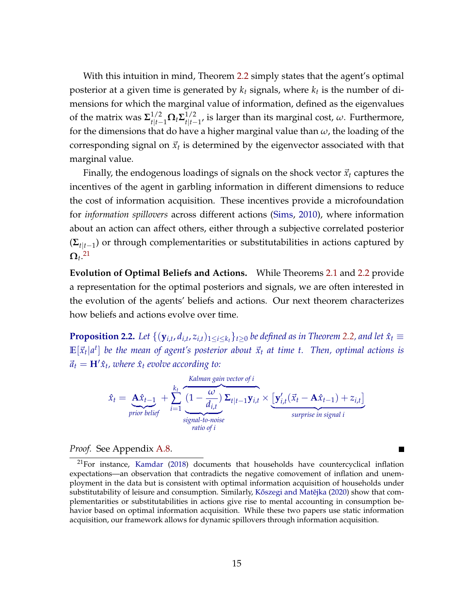With this intuition in mind, Theorem [2.2](#page-13-0) simply states that the agent's optimal posterior at a given time is generated by *k<sup>t</sup>* signals, where *k<sup>t</sup>* is the number of dimensions for which the marginal value of information, defined as the eigenvalues of the matrix was  $\mathbf{\Sigma}_{t|t-1}^{1/2} \mathbf{\Omega}_t \mathbf{\Sigma}_{t|t-1}^{1/2}$ *t*|*t*−1 , is larger than its marginal cost, *ω*. Furthermore, for the dimensions that do have a higher marginal value than *ω*, the loading of the corresponding signal on  $\vec{x}_t$  is determined by the eigenvector associated with that marginal value.

Finally, the endogenous loadings of signals on the shock vector  $\vec{x}_t$  captures the incentives of the agent in garbling information in different dimensions to reduce the cost of information acquisition. These incentives provide a microfoundation for *information spillovers* across different actions [\(Sims,](#page-44-3) [2010\)](#page-44-3), where information about an action can affect others, either through a subjective correlated posterior (**Σ***t*|*t*−<sup>1</sup> ) or through complementarities or substitutabilities in actions captured by  $\mathbf{\Omega}_t$ .<sup>[21](#page-0-0)</sup>

**Evolution of Optimal Beliefs and Actions.** While Theorems [2.1](#page-12-2) and [2.2](#page-13-0) provide a representation for the optimal posteriors and signals, we are often interested in the evolution of the agents' beliefs and actions. Our next theorem characterizes how beliefs and actions evolve over time.

<span id="page-14-1"></span>**Proposition 2.2.** Let  $\{(\mathbf{y}_{i,t}, d_{i,t}, z_{i,t})_{1\leq i\leq k_t}\}_{t\geq 0}$  be defined as in Theorem [2.2,](#page-13-0) and let  $\hat{x}_t$   $\equiv$  $\mathbb{E}[\vec{x}_t|a^t]$  be the mean of agent's posterior about  $\vec{x}_t$  at time t. Then, optimal actions is  $\vec{a}_t = H' \hat{x}_t$ , where  $\hat{x}_t$  evolve according to:

$$
\hat{x}_t = \underbrace{\mathbf{A}\hat{x}_{t-1}}_{prior\; belief} + \sum_{i=1}^{k_t} \underbrace{\frac{\text{Kalman gain vector of } i}{d_{i,t}} \Sigma_{t|t-1} \mathbf{y}_{i,t} \times \underbrace{\left[\mathbf{y}'_{i,t}(\vec{x}_t - \mathbf{A}\hat{x}_{t-1}) + z_{i,t}\right]}_{surprise\; in\; signal\; i}
$$

*Proof.* See Appendix [A.8.](#page-55-0)

<span id="page-14-0"></span> $^{21}$ For instance, [Kamdar](#page-42-9) [\(2018\)](#page-42-9) documents that households have countercyclical inflation expectations—an observation that contradicts the negative comovement of inflation and unemployment in the data but is consistent with optimal information acquisition of households under substitutability of leisure and consumption. Similarly, Kőszegi and Matějka [\(2020\)](#page-43-15) show that complementarities or substitutabilities in actions give rise to mental accounting in consumption behavior based on optimal information acquisition. While these two papers use static information acquisition, our framework allows for dynamic spillovers through information acquisition.

 $\blacksquare$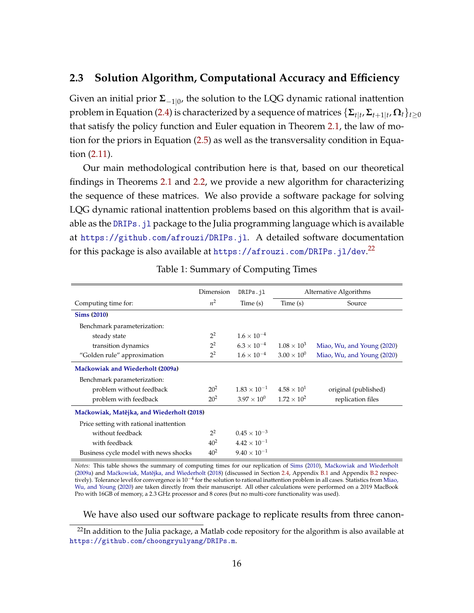#### **2.3 Solution Algorithm, Computational Accuracy and Efficiency**

Given an initial prior **Σ**−1|<sup>0</sup> , the solution to the LQG dynamic rational inattention problem in Equation [\(2.4\)](#page-10-1) is characterized by a sequence of matrices  $\{\mathbf{\Sigma}_{t|t},\mathbf{\Sigma}_{t+1|t},\mathbf{\Omega}_t\}_{t\geq0}$ that satisfy the policy function and Euler equation in Theorem [2.1,](#page-12-2) the law of motion for the priors in Equation [\(2.5\)](#page-10-2) as well as the transversality condition in Equation [\(2.11\)](#page-11-3).

Our main methodological contribution here is that, based on our theoretical findings in Theorems [2.1](#page-12-2) and [2.2,](#page-13-0) we provide a new algorithm for characterizing the sequence of these matrices. We also provide a software package for solving LQG dynamic rational inattention problems based on this algorithm that is available as the DRIPs. j1 package to the Julia programming language which is available at <https://github.com/afrouzi/DRIPs.jl>. A detailed software documentation for this package is also available at <https://afrouzi.com/DRIPs.jl/dev>. [22](#page-0-0)

<span id="page-15-0"></span>

|                                           | Dimension      | DRIPs.jl                                   | Alternative Algorithms |                            |  |
|-------------------------------------------|----------------|--------------------------------------------|------------------------|----------------------------|--|
| Computing time for:                       | $n^2$          | Time(s)                                    | Time (s)               | Source                     |  |
| <b>Sims (2010)</b>                        |                |                                            |                        |                            |  |
| Benchmark parameterization:               |                |                                            |                        |                            |  |
| steady state                              | $2^2$          | $1.6 \times 10^{-4}$                       |                        |                            |  |
| transition dynamics                       | 2 <sup>2</sup> | $6.3 \times 10^{-4}$                       | $1.08 \times 10^{3}$   | Miao, Wu, and Young (2020) |  |
| "Golden rule" approximation               | $2^2$          | $1.6 \times 10^{-4}$                       | $3.00 \times 10^{0}$   | Miao, Wu, and Young (2020) |  |
| Maćkowiak and Wiederholt (2009a)          |                |                                            |                        |                            |  |
| Benchmark parameterization:               |                |                                            |                        |                            |  |
| problem without feedback                  | $20^{2}$       | $1.83 \times 10^{-1}$ $4.58 \times 10^{1}$ |                        | original (published)       |  |
| problem with feedback                     | $20^{2}$       | $3.97 \times 10^{0}$ $1.72 \times 10^{2}$  |                        | replication files          |  |
| Maćkowiak, Matějka, and Wiederholt (2018) |                |                                            |                        |                            |  |
| Price setting with rational inattention   |                |                                            |                        |                            |  |
| without feedback                          | $2^2$          | $0.45 \times 10^{-3}$                      |                        |                            |  |
| with feedback                             | $40^{2}$       | $4.42 \times 10^{-1}$                      |                        |                            |  |
| Business cycle model with news shocks     | $40^{2}$       | $9.40 \times 10^{-1}$                      |                        |                            |  |

Table 1: Summary of Computing Times

*Notes:* This table shows the summary of computing times for our replication of [Sims](#page-44-3) [\(2010\)](#page-44-3), Maćkowiak and Wiederholt [\(2009a\)](#page-43-0) and Maćkowiak, Matějka, and Wiederholt [\(2018\)](#page-43-1) (discussed in Section [2.4,](#page-17-0) Appendix [B.1](#page-56-0) and Appendix [B.2](#page-56-1) respec-tively). Tolerance level for convergence is 10<sup>-4</sup> for the solution to rational inattention problem in all cases. Statistics from [Miao,](#page-43-3) [Wu, and Young](#page-43-3) [\(2020\)](#page-43-3) are taken directly from their manuscript. All other calculations were performed on a 2019 MacBook Pro with 16GB of memory, a 2.3 GHz processor and 8 cores (but no multi-core functionality was used).

We have also used our software package to replicate results from three canon-

 $22$ In addition to the Julia package, a Matlab code repository for the algorithm is also available at <https://github.com/choongryulyang/DRIPs.m>.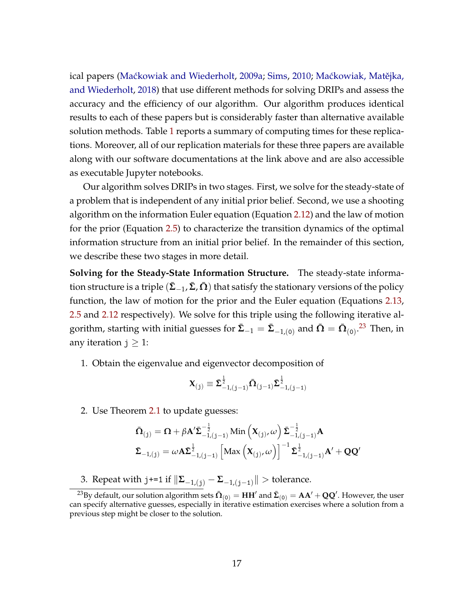ical papers (Maćkowiak and Wiederholt, [2009a;](#page-43-0) [Sims,](#page-44-3) [2010;](#page-44-3) Maćkowiak, Matějka, [and Wiederholt,](#page-43-1) [2018\)](#page-43-1) that use different methods for solving DRIPs and assess the accuracy and the efficiency of our algorithm. Our algorithm produces identical results to each of these papers but is considerably faster than alternative available solution methods. Table [1](#page-15-0) reports a summary of computing times for these replications. Moreover, all of our replication materials for these three papers are available along with our software documentations at the link above and are also accessible as executable Jupyter notebooks.

Our algorithm solves DRIPs in two stages. First, we solve for the steady-state of a problem that is independent of any initial prior belief. Second, we use a shooting algorithm on the information Euler equation (Equation [2.12\)](#page-12-0) and the law of motion for the prior (Equation [2.5\)](#page-10-2) to characterize the transition dynamics of the optimal information structure from an initial prior belief. In the remainder of this section, we describe these two stages in more detail.

**Solving for the Steady-State Information Structure.** The steady-state information structure is a triple  $(\bar{\Sigma}_{-1}, \bar{\Sigma}, \bar{\Omega})$  that satisfy the stationary versions of the policy function, the law of motion for the prior and the Euler equation (Equations [2.13,](#page-12-1) [2.5](#page-10-2) and [2.12](#page-12-0) respectively). We solve for this triple using the following iterative algorithm, starting with initial guesses for  $\bar{\Sigma}_{-1}=\bar{\Sigma}_{-1,(0)}$  and  $\bar{\Omega}=\bar{\Omega}_{(0)}$ .<sup>[23](#page-0-0)</sup> Then, in any iteration  $j \geq 1$ :

1. Obtain the eigenvalue and eigenvector decomposition of

$$
\boldsymbol{X}_{(j)} \equiv \bar{\boldsymbol{\Sigma}}_{-1,(j-1)}^{\frac{1}{2}} \bar{\boldsymbol{\Omega}}_{(j-1)} \bar{\boldsymbol{\Sigma}}_{-1,(j-1)}^{\frac{1}{2}}
$$

2. Use Theorem [2.1](#page-12-2) to update guesses:

$$
\begin{aligned} &\bar{\mathbf{\Omega}}_{(j)} = \mathbf{\Omega} + \beta \mathbf{A}' \bar{\boldsymbol{\Sigma}}_{-1,(j-1)}^{-\frac{1}{2}} \text{Min}\left(\mathbf{X}_{(j)}, \omega\right) \bar{\boldsymbol{\Sigma}}_{-1,(j-1)}^{-\frac{1}{2}} \mathbf{A} \\ &\bar{\boldsymbol{\Sigma}}_{-1,(j)} = \omega \mathbf{A} \bar{\boldsymbol{\Sigma}}_{-1,(j-1)}^{\frac{1}{2}} \left[\text{Max}\left(\mathbf{X}_{(j)}, \omega\right)\right]^{-1} \bar{\boldsymbol{\Sigma}}_{-1,(j-1)}^{\frac{1}{2}} \mathbf{A}' + \mathbf{Q} \mathbf{Q}' \end{aligned}
$$

3. Repeat with  $j+=1$  if  $\|\Sigma_{-1,(j)} - \Sigma_{-1,(j-1)}\|$  > tolerance.

 $^{23}$ By default, our solution algorithm sets  $\bar{\bf\Omega}_{(0)}=$   ${\bf H}{\bf H}'$  and  $\bar{\bf\Sigma}_{(0)}={\bf AA}'+{\bf Q}{\bf Q}'$ . However, the user can specify alternative guesses, especially in iterative estimation exercises where a solution from a previous step might be closer to the solution.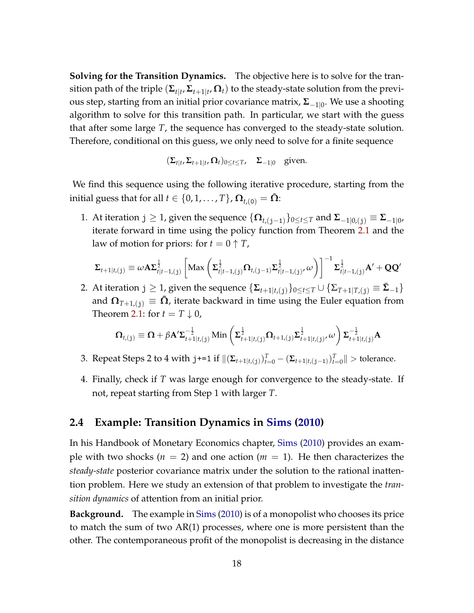**Solving for the Transition Dynamics.** The objective here is to solve for the transition path of the triple  $(\mathbf{\Sigma}_{t|t}, \mathbf{\Sigma}_{t+1|t}, \mathbf{\Omega}_t)$  to the steady-state solution from the previous step, starting from an initial prior covariance matrix, **Σ**−1|<sup>0</sup> . We use a shooting algorithm to solve for this transition path. In particular, we start with the guess that after some large *T*, the sequence has converged to the steady-state solution. Therefore, conditional on this guess, we only need to solve for a finite sequence

$$
(\Sigma_{t|t}, \Sigma_{t+1|t}, \Omega_t)_{0 \le t \le T}, \quad \Sigma_{-1|0} \quad \text{given.}
$$

We find this sequence using the following iterative procedure, starting from the initial guess that for all  $t \in \{0, 1, \ldots, T\}$ ,  $\Omega_{t,(0)} = \overline{\Omega}$ :

1. At iteration j ≥ 1, given the sequence {**Ω***t*,(j−1)}0≤*t*≤*<sup>T</sup>* and **Σ**−1|0,(j) ≡ **Σ**−1|<sup>0</sup> , iterate forward in time using the policy function from Theorem [2.1](#page-12-2) and the law of motion for priors: for  $t = 0 \uparrow T$ ,

$$
\Sigma_{t+1|t,(j)} \equiv \omega A \Sigma_{t|t-1,(j)}^{\frac{1}{2}} \left[ \text{Max}\left( \Sigma_{t|t-1,(j)}^{\frac{1}{2}} \Omega_{t,(j-1)} \Sigma_{t|t-1,(j)}^{\frac{1}{2}} \omega \right) \right]^{-1} \Sigma_{t|t-1,(j)}^{\frac{1}{2}} A' + \mathbf{Q} \mathbf{Q}'
$$

2. At iteration  $j \geq 1$ , given the sequence  $\{\mathbf{\Sigma}_{t+1|t,(j)}\}_{0 \leq t \leq T} \cup \{\mathbf{\Sigma}_{T+1|T,(j)} \equiv \mathbf{\Sigma}_{-1}\}\$ and  $\Omega_{T+1,(i)} \equiv \bar{\Omega}$ , iterate backward in time using the Euler equation from Theorem [2.1:](#page-12-2) for  $t = T \downarrow 0$ ,

$$
\Omega_{t,(j)} \equiv \Omega + \beta A' \Sigma_{t+1|t,(j)}^{-\frac{1}{2}} \operatorname{Min} \left( \Sigma_{t+1|t,(j)}^{\frac{1}{2}} \Omega_{t+1,(j)} \Sigma_{t+1|t,(j)}^{\frac{1}{2}} \right) \Sigma_{t+1|t,(j)}^{-\frac{1}{2}} A
$$

- 3. Repeat Steps 2 to 4 with  $j == 1$  if  $\|(\Sigma_{t+1|t,(j)})_{t=0}^T (\Sigma_{t+1|t,(j-1)})_{t=0}^T\|$  > tolerance.
- 4. Finally, check if *T* was large enough for convergence to the steady-state. If not, repeat starting from Step 1 with larger *T*.

#### <span id="page-17-0"></span>**2.4 Example: Transition Dynamics in [Sims](#page-44-3) [\(2010\)](#page-44-3)**

In his Handbook of Monetary Economics chapter, [Sims](#page-44-3) [\(2010\)](#page-44-3) provides an example with two shocks ( $n = 2$ ) and one action ( $m = 1$ ). He then characterizes the *steady-state* posterior covariance matrix under the solution to the rational inattention problem. Here we study an extension of that problem to investigate the *transition dynamics* of attention from an initial prior.

**Background.** The example in [Sims](#page-44-3) [\(2010\)](#page-44-3) is of a monopolist who chooses its price to match the sum of two AR(1) processes, where one is more persistent than the other. The contemporaneous profit of the monopolist is decreasing in the distance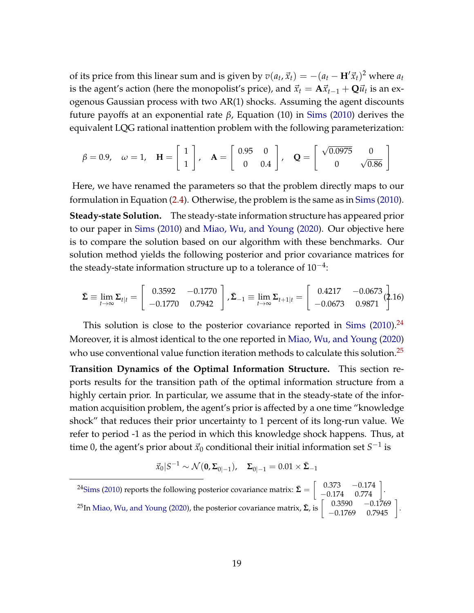of its price from this linear sum and is given by  $v(a_t, \vec{x}_t) = -(a_t - \mathbf{H}'\vec{x}_t)^2$  where  $a_t$ is the agent's action (here the monopolist's price), and  $\vec{x}_t = \mathbf{A}\vec{x}_{t-1} + \mathbf{Q}\vec{u}_t$  is an exogenous Gaussian process with two AR(1) shocks. Assuming the agent discounts future payoffs at an exponential rate *β*, Equation (10) in [Sims](#page-44-3) [\(2010\)](#page-44-3) derives the equivalent LQG rational inattention problem with the following parameterization:

$$
\beta = 0.9
$$
,  $\omega = 1$ ,  $\mathbf{H} = \begin{bmatrix} 1 \\ 1 \end{bmatrix}$ ,  $\mathbf{A} = \begin{bmatrix} 0.95 & 0 \\ 0 & 0.4 \end{bmatrix}$ ,  $\mathbf{Q} = \begin{bmatrix} \sqrt{0.0975} & 0 \\ 0 & \sqrt{0.86} \end{bmatrix}$ 

Here, we have renamed the parameters so that the problem directly maps to our formulation in Equation [\(2.4\)](#page-10-1). Otherwise, the problem is the same as in [Sims](#page-44-3) [\(2010\)](#page-44-3). **Steady-state Solution.** The steady-state information structure has appeared prior to our paper in [Sims](#page-44-3) [\(2010\)](#page-44-3) and [Miao, Wu, and Young](#page-43-3) [\(2020\)](#page-43-3). Our objective here is to compare the solution based on our algorithm with these benchmarks. Our solution method yields the following posterior and prior covariance matrices for the steady-state information structure up to a tolerance of  $10^{-4}$ :

$$
\bar{\Sigma} \equiv \lim_{t \to \infty} \Sigma_{t|t} = \begin{bmatrix} 0.3592 & -0.1770 \\ -0.1770 & 0.7942 \end{bmatrix}, \bar{\Sigma}_{-1} \equiv \lim_{t \to \infty} \Sigma_{t+1|t} = \begin{bmatrix} 0.4217 & -0.0673 \\ -0.0673 & 0.9871 \end{bmatrix} (2.16)
$$

This solution is close to the posterior covariance reported in [Sims](#page-44-3)  $(2010).^{24}$  $(2010).^{24}$  $(2010).^{24}$  $(2010).^{24}$ Moreover, it is almost identical to the one reported in [Miao, Wu, and Young](#page-43-3) [\(2020\)](#page-43-3) who use conventional value function iteration methods to calculate this solution.<sup>[25](#page-0-0)</sup>

**Transition Dynamics of the Optimal Information Structure.** This section reports results for the transition path of the optimal information structure from a highly certain prior. In particular, we assume that in the steady-state of the information acquisition problem, the agent's prior is affected by a one time "knowledge shock" that reduces their prior uncertainty to 1 percent of its long-run value. We refer to period -1 as the period in which this knowledge shock happens. Thus, at time 0, the agent's prior about  $\vec{x}_0$  conditional their initial information set  $S^{-1}$  is

<span id="page-18-0"></span>
$$
\vec{x}_0|S^{-1} \sim \mathcal{N}(\mathbf{0}, \boldsymbol{\Sigma}_{0|-1}), \quad \boldsymbol{\Sigma}_{0|-1} = 0.01 \times \boldsymbol{\bar{\Sigma}}_{-1}
$$

<sup>24</sup>[Sims](#page-44-3) [\(2010\)](#page-44-3) reports the following posterior covariance matrix:  $\bar{\mathbf{\Sigma}} = \begin{bmatrix} 0.373 & -0.174 \\ -0.174 & 0.774 \end{bmatrix}$ . <sup>25</sup>In [Miao, Wu, and Young](#page-43-3) [\(2020\)](#page-43-3), the posterior covariance matrix,  $\bar{\Sigma}$ , is  $\begin{bmatrix} 0.3590 & -0.1769 \\ -0.1769 & 0.7945 \end{bmatrix}$ .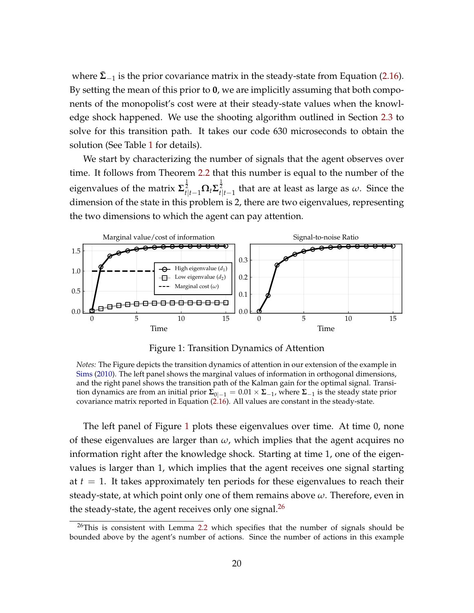where  $\bar{\Sigma}_{-1}$  is the prior covariance matrix in the steady-state from Equation [\(2.16\)](#page-18-0). By setting the mean of this prior to **0**, we are implicitly assuming that both components of the monopolist's cost were at their steady-state values when the knowledge shock happened. We use the shooting algorithm outlined in Section [2.3](#page-14-0) to solve for this transition path. It takes our code 630 microseconds to obtain the solution (See Table [1](#page-15-0) for details).

We start by characterizing the number of signals that the agent observes over time. It follows from Theorem [2.2](#page-13-0) that this number is equal to the number of the eigenvalues of the matrix  $\Sigma^\frac{1}{2}_{t|t-1}\Omega_t\Sigma^\frac{1}{2}_{t|t-1}$  that are at least as large as  $\omega.$  Since the dimension of the state in this problem is 2, there are two eigenvalues, representing the two dimensions to which the agent can pay attention.

<span id="page-19-0"></span>

Figure 1: Transition Dynamics of Attention

*Notes:* The Figure depicts the transition dynamics of attention in our extension of the example in [Sims](#page-44-3) [\(2010\)](#page-44-3). The left panel shows the marginal values of information in orthogonal dimensions, and the right panel shows the transition path of the Kalman gain for the optimal signal. Transition dynamics are from an initial prior  $\Sigma_{0|-1} = 0.01 \times \Sigma_{-1}$ , where  $\Sigma_{-1}$  is the steady state prior covariance matrix reported in Equation [\(2.16\)](#page-18-0). All values are constant in the steady-state.

The left panel of Figure [1](#page-19-0) plots these eigenvalues over time. At time 0, none of these eigenvalues are larger than *ω*, which implies that the agent acquires no information right after the knowledge shock. Starting at time 1, one of the eigenvalues is larger than 1, which implies that the agent receives one signal starting at *t* = 1. It takes approximately ten periods for these eigenvalues to reach their steady-state, at which point only one of them remains above *ω*. Therefore, even in the steady-state, the agent receives only one signal. $^{26}$  $^{26}$  $^{26}$ 

 $26$ This is consistent with Lemma [2.2](#page-8-0) which specifies that the number of signals should be bounded above by the agent's number of actions. Since the number of actions in this example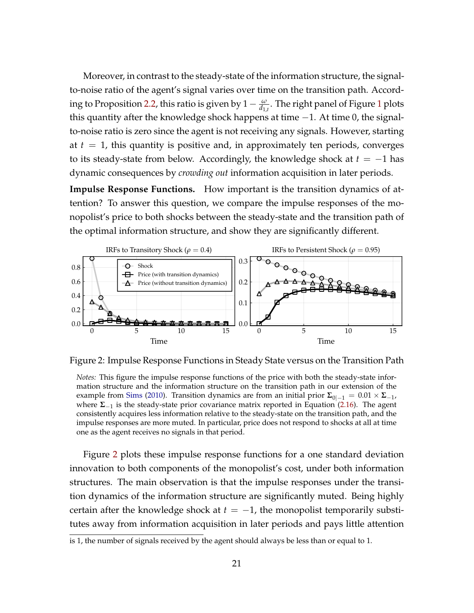Moreover, in contrast to the steady-state of the information structure, the signalto-noise ratio of the agent's signal varies over time on the transition path. Accord-ing to Proposition [2.2,](#page-14-1) this ratio is given by  $1-\frac{\omega}{d_{1,t}}$  $1-\frac{\omega}{d_{1,t}}$ . The right panel of Figure 1 plots this quantity after the knowledge shock happens at time −1. At time 0, the signalto-noise ratio is zero since the agent is not receiving any signals. However, starting at  $t = 1$ , this quantity is positive and, in approximately ten periods, converges to its steady-state from below. Accordingly, the knowledge shock at  $t = -1$  has dynamic consequences by *crowding out* information acquisition in later periods.

**Impulse Response Functions.** How important is the transition dynamics of attention? To answer this question, we compare the impulse responses of the monopolist's price to both shocks between the steady-state and the transition path of the optimal information structure, and show they are significantly different.

<span id="page-20-0"></span>

Figure 2: Impulse Response Functions in Steady State versus on the Transition Path

*Notes:* This figure the impulse response functions of the price with both the steady-state information structure and the information structure on the transition path in our extension of the example from [Sims](#page-44-3) [\(2010\)](#page-44-3). Transition dynamics are from an initial prior  $\Sigma_{0|-1} = 0.01 \times \Sigma_{-1}$ , where **Σ**−<sup>1</sup> is the steady-state prior covariance matrix reported in Equation [\(2.16\)](#page-18-0). The agent consistently acquires less information relative to the steady-state on the transition path, and the impulse responses are more muted. In particular, price does not respond to shocks at all at time one as the agent receives no signals in that period.

Figure [2](#page-20-0) plots these impulse response functions for a one standard deviation innovation to both components of the monopolist's cost, under both information structures. The main observation is that the impulse responses under the transition dynamics of the information structure are significantly muted. Being highly certain after the knowledge shock at  $t = -1$ , the monopolist temporarily substitutes away from information acquisition in later periods and pays little attention

is 1, the number of signals received by the agent should always be less than or equal to 1.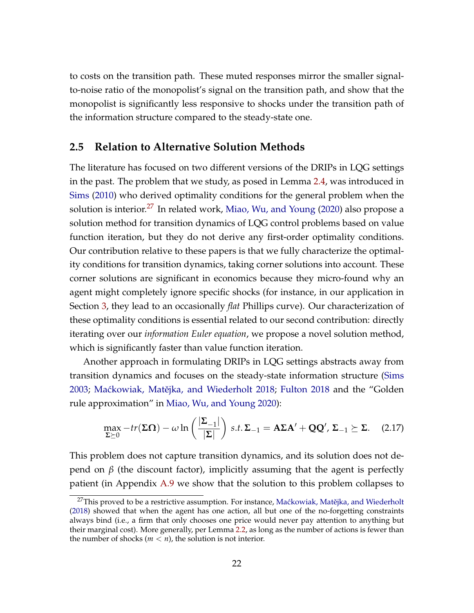to costs on the transition path. These muted responses mirror the smaller signalto-noise ratio of the monopolist's signal on the transition path, and show that the monopolist is significantly less responsive to shocks under the transition path of the information structure compared to the steady-state one.

#### <span id="page-21-0"></span>**2.5 Relation to Alternative Solution Methods**

The literature has focused on two different versions of the DRIPs in LQG settings in the past. The problem that we study, as posed in Lemma [2.4,](#page-10-0) was introduced in [Sims](#page-44-3) [\(2010\)](#page-44-3) who derived optimality conditions for the general problem when the solution is interior.<sup>[27](#page-0-0)</sup> In related work, [Miao, Wu, and Young](#page-43-3) [\(2020\)](#page-43-3) also propose a solution method for transition dynamics of LQG control problems based on value function iteration, but they do not derive any first-order optimality conditions. Our contribution relative to these papers is that we fully characterize the optimality conditions for transition dynamics, taking corner solutions into account. These corner solutions are significant in economics because they micro-found why an agent might completely ignore specific shocks (for instance, in our application in Section [3,](#page-22-0) they lead to an occasionally *flat* Phillips curve). Our characterization of these optimality conditions is essential related to our second contribution: directly iterating over our *information Euler equation*, we propose a novel solution method, which is significantly faster than value function iteration.

Another approach in formulating DRIPs in LQG settings abstracts away from transition dynamics and focuses on the steady-state information structure [\(Sims](#page-44-1) [2003;](#page-44-1) Maćkowiak, Matějka, and Wiederholt [2018;](#page-43-1) [Fulton](#page-42-2) [2018](#page-42-2) and the "Golden rule approximation" in [Miao, Wu, and Young](#page-43-3) [2020\)](#page-43-3):

<span id="page-21-1"></span>
$$
\max_{\Sigma \succeq 0} -tr(\Sigma \Omega) - \omega \ln \left( \frac{|\Sigma_{-1}|}{|\Sigma|} \right) \, s.t. \, \Sigma_{-1} = A \Sigma A' + Q Q', \, \Sigma_{-1} \succeq \Sigma. \tag{2.17}
$$

This problem does not capture transition dynamics, and its solution does not depend on  $β$  (the discount factor), implicitly assuming that the agent is perfectly patient (in Appendix [A.9](#page-55-1) we show that the solution to this problem collapses to

<sup>&</sup>lt;sup>27</sup>This proved to be a restrictive assumption. For instance, Maćkowiak, Matějka, and Wiederholt [\(2018\)](#page-43-1) showed that when the agent has one action, all but one of the no-forgetting constraints always bind (i.e., a firm that only chooses one price would never pay attention to anything but their marginal cost). More generally, per Lemma [2.2,](#page-8-0) as long as the number of actions is fewer than the number of shocks ( $m < n$ ), the solution is not interior.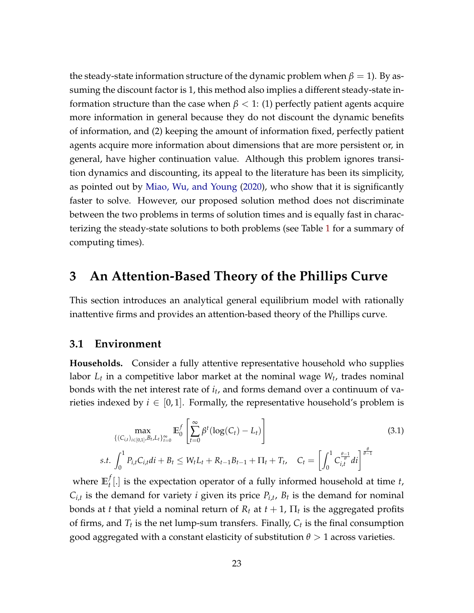the steady-state information structure of the dynamic problem when  $\beta = 1$ ). By assuming the discount factor is 1, this method also implies a different steady-state information structure than the case when  $\beta$  < 1: (1) perfectly patient agents acquire more information in general because they do not discount the dynamic benefits of information, and (2) keeping the amount of information fixed, perfectly patient agents acquire more information about dimensions that are more persistent or, in general, have higher continuation value. Although this problem ignores transition dynamics and discounting, its appeal to the literature has been its simplicity, as pointed out by [Miao, Wu, and Young](#page-43-3) [\(2020\)](#page-43-3), who show that it is significantly faster to solve. However, our proposed solution method does not discriminate between the two problems in terms of solution times and is equally fast in characterizing the steady-state solutions to both problems (see Table [1](#page-15-0) for a summary of computing times).

### <span id="page-22-0"></span>**3 An Attention-Based Theory of the Phillips Curve**

This section introduces an analytical general equilibrium model with rationally inattentive firms and provides an attention-based theory of the Phillips curve.

#### **3.1 Environment**

*s*.*t*.

**Households.** Consider a fully attentive representative household who supplies labor *L<sup>t</sup>* in a competitive labor market at the nominal wage *W<sup>t</sup>* , trades nominal bonds with the net interest rate of *i<sup>t</sup>* , and forms demand over a continuum of varieties indexed by  $i \in [0,1]$ . Formally, the representative household's problem is

<span id="page-22-1"></span>
$$
\max_{\{(C_{i,t})_{i\in[0,1]},B_t,L_t\}_{t=0}^{\infty}} \mathbb{E}_0^f \left[ \sum_{t=0}^{\infty} \beta^t (\log(C_t) - L_t) \right]
$$
\n
$$
t. \int_0^1 P_{i,t} C_{i,t} dt + B_t \le W_t L_t + R_{t-1} B_{t-1} + \Pi_t + T_t, \quad C_t = \left[ \int_0^1 C_{i,t}^{\frac{\theta-1}{\theta}} dt \right]^{\frac{\theta}{\theta-1}}
$$
\n(3.1)

where  $\mathbb{E}_t^f$ *t* [.] is the expectation operator of a fully informed household at time *t*,  $C_{i,t}$  is the demand for variety *i* given its price  $P_{i,t}$ ,  $B_t$  is the demand for nominal bonds at *t* that yield a nominal return of  $R_t$  at  $t+1$ ,  $\Pi_t$  is the aggregated profits of firms, and *T<sup>t</sup>* is the net lump-sum transfers. Finally, *C<sup>t</sup>* is the final consumption good aggregated with a constant elasticity of substitution  $\theta > 1$  across varieties.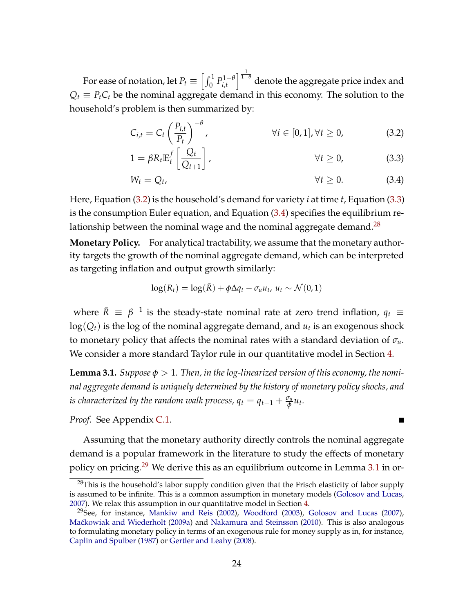For ease of notation, let  $P_t \equiv \left[\int_0^1 P_{i,t}^{1-\theta} \right]$ *i*,*t*  $\int_{0}^{\frac{1}{1-\theta}}$  denote the aggregate price index and  $Q_t \equiv P_t C_t$  be the nominal aggregate demand in this economy. The solution to the household's problem is then summarized by:

$$
C_{i,t} = C_t \left(\frac{P_{i,t}}{P_t}\right)^{-\theta}, \qquad \forall i \in [0,1], \forall t \ge 0,
$$
\n
$$
(3.2)
$$

<span id="page-23-1"></span><span id="page-23-0"></span>
$$
1 = \beta R_t \mathbb{E}_t^f \left[ \frac{Q_t}{Q_{t+1}} \right], \qquad \forall t \ge 0,
$$
\n(3.3)

$$
W_t = Q_t, \qquad \forall t \geq 0. \tag{3.4}
$$

Here, Equation [\(3.2\)](#page-23-0) is the household's demand for variety *i* at time *t*, Equation [\(3.3\)](#page-23-1) is the consumption Euler equation, and Equation [\(3.4\)](#page-23-2) specifies the equilibrium relationship between the nominal wage and the nominal aggregate demand. $^{28}$  $^{28}$  $^{28}$ 

**Monetary Policy.** For analytical tractability, we assume that the monetary authority targets the growth of the nominal aggregate demand, which can be interpreted as targeting inflation and output growth similarly:

$$
\log(R_t) = \log(\bar{R}) + \phi \Delta q_t - \sigma_u u_t, u_t \sim \mathcal{N}(0, 1)
$$

where  $\bar{R} \; \equiv \; \beta^{-1}$  is the steady-state nominal rate at zero trend inflation,  $q_t \; \equiv \;$  $\log(Q_t)$  is the log of the nominal aggregate demand, and  $u_t$  is an exogenous shock to monetary policy that affects the nominal rates with a standard deviation of *σu*. We consider a more standard Taylor rule in our quantitative model in Section [4.](#page-32-0)

<span id="page-23-3"></span>**Lemma 3.1.** *Suppose φ* > 1*. Then, in the log-linearized version of this economy, the nominal aggregate demand is uniquely determined by the history of monetary policy shocks, and is characterized by the random walk process,*  $q_t = q_{t-1} + \frac{\sigma_u}{\phi}$ *φ ut .*

<span id="page-23-2"></span> $\blacksquare$ 

*Proof.* See Appendix [C.1.](#page-58-0)

Assuming that the monetary authority directly controls the nominal aggregate demand is a popular framework in the literature to study the effects of monetary policy on pricing.<sup>[29](#page-0-0)</sup> We derive this as an equilibrium outcome in Lemma [3.1](#page-23-3) in or-

 $28$ This is the household's labor supply condition given that the Frisch elasticity of labor supply is assumed to be infinite. This is a common assumption in monetary models [\(Golosov and Lucas,](#page-42-10) [2007\)](#page-42-10). We relax this assumption in our quantitative model in Section [4.](#page-32-0)

<sup>&</sup>lt;sup>29</sup>See, for instance, [Mankiw and Reis](#page-43-8) [\(2002\)](#page-43-8), [Woodford](#page-44-8) [\(2003\)](#page-44-8), [Golosov and Lucas](#page-42-10) [\(2007\)](#page-42-10), Maćkowiak and Wiederholt [\(2009a\)](#page-43-0) and [Nakamura and Steinsson](#page-44-15) [\(2010\)](#page-44-15). This is also analogous to formulating monetary policy in terms of an exogenous rule for money supply as in, for instance, [Caplin and Spulber](#page-41-12) [\(1987\)](#page-41-12) or [Gertler and Leahy](#page-42-11) [\(2008\)](#page-42-11).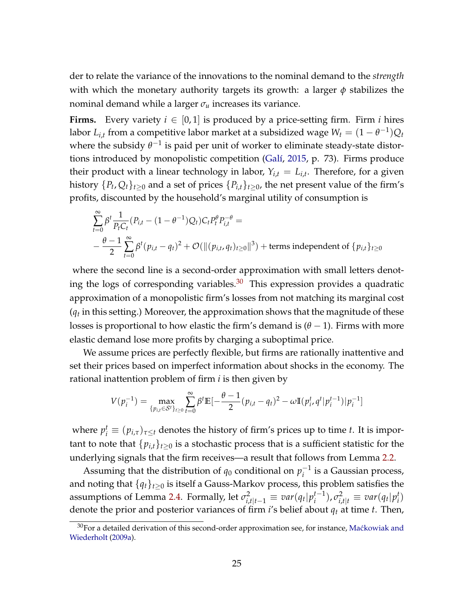der to relate the variance of the innovations to the nominal demand to the *strength* with which the monetary authority targets its growth: a larger *φ* stabilizes the nominal demand while a larger *σ<sup>u</sup>* increases its variance.

**Firms.** Every variety  $i \in [0, 1]$  is produced by a price-setting firm. Firm *i* hires labor  $L_{i,t}$  from a competitive labor market at a subsidized wage  $W_t = (1 - \theta^{-1})Q_t$ where the subsidy  $\theta^{-1}$  is paid per unit of worker to eliminate steady-state distortions introduced by monopolistic competition [\(Galí,](#page-42-12) [2015,](#page-42-12) p. 73). Firms produce their product with a linear technology in labor,  $Y_{i,t} = L_{i,t}$ . Therefore, for a given history  $\{P_t, Q_t\}_{t\geq 0}$  and a set of prices  $\{P_{i,t}\}_{t\geq 0}$ , the net present value of the firm's profits, discounted by the household's marginal utility of consumption is

$$
\sum_{t=0}^{\infty} \beta^{t} \frac{1}{P_{t}C_{t}} (P_{i,t} - (1 - \theta^{-1})Q_{t})C_{t}P_{t}^{\theta} P_{i,t}^{-\theta} =
$$
\n
$$
- \frac{\theta - 1}{2} \sum_{t=0}^{\infty} \beta^{t} (p_{i,t} - q_{t})^{2} + \mathcal{O}(\|(p_{i,t}, q_{t})_{t \ge 0}\|^{3}) + \text{terms independent of } \{p_{i,t}\}_{t \ge 0}
$$

where the second line is a second-order approximation with small letters denoting the logs of corresponding variables. $30$  This expression provides a quadratic approximation of a monopolistic firm's losses from not matching its marginal cost (*qt* in this setting.) Moreover, the approximation shows that the magnitude of these losses is proportional to how elastic the firm's demand is  $(\theta - 1)$ . Firms with more elastic demand lose more profits by charging a suboptimal price.

We assume prices are perfectly flexible, but firms are rationally inattentive and set their prices based on imperfect information about shocks in the economy. The rational inattention problem of firm *i* is then given by

$$
V(p_i^{-1}) = \max_{\{p_{i,t} \in \mathcal{S}^t\}_{t \ge 0}} \sum_{t=0}^{\infty} \beta^t \mathbb{E}[-\frac{\theta-1}{2} (p_{i,t} - q_t)^2 - \omega \mathbb{I}(p_i^t, q^t | p_i^{t-1}) | p_i^{-1}]
$$

where  $p_i^t \equiv (p_{i,\tau})_{\tau\leq t}$  denotes the history of firm's prices up to time *t*. It is important to note that  $\{p_{i,t}\}_{t\geq 0}$  is a stochastic process that is a sufficient statistic for the underlying signals that the firm receives—a result that follows from Lemma [2.2.](#page-8-0)

Assuming that the distribution of  $q_0$  conditional on  $p_i^{-1}$  $i^{-1}$  is a Gaussian process, and noting that  ${q_t}_{t\geq0}$  is itself a Gauss-Markov process, this problem satisfies the assumptions of Lemma [2.4.](#page-10-0) Formally, let  $\sigma_{i,t|t-1}^2 \equiv \textit{var}(q_t|p_i^{t-1})$  $\int_{i}^{t-1}$ ),  $\sigma_{i,t|t}^2 \equiv var(q_t|p_i^t)$ *i* ) denote the prior and posterior variances of firm *i*'s belief about *q<sup>t</sup>* at time *t*. Then,

 $30$ For a detailed derivation of this second-order approximation see, for instance, Maćkowiak and [Wiederholt](#page-43-0) [\(2009a\)](#page-43-0).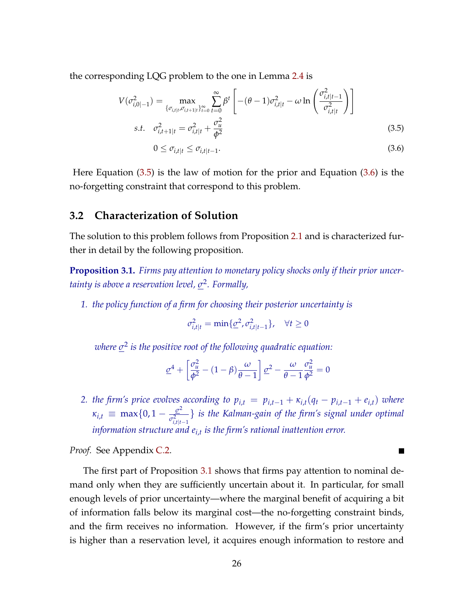the corresponding LQG problem to the one in Lemma [2.4](#page-10-0) is

$$
V(\sigma_{i,0|-1}^2) = \max_{\{\sigma_{i,t|t}, \sigma_{i,t+1|t}\}_{t=0}^{\infty}} \sum_{t=0}^{\infty} \beta^t \left[ -(\theta - 1)\sigma_{i,t|t}^2 - \omega \ln\left(\frac{\sigma_{i,t|t-1}^2}{\sigma_{i,t|t}^2}\right) \right]
$$
  
s.t.  $\sigma_{i,t+1|t}^2 = \sigma_{i,t|t}^2 + \frac{\sigma_u^2}{\phi^2}$  (3.5)

<span id="page-25-1"></span><span id="page-25-0"></span>
$$
0 \leq \sigma_{i,t|t} \leq \sigma_{i,t|t-1}.\tag{3.6}
$$

Here Equation [\(3.5\)](#page-25-0) is the law of motion for the prior and Equation [\(3.6\)](#page-25-1) is the no-forgetting constraint that correspond to this problem.

#### **3.2 Characterization of Solution**

The solution to this problem follows from Proposition [2.1](#page-11-4) and is characterized further in detail by the following proposition.

<span id="page-25-2"></span>**Proposition 3.1.** *Firms pay attention to monetary policy shocks only if their prior uncertainty is above a reservation level, σ* 2 *. Formally,*

*1. the policy function of a firm for choosing their posterior uncertainty is*

$$
\sigma_{i,t|t}^2 = \min\{\underline{\sigma}^2, \sigma_{i,t|t-1}^2\}, \quad \forall t \ge 0
$$

*where σ* 2 *is the positive root of the following quadratic equation:*

$$
\underline{\sigma}^4 + \left[\frac{\sigma_u^2}{\phi^2} - (1 - \beta)\frac{\omega}{\theta - 1}\right]\underline{\sigma}^2 - \frac{\omega}{\theta - 1}\frac{\sigma_u^2}{\phi^2} = 0
$$

*2. the firm's price evolves according to*  $p_{i,t} = p_{i,t-1} + \kappa_{i,t}(q_t - p_{i,t-1} + e_{i,t})$  *where*  $\kappa_{i,t} \equiv \max\{0, 1 - \frac{\sigma^2}{\sigma^2}\}$  $\sigma_{i,t|t-1}^2$ } *is the Kalman-gain of the firm's signal under optimal information structure and ei*,*<sup>t</sup> is the firm's rational inattention error.*

**The Second** 

*Proof.* See Appendix [C.2.](#page-58-1)

The first part of Proposition [3.1](#page-25-2) shows that firms pay attention to nominal demand only when they are sufficiently uncertain about it. In particular, for small enough levels of prior uncertainty—where the marginal benefit of acquiring a bit of information falls below its marginal cost—the no-forgetting constraint binds, and the firm receives no information. However, if the firm's prior uncertainty is higher than a reservation level, it acquires enough information to restore and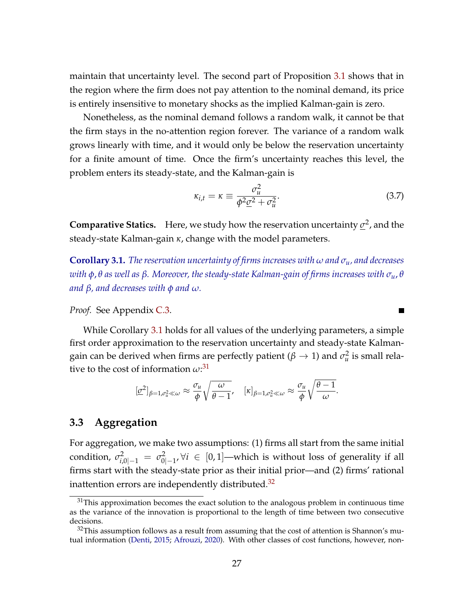maintain that uncertainty level. The second part of Proposition [3.1](#page-25-2) shows that in the region where the firm does not pay attention to the nominal demand, its price is entirely insensitive to monetary shocks as the implied Kalman-gain is zero.

Nonetheless, as the nominal demand follows a random walk, it cannot be that the firm stays in the no-attention region forever. The variance of a random walk grows linearly with time, and it would only be below the reservation uncertainty for a finite amount of time. Once the firm's uncertainty reaches this level, the problem enters its steady-state, and the Kalman-gain is

$$
\kappa_{i,t} = \kappa \equiv \frac{\sigma_u^2}{\phi^2 \underline{\sigma}^2 + \sigma_u^2}.
$$
\n(3.7)

<span id="page-26-1"></span> $\blacksquare$ 

**Comparative Statics.** Here, we study how the reservation uncertainty  $\sigma^2$ , and the steady-state Kalman-gain *κ*, change with the model parameters.

<span id="page-26-0"></span>**Corollary 3.1.** *The reservation uncertainty of firms increases with ω and σu, and decreases with φ*, *θ as well as β. Moreover, the steady-state Kalman-gain of firms increases with σu*, *θ and β, and decreases with φ and ω.*

*Proof.* See Appendix [C.3.](#page-59-0)

While Corollary [3.1](#page-26-0) holds for all values of the underlying parameters, a simple first order approximation to the reservation uncertainty and steady-state Kalmangain can be derived when firms are perfectly patient ( $\beta \rightarrow 1$ ) and  $\sigma_u^2$  is small relative to the cost of information *ω*: [31](#page-0-0)

$$
[\underline{\sigma}^2]_{\beta=1,\sigma_u^2\ll\omega}\approx\frac{\sigma_u}{\phi}\sqrt{\frac{\omega}{\theta-1}},\quad [\kappa]_{\beta=1,\sigma_u^2\ll\omega}\approx\frac{\sigma_u}{\phi}\sqrt{\frac{\theta-1}{\omega}}.
$$

### **3.3 Aggregation**

For aggregation, we make two assumptions: (1) firms all start from the same initial condition,  $\sigma^2_{i,0|-1} = \sigma^2_0$ 0|−1 , ∀*i* ∈ [0, 1]—which is without loss of generality if all firms start with the steady-state prior as their initial prior—and (2) firms' rational inattention errors are independently distributed. $32$ 

 $31$ This approximation becomes the exact solution to the analogous problem in continuous time as the variance of the innovation is proportional to the length of time between two consecutive decisions.

 $32$ This assumption follows as a result from assuming that the cost of attention is Shannon's mutual information [\(Denti,](#page-42-13) [2015;](#page-42-13) [Afrouzi,](#page-40-3) [2020\)](#page-40-3). With other classes of cost functions, however, non-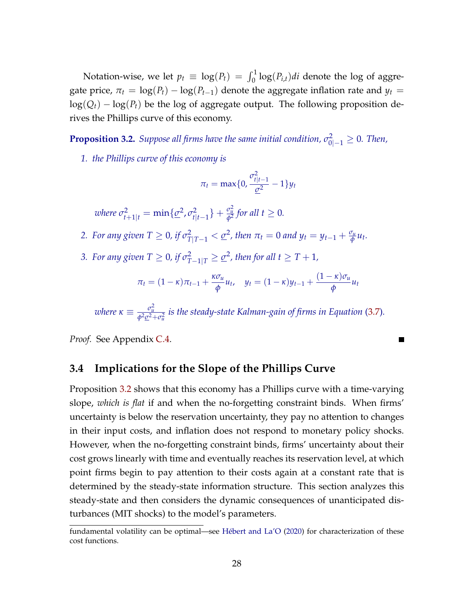Notation-wise, we let  $p_t \equiv \log(P_t) = \int_0^1 \log(P_{i,t}) dt$  denote the log of aggregate price,  $\pi_t = \log(P_t) - \log(P_{t-1})$  denote the aggregate inflation rate and  $y_t =$  $log(Q_t) - log(P_t)$  be the log of aggregate output. The following proposition derives the Phillips curve of this economy.

<span id="page-27-0"></span>**Proposition 3.2.** *Suppose all firms have the same initial condition,*  $\sigma_{0|-1}^2 \geq 0$ *. Then,* 

*1. the Phillips curve of this economy is*

$$
\pi_t = \max\{0, \frac{\sigma_{t|t-1}^2}{\underline{\sigma}^2} - 1\}y_t
$$

 $\nu$ here  $\sigma_{t+1|t}^2 = \min\{\underline{\sigma}^2, \sigma_{t|t}^2$  $\frac{c_{t}^{2}}{t|t-1}$  +  $\frac{\sigma_{u}^{2}}{\phi^{2}}$  for all  $t \geq 0$ .

- 2. *For any given*  $T \ge 0$ , if  $\sigma_{T|T-1}^2 < \underline{\sigma}^2$ , then  $\pi_t = 0$  and  $y_t = y_{t-1} + \frac{\sigma_u}{\phi}$  $\frac{\partial u}{\partial \phi}$ *u*<sub>t</sub>.
- *3. For any given T*  $\geq$  0*, if*  $\sigma_{T-1|T}^2 \geq \underline{\sigma}^2$ , then for all  $t \geq T+1$ ,

$$
\pi_t = (1 - \kappa)\pi_{t-1} + \frac{\kappa \sigma_u}{\phi} u_t, \quad y_t = (1 - \kappa)y_{t-1} + \frac{(1 - \kappa)\sigma_u}{\phi} u_t
$$

 $\overline{\phantom{a}}$ 

where  $\kappa\equiv\frac{\sigma_u^2}{\phi^2\underline{c}^2+\sigma_u^2}$  is the steady-state Kalman-gain of firms in Equation [\(3.7\)](#page-26-1).

*Proof.* See Appendix [C.4.](#page-59-1)

#### **3.4 Implications for the Slope of the Phillips Curve**

Proposition [3.2](#page-27-0) shows that this economy has a Phillips curve with a time-varying slope, *which is flat* if and when the no-forgetting constraint binds. When firms' uncertainty is below the reservation uncertainty, they pay no attention to changes in their input costs, and inflation does not respond to monetary policy shocks. However, when the no-forgetting constraint binds, firms' uncertainty about their cost grows linearly with time and eventually reaches its reservation level, at which point firms begin to pay attention to their costs again at a constant rate that is determined by the steady-state information structure. This section analyzes this steady-state and then considers the dynamic consequences of unanticipated disturbances (MIT shocks) to the model's parameters.

fundamental volatility can be optimal—see [Hébert and La'O](#page-42-14) [\(2020\)](#page-42-14) for characterization of these cost functions.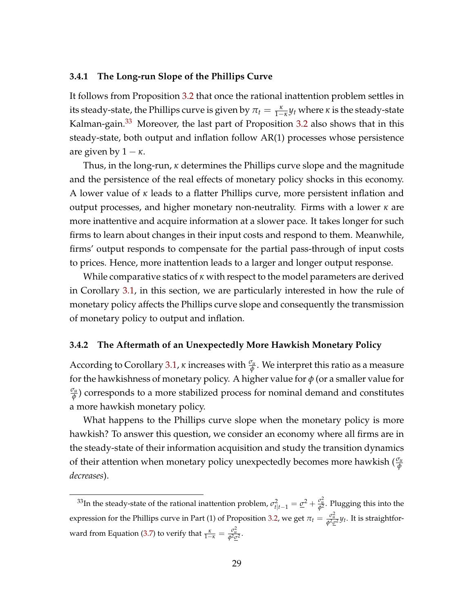#### **3.4.1 The Long-run Slope of the Phillips Curve**

It follows from Proposition [3.2](#page-27-0) that once the rational inattention problem settles in its steady-state, the Phillips curve is given by  $\pi_t = \frac{\kappa}{1-\kappa} y_t$  where  $\kappa$  is the steady-state Kalman-gain.<sup>[33](#page-0-0)</sup> Moreover, the last part of Proposition [3.2](#page-27-0) also shows that in this steady-state, both output and inflation follow AR(1) processes whose persistence are given by  $1 - \kappa$ .

Thus, in the long-run, *κ* determines the Phillips curve slope and the magnitude and the persistence of the real effects of monetary policy shocks in this economy. A lower value of *κ* leads to a flatter Phillips curve, more persistent inflation and output processes, and higher monetary non-neutrality. Firms with a lower *κ* are more inattentive and acquire information at a slower pace. It takes longer for such firms to learn about changes in their input costs and respond to them. Meanwhile, firms' output responds to compensate for the partial pass-through of input costs to prices. Hence, more inattention leads to a larger and longer output response.

While comparative statics of *κ* with respect to the model parameters are derived in Corollary [3.1,](#page-26-0) in this section, we are particularly interested in how the rule of monetary policy affects the Phillips curve slope and consequently the transmission of monetary policy to output and inflation.

#### **3.4.2 The Aftermath of an Unexpectedly More Hawkish Monetary Policy**

According to Corollary [3.1,](#page-26-0) *κ* increases with *<sup>σ</sup><sup>u</sup> φ* . We interpret this ratio as a measure for the hawkishness of monetary policy. A higher value for *φ* (or a smaller value for *σu φ* ) corresponds to a more stabilized process for nominal demand and constitutes a more hawkish monetary policy.

What happens to the Phillips curve slope when the monetary policy is more hawkish? To answer this question, we consider an economy where all firms are in the steady-state of their information acquisition and study the transition dynamics of their attention when monetary policy unexpectedly becomes more hawkish ( *<sup>σ</sup><sup>u</sup> φ decreases*).

<sup>&</sup>lt;sup>33</sup>In the steady-state of the rational inattention problem,  $\sigma_{t|t-1}^2 = \underline{\sigma}^2 + \frac{\sigma_u^2}{\phi^2}$ . Plugging this into the expression for the Phillips curve in Part (1) of Proposition [3.2,](#page-27-0) we get  $\pi_t = \frac{\sigma_u^2}{\phi^2 \sigma^2} y_t$ . It is straightfor-ward from Equation [\(3.7\)](#page-26-1) to verify that  $\frac{\kappa}{1-\kappa} = \frac{\sigma_u^2}{\phi^2 c^2}$ .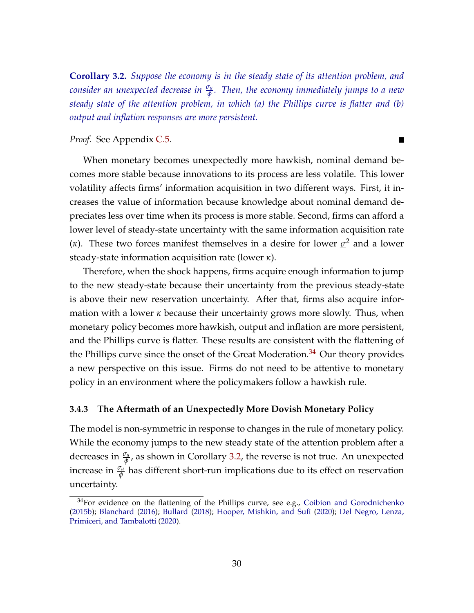<span id="page-29-0"></span>**Corollary 3.2.** *Suppose the economy is in the steady state of its attention problem, and consider an unexpected decrease in <sup>σ</sup><sup>u</sup> φ . Then, the economy immediately jumps to a new steady state of the attention problem, in which (a) the Phillips curve is flatter and (b) output and inflation responses are more persistent.*

*Proof.* See Appendix [C.5.](#page-60-0)

When monetary becomes unexpectedly more hawkish, nominal demand becomes more stable because innovations to its process are less volatile. This lower volatility affects firms' information acquisition in two different ways. First, it increases the value of information because knowledge about nominal demand depreciates less over time when its process is more stable. Second, firms can afford a lower level of steady-state uncertainty with the same information acquisition rate (*κ*). These two forces manifest themselves in a desire for lower *σ* <sup>2</sup> and a lower steady-state information acquisition rate (lower *κ*).

Therefore, when the shock happens, firms acquire enough information to jump to the new steady-state because their uncertainty from the previous steady-state is above their new reservation uncertainty. After that, firms also acquire information with a lower *κ* because their uncertainty grows more slowly. Thus, when monetary policy becomes more hawkish, output and inflation are more persistent, and the Phillips curve is flatter. These results are consistent with the flattening of the Phillips curve since the onset of the Great Moderation.<sup>[34](#page-0-0)</sup> Our theory provides a new perspective on this issue. Firms do not need to be attentive to monetary policy in an environment where the policymakers follow a hawkish rule.

#### **3.4.3 The Aftermath of an Unexpectedly More Dovish Monetary Policy**

The model is non-symmetric in response to changes in the rule of monetary policy. While the economy jumps to the new steady state of the attention problem after a decreases in  $\frac{\sigma_u}{\phi}$ , as shown in Corollary [3.2,](#page-29-0) the reverse is not true. An unexpected increase in *<sup>σ</sup><sup>u</sup> φ* has different short-run implications due to its effect on reservation uncertainty.

 $\blacksquare$ 

 $34$ For evidence on the flattening of the Phillips curve, see e.g., [Coibion and Gorodnichenko](#page-41-0) [\(2015b\)](#page-41-0); [Blanchard](#page-41-1) [\(2016\)](#page-41-1); [Bullard](#page-41-2) [\(2018\)](#page-41-2); [Hooper, Mishkin, and Sufi](#page-42-0) [\(2020\)](#page-42-0); [Del Negro, Lenza,](#page-42-1) [Primiceri, and Tambalotti](#page-42-1) [\(2020\)](#page-42-1).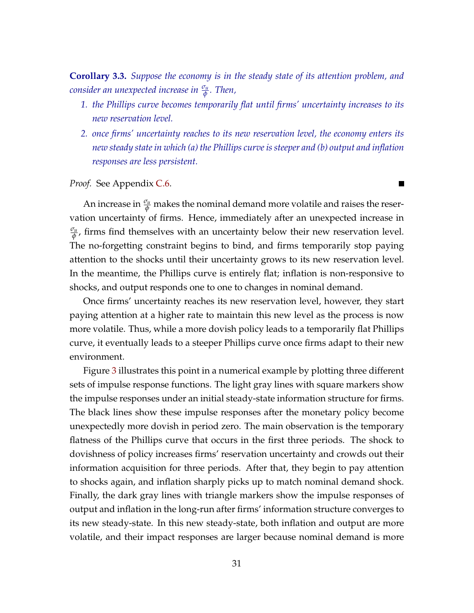<span id="page-30-0"></span>**Corollary 3.3.** *Suppose the economy is in the steady state of its attention problem, and consider an unexpected increase in <sup>σ</sup><sup>u</sup> φ . Then,*

- *1. the Phillips curve becomes temporarily flat until firms' uncertainty increases to its new reservation level.*
- *2. once firms' uncertainty reaches to its new reservation level, the economy enters its new steady state in which (a) the Phillips curve is steeper and (b) output and inflation responses are less persistent.*

П

*Proof.* See Appendix [C.6.](#page-60-1)

An increase in  $\frac{\sigma_u}{\phi}$  makes the nominal demand more volatile and raises the reservation uncertainty of firms. Hence, immediately after an unexpected increase in *σu φ* , firms find themselves with an uncertainty below their new reservation level. The no-forgetting constraint begins to bind, and firms temporarily stop paying attention to the shocks until their uncertainty grows to its new reservation level. In the meantime, the Phillips curve is entirely flat; inflation is non-responsive to shocks, and output responds one to one to changes in nominal demand.

Once firms' uncertainty reaches its new reservation level, however, they start paying attention at a higher rate to maintain this new level as the process is now more volatile. Thus, while a more dovish policy leads to a temporarily flat Phillips curve, it eventually leads to a steeper Phillips curve once firms adapt to their new environment.

Figure [3](#page-31-0) illustrates this point in a numerical example by plotting three different sets of impulse response functions. The light gray lines with square markers show the impulse responses under an initial steady-state information structure for firms. The black lines show these impulse responses after the monetary policy become unexpectedly more dovish in period zero. The main observation is the temporary flatness of the Phillips curve that occurs in the first three periods. The shock to dovishness of policy increases firms' reservation uncertainty and crowds out their information acquisition for three periods. After that, they begin to pay attention to shocks again, and inflation sharply picks up to match nominal demand shock. Finally, the dark gray lines with triangle markers show the impulse responses of output and inflation in the long-run after firms' information structure converges to its new steady-state. In this new steady-state, both inflation and output are more volatile, and their impact responses are larger because nominal demand is more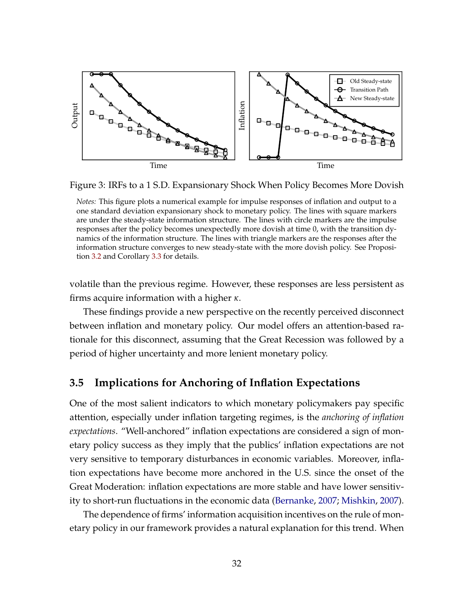<span id="page-31-0"></span>

Figure 3: IRFs to a 1 S.D. Expansionary Shock When Policy Becomes More Dovish

volatile than the previous regime. However, these responses are less persistent as firms acquire information with a higher *κ*.

These findings provide a new perspective on the recently perceived disconnect between inflation and monetary policy. Our model offers an attention-based rationale for this disconnect, assuming that the Great Recession was followed by a period of higher uncertainty and more lenient monetary policy.

### **3.5 Implications for Anchoring of Inflation Expectations**

One of the most salient indicators to which monetary policymakers pay specific attention, especially under inflation targeting regimes, is the *anchoring of inflation expectations*. "Well-anchored" inflation expectations are considered a sign of monetary policy success as they imply that the publics' inflation expectations are not very sensitive to temporary disturbances in economic variables. Moreover, inflation expectations have become more anchored in the U.S. since the onset of the Great Moderation: inflation expectations are more stable and have lower sensitivity to short-run fluctuations in the economic data [\(Bernanke,](#page-41-13) [2007;](#page-41-13) [Mishkin,](#page-43-16) [2007\)](#page-43-16).

The dependence of firms' information acquisition incentives on the rule of monetary policy in our framework provides a natural explanation for this trend. When

*Notes:* This figure plots a numerical example for impulse responses of inflation and output to a one standard deviation expansionary shock to monetary policy. The lines with square markers are under the steady-state information structure. The lines with circle markers are the impulse responses after the policy becomes unexpectedly more dovish at time 0, with the transition dynamics of the information structure. The lines with triangle markers are the responses after the information structure converges to new steady-state with the more dovish policy. See Proposition [3.2](#page-27-0) and Corollary [3.3](#page-30-0) for details.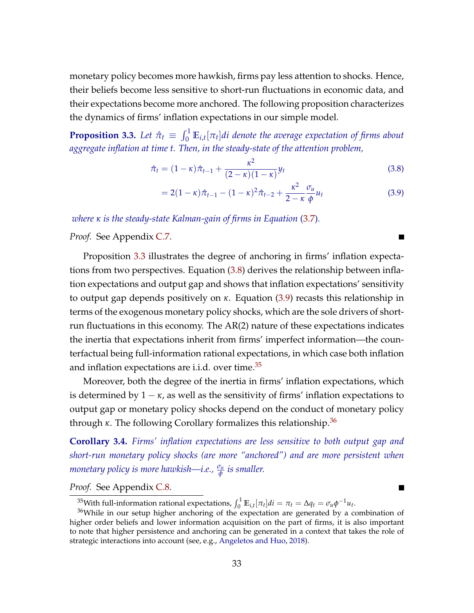monetary policy becomes more hawkish, firms pay less attention to shocks. Hence, their beliefs become less sensitive to short-run fluctuations in economic data, and their expectations become more anchored. The following proposition characterizes the dynamics of firms' inflation expectations in our simple model.

<span id="page-32-1"></span>**Proposition 3.3.** Let  $\hat{\pi}_t \equiv \int_0^1 \mathbb{E}_{i,t}[\pi_t]di$  denote the average expectation of firms about *aggregate inflation at time t. Then, in the steady-state of the attention problem,*

$$
\hat{\pi}_t = (1 - \kappa)\hat{\pi}_{t-1} + \frac{\kappa^2}{(2 - \kappa)(1 - \kappa)}y_t
$$
\n(3.8)

$$
=2(1-\kappa)\hat{\pi}_{t-1}-(1-\kappa)^2\hat{\pi}_{t-2}+\frac{\kappa^2}{2-\kappa}\frac{\sigma_u}{\phi}u_t
$$
\n(3.9)

<span id="page-32-3"></span><span id="page-32-2"></span>т

П

*where κ is the steady-state Kalman-gain of firms in Equation* [\(3.7\)](#page-26-1)*.*

*Proof.* See Appendix [C.7.](#page-60-2)

Proposition [3.3](#page-32-1) illustrates the degree of anchoring in firms' inflation expectations from two perspectives. Equation [\(3.8\)](#page-32-2) derives the relationship between inflation expectations and output gap and shows that inflation expectations' sensitivity to output gap depends positively on *κ*. Equation [\(3.9\)](#page-32-3) recasts this relationship in terms of the exogenous monetary policy shocks, which are the sole drivers of shortrun fluctuations in this economy. The AR(2) nature of these expectations indicates the inertia that expectations inherit from firms' imperfect information—the counterfactual being full-information rational expectations, in which case both inflation and inflation expectations are i.i.d. over time.<sup>[35](#page-0-0)</sup>

Moreover, both the degree of the inertia in firms' inflation expectations, which is determined by  $1 - \kappa$ , as well as the sensitivity of firms' inflation expectations to output gap or monetary policy shocks depend on the conduct of monetary policy through *κ*. The following Corollary formalizes this relationship.<sup>[36](#page-0-0)</sup>

<span id="page-32-4"></span>**Corollary 3.4.** *Firms' inflation expectations are less sensitive to both output gap and short-run monetary policy shocks (are more "anchored") and are more persistent when monetary policy is more hawkish—i.e., <sup>σ</sup><sup>u</sup> φ is smaller.*

*Proof.* See Appendix [C.8.](#page-62-0)

<span id="page-32-0"></span><sup>&</sup>lt;sup>35</sup>With full-information rational expectations,  $\int_0^1 \mathbb{E}_{i,t}[\pi_t]di = \pi_t = \Delta q_t = \sigma_u \phi^{-1} u_t$ .

<sup>36</sup>While in our setup higher anchoring of the expectation are generated by a combination of higher order beliefs and lower information acquisition on the part of firms, it is also important to note that higher persistence and anchoring can be generated in a context that takes the role of strategic interactions into account (see, e.g., [Angeletos and Huo,](#page-40-0) [2018\)](#page-40-0).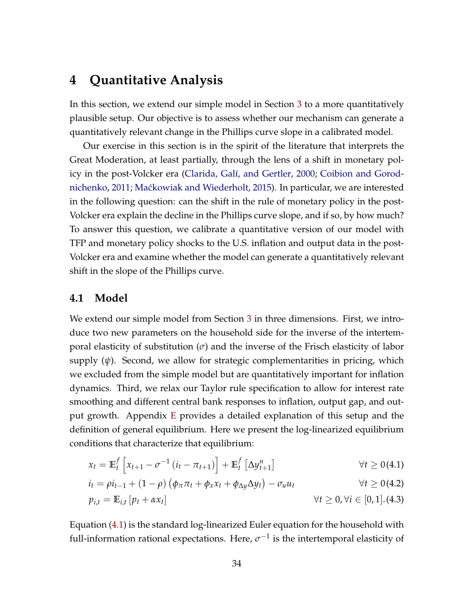## **4 Quantitative Analysis**

In this section, we extend our simple model in Section [3](#page-22-0) to a more quantitatively plausible setup. Our objective is to assess whether our mechanism can generate a quantitatively relevant change in the Phillips curve slope in a calibrated model.

Our exercise in this section is in the spirit of the literature that interprets the Great Moderation, at least partially, through the lens of a shift in monetary policy in the post-Volcker era [\(Clarida, Galí, and Gertler,](#page-41-3) [2000;](#page-41-3) [Coibion and Gorod](#page-41-4)[nichenko,](#page-41-4) [2011;](#page-41-4) [Ma´ckowiak and Wiederholt,](#page-43-2) [2015\)](#page-43-2). In particular, we are interested in the following question: can the shift in the rule of monetary policy in the post-Volcker era explain the decline in the Phillips curve slope, and if so, by how much? To answer this question, we calibrate a quantitative version of our model with TFP and monetary policy shocks to the U.S. inflation and output data in the post-Volcker era and examine whether the model can generate a quantitatively relevant shift in the slope of the Phillips curve.

#### **4.1 Model**

We extend our simple model from Section [3](#page-22-0) in three dimensions. First, we introduce two new parameters on the household side for the inverse of the intertemporal elasticity of substitution (*σ*) and the inverse of the Frisch elasticity of labor supply (*ψ*). Second, we allow for strategic complementarities in pricing, which we excluded from the simple model but are quantitatively important for inflation dynamics. Third, we relax our Taylor rule specification to allow for interest rate smoothing and different central bank responses to inflation, output gap, and output growth. Appendix [E](#page-63-0) provides a detailed explanation of this setup and the definition of general equilibrium. Here we present the log-linearized equilibrium conditions that characterize that equilibrium:

<span id="page-33-1"></span><span id="page-33-0"></span>
$$
x_t = \mathbb{E}_t^f \left[ x_{t+1} - \sigma^{-1} \left( i_t - \pi_{t+1} \right) \right] + \mathbb{E}_t^f \left[ \Delta y_{t+1}^n \right] \qquad \forall t \ge 0 \text{ (4.1)}
$$
  
\n
$$
i_t = \rho i_{t-1} + (1 - \rho) \left( \phi_\pi \pi_t + \phi_x x_t + \phi_{\Delta y} \Delta y_t \right) - \sigma_u u_t \qquad \forall t \ge 0 \text{ (4.2)}
$$

<span id="page-33-2"></span>
$$
p_{i,t} = \mathbb{E}_{i,t} \left[ p_t + \alpha x_t \right] \qquad \qquad \forall t \geq 0, \forall i \in [0,1]. (4.3)
$$

Equation [\(4.1\)](#page-33-0) is the standard log-linearized Euler equation for the household with full-information rational expectations. Here,  $\sigma^{-1}$  is the intertemporal elasticity of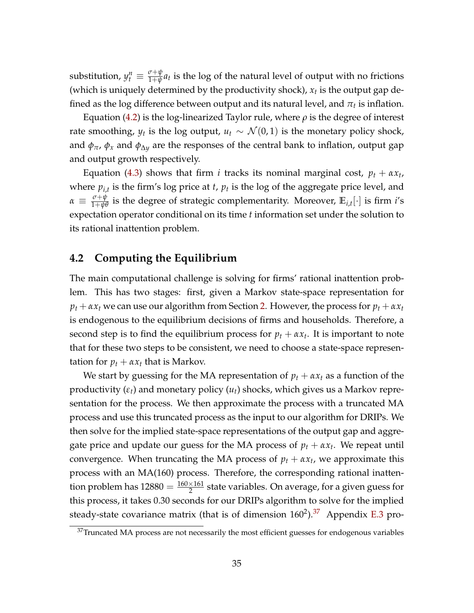substitution,  $y_t^n \equiv \frac{\sigma + \psi}{1 + \psi}$  $\frac{\partial^2 \psi}{\partial x^2} a_t$  is the log of the natural level of output with no frictions (which is uniquely determined by the productivity shock), *x<sup>t</sup>* is the output gap defined as the log difference between output and its natural level, and  $\pi_t$  is inflation.

Equation [\(4.2\)](#page-33-1) is the log-linearized Taylor rule, where *ρ* is the degree of interest rate smoothing,  $y_t$  is the log output,  $u_t \sim \mathcal{N}(0, 1)$  is the monetary policy shock, and  $\phi_{\pi}$ ,  $\phi_x$  and  $\phi_{\Delta y}$  are the responses of the central bank to inflation, output gap and output growth respectively.

Equation [\(4.3\)](#page-33-2) shows that firm *i* tracks its nominal marginal cost,  $p_t + \alpha x_t$ , where *pi*,*<sup>t</sup>* is the firm's log price at *t*, *p<sup>t</sup>* is the log of the aggregate price level, and  $\alpha \equiv \frac{\sigma + \psi}{1 + \psi \theta}$  is the degree of strategic complementarity. Moreover,  $\mathbb{E}_{i,t}[\cdot]$  is firm *i*'s expectation operator conditional on its time *t* information set under the solution to its rational inattention problem.

### <span id="page-34-0"></span>**4.2 Computing the Equilibrium**

The main computational challenge is solving for firms' rational inattention problem. This has two stages: first, given a Markov state-space representation for  $p_t + \alpha x_t$  we can use our algorithm from Section [2.](#page-5-0) However, the process for  $p_t + \alpha x_t$ is endogenous to the equilibrium decisions of firms and households. Therefore, a second step is to find the equilibrium process for  $p_t + \alpha x_t$ . It is important to note that for these two steps to be consistent, we need to choose a state-space representation for  $p_t + \alpha x_t$  that is Markov.

We start by guessing for the MA representation of  $p_t + \alpha x_t$  as a function of the productivity (*εt*) and monetary policy (*ut*) shocks, which gives us a Markov representation for the process. We then approximate the process with a truncated MA process and use this truncated process as the input to our algorithm for DRIPs. We then solve for the implied state-space representations of the output gap and aggregate price and update our guess for the MA process of  $p_t + \alpha x_t$ . We repeat until convergence. When truncating the MA process of  $p_t + \alpha x_t$ , we approximate this process with an MA(160) process. Therefore, the corresponding rational inattention problem has 12880  $=$   $\frac{160\times161}{2}$  state variables. On average, for a given guess for this process, it takes 0.30 seconds for our DRIPs algorithm to solve for the implied steady-state covariance matrix (that is of dimension  $160^2$ ).<sup>[37](#page-0-0)</sup> Appendix [E.3](#page-66-0) pro-

 $37$ Truncated MA process are not necessarily the most efficient guesses for endogenous variables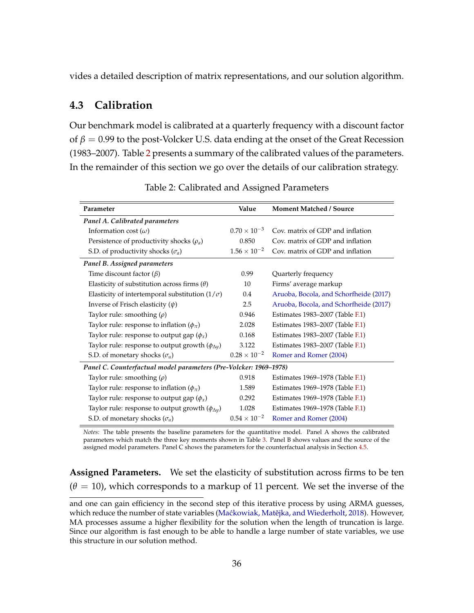vides a detailed description of matrix representations, and our solution algorithm.

#### **4.3 Calibration**

Our benchmark model is calibrated at a quarterly frequency with a discount factor of  $\beta$  = 0.99 to the post-Volcker U.S. data ending at the onset of the Great Recession (1983–2007). Table [2](#page-35-0) presents a summary of the calibrated values of the parameters. In the remainder of this section we go over the details of our calibration strategy.

<span id="page-35-0"></span>

| Parameter                                                         | Value                 | <b>Moment Matched / Source</b>         |
|-------------------------------------------------------------------|-----------------------|----------------------------------------|
| Panel A. Calibrated parameters                                    |                       |                                        |
| Information cost $(\omega)$                                       | $0.70 \times 10^{-3}$ | Cov. matrix of GDP and inflation       |
| Persistence of productivity shocks $(\rho_a)$                     | 0.850                 | Cov. matrix of GDP and inflation       |
| S.D. of productivity shocks $(\sigma_a)$                          | $1.56 \times 10^{-2}$ | Cov. matrix of GDP and inflation       |
| Panel B. Assigned parameters                                      |                       |                                        |
| Time discount factor $(\beta)$                                    | 0.99                  | Quarterly frequency                    |
| Elasticity of substitution across firms $(\theta)$                | 10                    | Firms' average markup                  |
| Elasticity of intertemporal substitution ( $1/\sigma$ )           | 0.4                   | Aruoba, Bocola, and Schorfheide (2017) |
| Inverse of Frisch elasticity $(\psi)$                             | 2.5                   | Aruoba, Bocola, and Schorfheide (2017) |
| Taylor rule: smoothing $(\rho)$                                   | 0.946                 | Estimates 1983-2007 (Table F.1)        |
| Taylor rule: response to inflation $(\phi_{\pi})$                 | 2.028                 | Estimates 1983–2007 (Table F.1)        |
| Taylor rule: response to output gap $(\phi_x)$                    | 0.168                 | Estimates 1983–2007 (Table F.1)        |
| Taylor rule: response to output growth $(\phi_{\Delta y})$        | 3.122                 | Estimates 1983–2007 (Table F.1)        |
| S.D. of monetary shocks $(\sigma_u)$                              | $0.28 \times 10^{-2}$ | Romer and Romer (2004)                 |
| Panel C. Counterfactual model parameters (Pre-Volcker: 1969–1978) |                       |                                        |
| Taylor rule: smoothing $(\rho)$                                   | 0.918                 | Estimates 1969–1978 (Table F.1)        |
| Taylor rule: response to inflation $(\phi_{\pi})$                 | 1.589                 | Estimates 1969–1978 (Table F.1)        |
| Taylor rule: response to output gap $(\phi_x)$                    | 0.292                 | Estimates 1969–1978 (Table F.1)        |
| Taylor rule: response to output growth $(\phi_{\Delta y})$        | 1.028                 | Estimates 1969–1978 (Table F.1)        |
| S.D. of monetary shocks $(\sigma_u)$                              | $0.54 \times 10^{-2}$ | Romer and Romer (2004)                 |

Table 2: Calibrated and Assigned Parameters

*Notes:* The table presents the baseline parameters for the quantitative model. Panel A shows the calibrated parameters which match the three key moments shown in Table [3.](#page-37-0) Panel B shows values and the source of the assigned model parameters. Panel C shows the parameters for the counterfactual analysis in Section [4.5.](#page-38-0)

**Assigned Parameters.** We set the elasticity of substitution across firms to be ten  $(\theta = 10)$ , which corresponds to a markup of 11 percent. We set the inverse of the

and one can gain efficiency in the second step of this iterative process by using ARMA guesses, which reduce the number of state variables (Maćkowiak, Matějka, and Wiederholt, [2018\)](#page-43-1). However, MA processes assume a higher flexibility for the solution when the length of truncation is large. Since our algorithm is fast enough to be able to handle a large number of state variables, we use this structure in our solution method.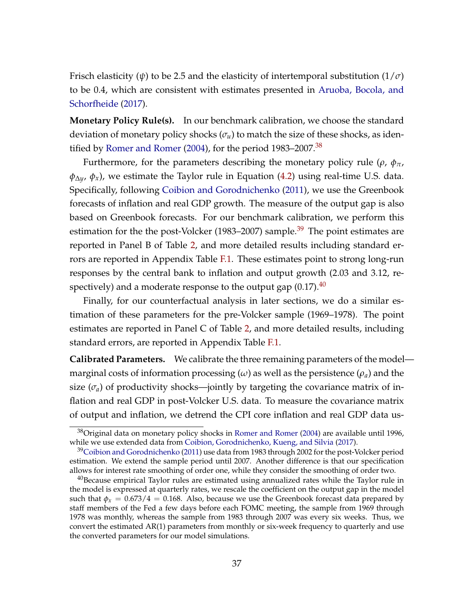Frisch elasticity ( $\psi$ ) to be 2.5 and the elasticity of intertemporal substitution ( $1/\sigma$ ) to be 0.4, which are consistent with estimates presented in [Aruoba, Bocola, and](#page-41-14) [Schorfheide](#page-41-14) [\(2017\)](#page-41-14).

**Monetary Policy Rule(s).** In our benchmark calibration, we choose the standard deviation of monetary policy shocks  $(\sigma_u)$  to match the size of these shocks, as iden-tified by [Romer and Romer](#page-44-16) [\(2004\)](#page-44-16), for the period  $1983-2007.^{38}$  $1983-2007.^{38}$  $1983-2007.^{38}$ 

Furthermore, for the parameters describing the monetary policy rule ( $\rho$ ,  $\phi_{\pi}$ ,  $\phi_{\Delta y}$ ,  $\phi_x$ ), we estimate the Taylor rule in Equation [\(4.2\)](#page-33-1) using real-time U.S. data. Specifically, following [Coibion and Gorodnichenko](#page-41-4) [\(2011\)](#page-41-4), we use the Greenbook forecasts of inflation and real GDP growth. The measure of the output gap is also based on Greenbook forecasts. For our benchmark calibration, we perform this estimation for the the post-Volcker (1983–2007) sample.<sup>[39](#page-0-0)</sup> The point estimates are reported in Panel B of Table [2,](#page-35-0) and more detailed results including standard errors are reported in Appendix Table [F.1.](#page-69-0) These estimates point to strong long-run responses by the central bank to inflation and output growth (2.03 and 3.12, respectively) and a moderate response to the output gap  $(0.17).40$  $(0.17).40$ 

Finally, for our counterfactual analysis in later sections, we do a similar estimation of these parameters for the pre-Volcker sample (1969–1978). The point estimates are reported in Panel C of Table [2,](#page-35-0) and more detailed results, including standard errors, are reported in Appendix Table [F.1.](#page-69-0)

**Calibrated Parameters.** We calibrate the three remaining parameters of the model marginal costs of information processing  $(\omega)$  as well as the persistence  $(\rho_a)$  and the size  $(\sigma_a)$  of productivity shocks—jointly by targeting the covariance matrix of inflation and real GDP in post-Volcker U.S. data. To measure the covariance matrix of output and inflation, we detrend the CPI core inflation and real GDP data us-

 $38$ Original data on monetary policy shocks in [Romer and Romer](#page-44-16) [\(2004\)](#page-44-16) are available until 1996, while we use extended data from [Coibion, Gorodnichenko, Kueng, and Silvia](#page-41-15) [\(2017\)](#page-41-15).

 $39$ [Coibion and Gorodnichenko](#page-41-4) [\(2011\)](#page-41-4) use data from 1983 through 2002 for the post-Volcker period estimation. We extend the sample period until 2007. Another difference is that our specification allows for interest rate smoothing of order one, while they consider the smoothing of order two.

 $40$ Because empirical Taylor rules are estimated using annualized rates while the Taylor rule in the model is expressed at quarterly rates, we rescale the coefficient on the output gap in the model such that  $\phi_x = 0.673/4 = 0.168$ . Also, because we use the Greenbook forecast data prepared by staff members of the Fed a few days before each FOMC meeting, the sample from 1969 through 1978 was monthly, whereas the sample from 1983 through 2007 was every six weeks. Thus, we convert the estimated AR(1) parameters from monthly or six-week frequency to quarterly and use the converted parameters for our model simulations.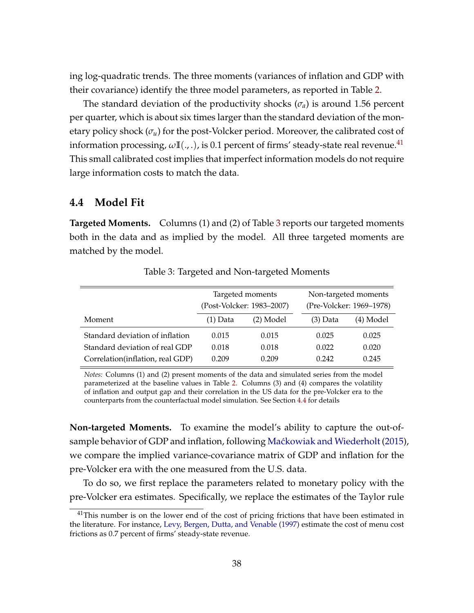ing log-quadratic trends. The three moments (variances of inflation and GDP with their covariance) identify the three model parameters, as reported in Table [2.](#page-35-0)

The standard deviation of the productivity shocks (*σa*) is around 1.56 percent per quarter, which is about six times larger than the standard deviation of the monetary policy shock  $(\sigma_u)$  for the post-Volcker period. Moreover, the calibrated cost of information processing,  $\omega \mathbb{I}(\cdot, \cdot)$ , is 0.1 percent of firms' steady-state real revenue.<sup>[41](#page-0-0)</sup> This small calibrated cost implies that imperfect information models do not require large information costs to match the data.

#### <span id="page-37-1"></span>**4.4 Model Fit**

**Targeted Moments.** Columns (1) and (2) of Table [3](#page-37-0) reports our targeted moments both in the data and as implied by the model. All three targeted moments are matched by the model.

<span id="page-37-0"></span>

|                                  |            | Targeted moments          | Non-targeted moments     |           |  |
|----------------------------------|------------|---------------------------|--------------------------|-----------|--|
|                                  |            | (Post-Volcker: 1983–2007) | (Pre-Volcker: 1969–1978) |           |  |
| Moment                           | $(1)$ Data | (2) Model                 | $(3)$ Data               | (4) Model |  |
| Standard deviation of inflation  | 0.015      | 0.015                     | 0.025                    | 0.025     |  |
| Standard deviation of real GDP   | 0.018      | 0.018                     | 0.022                    | 0.020     |  |
| Correlation(inflation, real GDP) | 0.209      | 0.209                     | 0.242                    | 0.245     |  |

Table 3: Targeted and Non-targeted Moments

*Notes:* Columns (1) and (2) present moments of the data and simulated series from the model parameterized at the baseline values in Table [2.](#page-35-0) Columns (3) and (4) compares the volatility of inflation and output gap and their correlation in the US data for the pre-Volcker era to the counterparts from the counterfactual model simulation. See Section [4.4](#page-37-1) for details

**Non-targeted Moments.** To examine the model's ability to capture the out-of-sample behavior of GDP and inflation, following Maćkowiak and Wiederholt [\(2015\)](#page-43-2), we compare the implied variance-covariance matrix of GDP and inflation for the pre-Volcker era with the one measured from the U.S. data.

To do so, we first replace the parameters related to monetary policy with the pre-Volcker era estimates. Specifically, we replace the estimates of the Taylor rule

 $41$ This number is on the lower end of the cost of pricing frictions that have been estimated in the literature. For instance, [Levy, Bergen, Dutta, and Venable](#page-43-17) [\(1997\)](#page-43-17) estimate the cost of menu cost frictions as 0.7 percent of firms' steady-state revenue.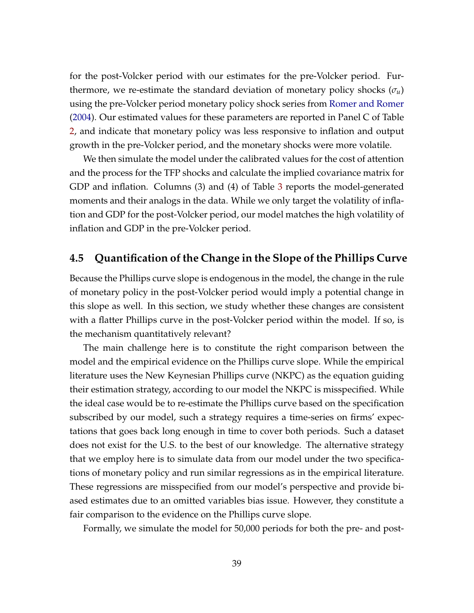for the post-Volcker period with our estimates for the pre-Volcker period. Furthermore, we re-estimate the standard deviation of monetary policy shocks  $(\sigma_u)$ using the pre-Volcker period monetary policy shock series from [Romer and Romer](#page-44-16) [\(2004\)](#page-44-16). Our estimated values for these parameters are reported in Panel C of Table [2,](#page-35-0) and indicate that monetary policy was less responsive to inflation and output growth in the pre-Volcker period, and the monetary shocks were more volatile.

We then simulate the model under the calibrated values for the cost of attention and the process for the TFP shocks and calculate the implied covariance matrix for GDP and inflation. Columns (3) and (4) of Table [3](#page-37-0) reports the model-generated moments and their analogs in the data. While we only target the volatility of inflation and GDP for the post-Volcker period, our model matches the high volatility of inflation and GDP in the pre-Volcker period.

#### <span id="page-38-0"></span>**4.5 Quantification of the Change in the Slope of the Phillips Curve**

Because the Phillips curve slope is endogenous in the model, the change in the rule of monetary policy in the post-Volcker period would imply a potential change in this slope as well. In this section, we study whether these changes are consistent with a flatter Phillips curve in the post-Volcker period within the model. If so, is the mechanism quantitatively relevant?

The main challenge here is to constitute the right comparison between the model and the empirical evidence on the Phillips curve slope. While the empirical literature uses the New Keynesian Phillips curve (NKPC) as the equation guiding their estimation strategy, according to our model the NKPC is misspecified. While the ideal case would be to re-estimate the Phillips curve based on the specification subscribed by our model, such a strategy requires a time-series on firms' expectations that goes back long enough in time to cover both periods. Such a dataset does not exist for the U.S. to the best of our knowledge. The alternative strategy that we employ here is to simulate data from our model under the two specifications of monetary policy and run similar regressions as in the empirical literature. These regressions are misspecified from our model's perspective and provide biased estimates due to an omitted variables bias issue. However, they constitute a fair comparison to the evidence on the Phillips curve slope.

Formally, we simulate the model for 50,000 periods for both the pre- and post-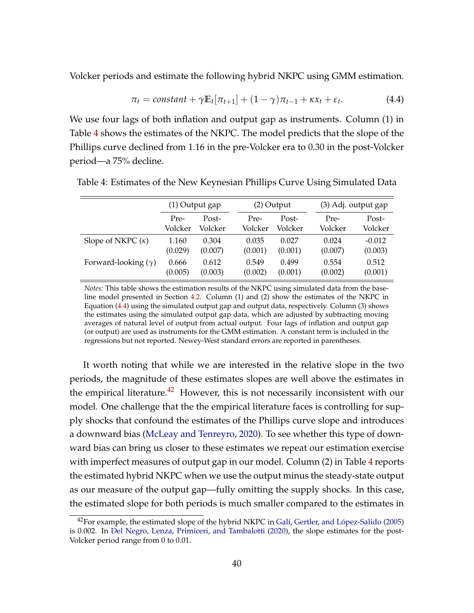Volcker periods and estimate the following hybrid NKPC using GMM estimation.

<span id="page-39-1"></span>
$$
\pi_t = constant + \gamma \mathbb{E}_t[\pi_{t+1}] + (1 - \gamma)\pi_{t-1} + \kappa x_t + \varepsilon_t.
$$
 (4.4)

We use four lags of both inflation and output gap as instruments. Column (1) in Table [4](#page-39-0) shows the estimates of the NKPC. The model predicts that the slope of the Phillips curve declined from 1.16 in the pre-Volcker era to 0.30 in the post-Volcker period—a 75% decline.

|                            | $(1)$ Output gap |         |         | $(2)$ Output |         | (3) Adj. output gap |  |
|----------------------------|------------------|---------|---------|--------------|---------|---------------------|--|
|                            | Pre-             | Post-   | Pre-    | Post-        | Pre-    | Post-               |  |
|                            | Volcker          | Volcker | Volcker | Volcker      | Volcker | Volcker             |  |
| Slope of NKPC $(\kappa)$   | 1.160            | 0.304   | 0.035   | 0.027        | 0.024   | $-0.012$            |  |
|                            | (0.029)          | (0.007) | (0.001) | (0.001)      | (0.007) | (0.003)             |  |
| Forward-looking $(\gamma)$ | 0.666            | 0.612   | 0.549   | 0.499        | 0.554   | 0.512               |  |
|                            | (0.005)          | (0.003) | (0.002) | (0.001)      | (0.002) | (0.001)             |  |

<span id="page-39-0"></span>Table 4: Estimates of the New Keynesian Phillips Curve Using Simulated Data

*Notes:* This table shows the estimation results of the NKPC using simulated data from the baseline model presented in Section [4.2.](#page-34-0) Column (1) and (2) show the estimates of the NKPC in Equation [\(4.4\)](#page-39-1) using the simulated output gap and output data, respectively. Column (3) shows the estimates using the simulated output gap data, which are adjusted by subtracting moving averages of natural level of output from actual output. Four lags of inflation and output gap (or output) are used as instruments for the GMM estimation. A constant term is included in the regressions but not reported. Newey-West standard errors are reported in parentheses.

It worth noting that while we are interested in the relative slope in the two periods, the magnitude of these estimates slopes are well above the estimates in the empirical literature.<sup>[42](#page-0-0)</sup> However, this is not necessarily inconsistent with our model. One challenge that the the empirical literature faces is controlling for supply shocks that confound the estimates of the Phillips curve slope and introduces a downward bias [\(McLeay and Tenreyro,](#page-43-10) [2020\)](#page-43-10). To see whether this type of downward bias can bring us closer to these estimates we repeat our estimation exercise with imperfect measures of output gap in our model. Column (2) in Table [4](#page-39-0) reports the estimated hybrid NKPC when we use the output minus the steady-state output as our measure of the output gap—fully omitting the supply shocks. In this case, the estimated slope for both periods is much smaller compared to the estimates in

<sup>42</sup>For example, the estimated slope of the hybrid NKPC in [Galí, Gertler, and López-Salido](#page-42-15) [\(2005\)](#page-42-15) is 0.002. In [Del Negro, Lenza, Primiceri, and Tambalotti](#page-42-1) [\(2020\)](#page-42-1), the slope estimates for the post-Volcker period range from 0 to 0.01.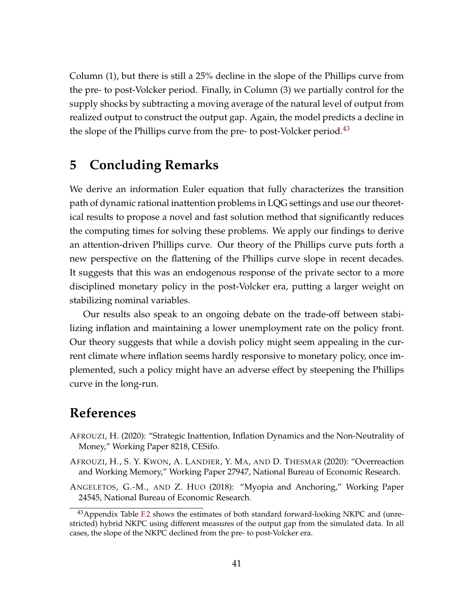Column (1), but there is still a 25% decline in the slope of the Phillips curve from the pre- to post-Volcker period. Finally, in Column (3) we partially control for the supply shocks by subtracting a moving average of the natural level of output from realized output to construct the output gap. Again, the model predicts a decline in the slope of the Phillips curve from the pre- to post-Volcker period.<sup>[43](#page-0-0)</sup>

## <span id="page-40-1"></span>**5 Concluding Remarks**

We derive an information Euler equation that fully characterizes the transition path of dynamic rational inattention problems in LQG settings and use our theoretical results to propose a novel and fast solution method that significantly reduces the computing times for solving these problems. We apply our findings to derive an attention-driven Phillips curve. Our theory of the Phillips curve puts forth a new perspective on the flattening of the Phillips curve slope in recent decades. It suggests that this was an endogenous response of the private sector to a more disciplined monetary policy in the post-Volcker era, putting a larger weight on stabilizing nominal variables.

Our results also speak to an ongoing debate on the trade-off between stabilizing inflation and maintaining a lower unemployment rate on the policy front. Our theory suggests that while a dovish policy might seem appealing in the current climate where inflation seems hardly responsive to monetary policy, once implemented, such a policy might have an adverse effect by steepening the Phillips curve in the long-run.

### **References**

- <span id="page-40-3"></span>AFROUZI, H. (2020): "Strategic Inattention, Inflation Dynamics and the Non-Neutrality of Money," Working Paper 8218, CESifo.
- <span id="page-40-2"></span>AFROUZI, H., S. Y. KWON, A. LANDIER, Y. MA, AND D. THESMAR (2020): "Overreaction and Working Memory," Working Paper 27947, National Bureau of Economic Research.
- <span id="page-40-0"></span>ANGELETOS, G.-M., AND Z. HUO (2018): "Myopia and Anchoring," Working Paper 24545, National Bureau of Economic Research.

 $43$ Appendix Table [F.2](#page-69-1) shows the estimates of both standard forward-looking NKPC and (unrestricted) hybrid NKPC using different measures of the output gap from the simulated data. In all cases, the slope of the NKPC declined from the pre- to post-Volcker era.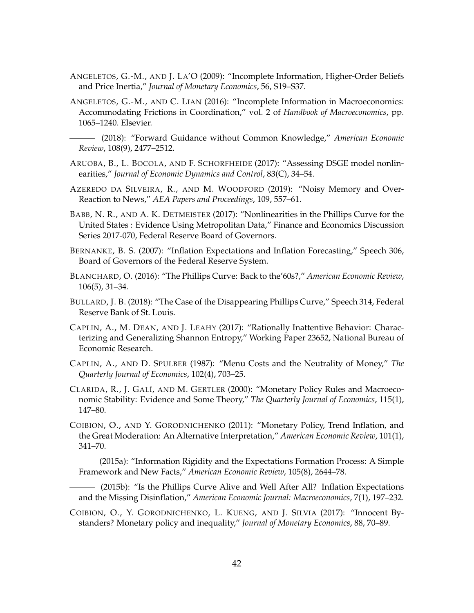- <span id="page-41-6"></span>ANGELETOS, G.-M., AND J. LA'O (2009): "Incomplete Information, Higher-Order Beliefs and Price Inertia," *Journal of Monetary Economics*, 56, S19–S37.
- <span id="page-41-7"></span>ANGELETOS, G.-M., AND C. LIAN (2016): "Incomplete Information in Macroeconomics: Accommodating Frictions in Coordination," vol. 2 of *Handbook of Macroeconomics*, pp. 1065–1240. Elsevier.
	- (2018): "Forward Guidance without Common Knowledge," *American Economic Review*, 108(9), 2477–2512.
- <span id="page-41-14"></span><span id="page-41-8"></span>ARUOBA, B., L. BOCOLA, AND F. SCHORFHEIDE (2017): "Assessing DSGE model nonlinearities," *Journal of Economic Dynamics and Control*, 83(C), 34–54.
- <span id="page-41-10"></span>AZEREDO DA SILVEIRA, R., AND M. WOODFORD (2019): "Noisy Memory and Over-Reaction to News," *AEA Papers and Proceedings*, 109, 557–61.
- <span id="page-41-9"></span>BABB, N. R., AND A. K. DETMEISTER (2017): "Nonlinearities in the Phillips Curve for the United States : Evidence Using Metropolitan Data," Finance and Economics Discussion Series 2017-070, Federal Reserve Board of Governors.
- <span id="page-41-13"></span>BERNANKE, B. S. (2007): "Inflation Expectations and Inflation Forecasting," Speech 306, Board of Governors of the Federal Reserve System.
- <span id="page-41-1"></span>BLANCHARD, O. (2016): "The Phillips Curve: Back to the'60s?," *American Economic Review*, 106(5), 31–34.
- <span id="page-41-2"></span>BULLARD, J. B. (2018): "The Case of the Disappearing Phillips Curve," Speech 314, Federal Reserve Bank of St. Louis.
- <span id="page-41-11"></span>CAPLIN, A., M. DEAN, AND J. LEAHY (2017): "Rationally Inattentive Behavior: Characterizing and Generalizing Shannon Entropy," Working Paper 23652, National Bureau of Economic Research.
- <span id="page-41-12"></span>CAPLIN, A., AND D. SPULBER (1987): "Menu Costs and the Neutrality of Money," *The Quarterly Journal of Economics*, 102(4), 703–25.
- <span id="page-41-3"></span>CLARIDA, R., J. GALÍ, AND M. GERTLER (2000): "Monetary Policy Rules and Macroeconomic Stability: Evidence and Some Theory," *The Quarterly Journal of Economics*, 115(1), 147–80.
- <span id="page-41-4"></span>COIBION, O., AND Y. GORODNICHENKO (2011): "Monetary Policy, Trend Inflation, and the Great Moderation: An Alternative Interpretation," *American Economic Review*, 101(1), 341–70.

<span id="page-41-5"></span>(2015a): "Information Rigidity and the Expectations Formation Process: A Simple Framework and New Facts," *American Economic Review*, 105(8), 2644–78.

<span id="page-41-0"></span>(2015b): "Is the Phillips Curve Alive and Well After All? Inflation Expectations and the Missing Disinflation," *American Economic Journal: Macroeconomics*, 7(1), 197–232.

<span id="page-41-15"></span>COIBION, O., Y. GORODNICHENKO, L. KUENG, AND J. SILVIA (2017): "Innocent Bystanders? Monetary policy and inequality," *Journal of Monetary Economics*, 88, 70–89.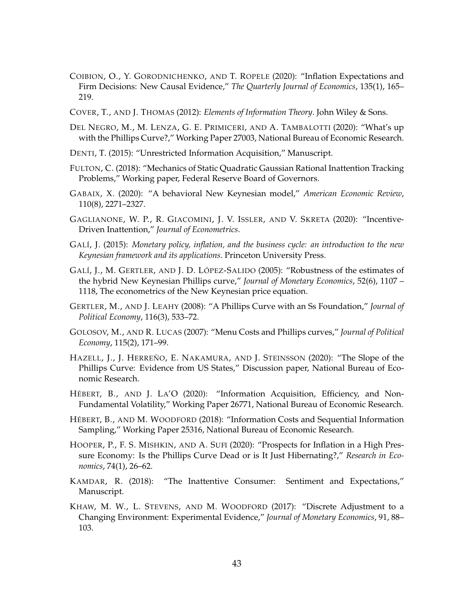- <span id="page-42-5"></span>COIBION, O., Y. GORODNICHENKO, AND T. ROPELE (2020): "Inflation Expectations and Firm Decisions: New Causal Evidence," *The Quarterly Journal of Economics*, 135(1), 165– 219.
- <span id="page-42-16"></span>COVER, T., AND J. THOMAS (2012): *Elements of Information Theory*. John Wiley & Sons.
- <span id="page-42-1"></span>DEL NEGRO, M., M. LENZA, G. E. PRIMICERI, AND A. TAMBALOTTI (2020): "What's up with the Phillips Curve?," Working Paper 27003, National Bureau of Economic Research.
- <span id="page-42-13"></span>DENTI, T. (2015): "Unrestricted Information Acquisition," Manuscript.
- <span id="page-42-2"></span>FULTON, C. (2018): "Mechanics of Static Quadratic Gaussian Rational Inattention Tracking Problems," Working paper, Federal Reserve Board of Governors.
- <span id="page-42-7"></span>GABAIX, X. (2020): "A behavioral New Keynesian model," *American Economic Review*, 110(8), 2271–2327.
- <span id="page-42-4"></span>GAGLIANONE, W. P., R. GIACOMINI, J. V. ISSLER, AND V. SKRETA (2020): "Incentive-Driven Inattention," *Journal of Econometrics*.
- <span id="page-42-12"></span>GALÍ, J. (2015): *Monetary policy, inflation, and the business cycle: an introduction to the new Keynesian framework and its applications*. Princeton University Press.
- <span id="page-42-15"></span>GALÍ, J., M. GERTLER, AND J. D. LÓPEZ-SALIDO (2005): "Robustness of the estimates of the hybrid New Keynesian Phillips curve," *Journal of Monetary Economics*, 52(6), 1107 – 1118, The econometrics of the New Keynesian price equation.
- <span id="page-42-11"></span>GERTLER, M., AND J. LEAHY (2008): "A Phillips Curve with an Ss Foundation," *Journal of Political Economy*, 116(3), 533–72.
- <span id="page-42-10"></span>GOLOSOV, M., AND R. LUCAS (2007): "Menu Costs and Phillips curves," *Journal of Political Economy*, 115(2), 171–99.
- <span id="page-42-3"></span>HAZELL, J., J. HERREÑO, E. NAKAMURA, AND J. STEINSSON (2020): "The Slope of the Phillips Curve: Evidence from US States," Discussion paper, National Bureau of Economic Research.
- <span id="page-42-14"></span>HÉBERT, B., AND J. LA'O (2020): "Information Acquisition, Efficiency, and Non-Fundamental Volatility," Working Paper 26771, National Bureau of Economic Research.
- <span id="page-42-8"></span>HÉBERT, B., AND M. WOODFORD (2018): "Information Costs and Sequential Information Sampling," Working Paper 25316, National Bureau of Economic Research.
- <span id="page-42-0"></span>HOOPER, P., F. S. MISHKIN, AND A. SUFI (2020): "Prospects for Inflation in a High Pressure Economy: Is the Phillips Curve Dead or is It Just Hibernating?," *Research in Economics*, 74(1), 26–62.
- <span id="page-42-9"></span>KAMDAR, R. (2018): "The Inattentive Consumer: Sentiment and Expectations," Manuscript.
- <span id="page-42-6"></span>KHAW, M. W., L. STEVENS, AND M. WOODFORD (2017): "Discrete Adjustment to a Changing Environment: Experimental Evidence," *Journal of Monetary Economics*, 91, 88– 103.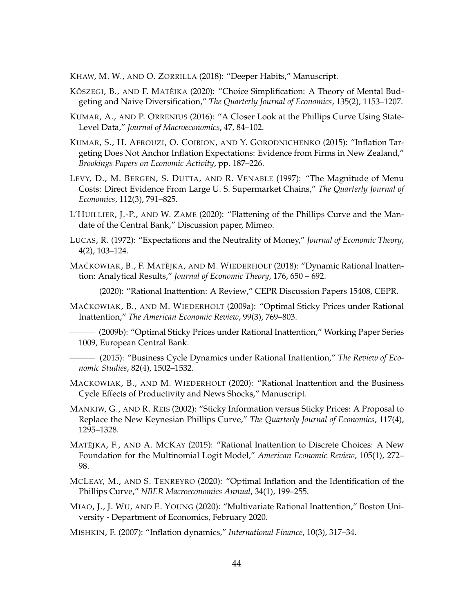<span id="page-43-6"></span>KHAW, M. W., AND O. ZORRILLA (2018): "Deeper Habits," Manuscript.

- <span id="page-43-15"></span>KŐSZEGI, B., AND F. MATĚJKA (2020): "Choice Simplification: A Theory of Mental Budgeting and Naive Diversification," *The Quarterly Journal of Economics*, 135(2), 1153–1207.
- <span id="page-43-9"></span>KUMAR, A., AND P. ORRENIUS (2016): "A Closer Look at the Phillips Curve Using State-Level Data," *Journal of Macroeconomics*, 47, 84–102.
- <span id="page-43-5"></span>KUMAR, S., H. AFROUZI, O. COIBION, AND Y. GORODNICHENKO (2015): "Inflation Targeting Does Not Anchor Inflation Expectations: Evidence from Firms in New Zealand," *Brookings Papers on Economic Activity*, pp. 187–226.
- <span id="page-43-17"></span>LEVY, D., M. BERGEN, S. DUTTA, AND R. VENABLE (1997): "The Magnitude of Menu Costs: Direct Evidence From Large U. S. Supermarket Chains," *The Quarterly Journal of Economics*, 112(3), 791–825.
- <span id="page-43-11"></span>L'HUILLIER, J.-P., AND W. ZAME (2020): "Flattening of the Phillips Curve and the Mandate of the Central Bank," Discussion paper, Mimeo.
- <span id="page-43-7"></span>LUCAS, R. (1972): "Expectations and the Neutrality of Money," *Journal of Economic Theory*, 4(2), 103–124.
- <span id="page-43-1"></span>MAĆKOWIAK, B., F. MATĚJKA, AND M. WIEDERHOLT (2018): "Dynamic Rational Inattention: Analytical Results," *Journal of Economic Theory*, 176, 650 – 692.

<span id="page-43-4"></span>(2020): "Rational Inattention: A Review," CEPR Discussion Papers 15408, CEPR.

- <span id="page-43-0"></span>MAĆKOWIAK, B., AND M. WIEDERHOLT (2009a): "Optimal Sticky Prices under Rational Inattention," *The American Economic Review*, 99(3), 769–803.
- <span id="page-43-13"></span>(2009b): "Optimal Sticky Prices under Rational Inattention," Working Paper Series 1009, European Central Bank.
- <span id="page-43-2"></span>(2015): "Business Cycle Dynamics under Rational Inattention," *The Review of Economic Studies*, 82(4), 1502–1532.
- <span id="page-43-14"></span>MACKOWIAK, B., AND M. WIEDERHOLT (2020): "Rational Inattention and the Business Cycle Effects of Productivity and News Shocks," Manuscript.
- <span id="page-43-8"></span>MANKIW, G., AND R. REIS (2002): "Sticky Information versus Sticky Prices: A Proposal to Replace the New Keynesian Phillips Curve," *The Quarterly Journal of Economics*, 117(4), 1295–1328.
- <span id="page-43-12"></span>MATĚJKA, F., AND A. MCKAY (2015): "Rational Inattention to Discrete Choices: A New Foundation for the Multinomial Logit Model," *American Economic Review*, 105(1), 272– 98.
- <span id="page-43-10"></span>MCLEAY, M., AND S. TENREYRO (2020): "Optimal Inflation and the Identification of the Phillips Curve," *NBER Macroeconomics Annual*, 34(1), 199–255.
- <span id="page-43-3"></span>MIAO, J., J. WU, AND E. YOUNG (2020): "Multivariate Rational Inattention," Boston University - Department of Economics, February 2020.

<span id="page-43-16"></span>MISHKIN, F. (2007): "Inflation dynamics," *International Finance*, 10(3), 317–34.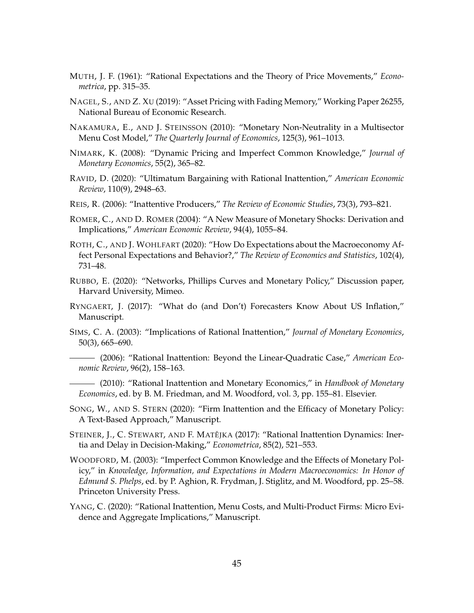- <span id="page-44-0"></span>MUTH, J. F. (1961): "Rational Expectations and the Theory of Price Movements," *Econometrica*, pp. 315–35.
- <span id="page-44-12"></span>NAGEL, S., AND Z. XU (2019): "Asset Pricing with Fading Memory," Working Paper 26255, National Bureau of Economic Research.
- <span id="page-44-15"></span>NAKAMURA, E., AND J. STEINSSON (2010): "Monetary Non-Neutrality in a Multisector Menu Cost Model," *The Quarterly Journal of Economics*, 125(3), 961–1013.
- <span id="page-44-9"></span>NIMARK, K. (2008): "Dynamic Pricing and Imperfect Common Knowledge," *Journal of Monetary Economics*, 55(2), 365–82.
- <span id="page-44-14"></span>RAVID, D. (2020): "Ultimatum Bargaining with Rational Inattention," *American Economic Review*, 110(9), 2948–63.
- <span id="page-44-10"></span>REIS, R. (2006): "Inattentive Producers," *The Review of Economic Studies*, 73(3), 793–821.
- <span id="page-44-16"></span>ROMER, C., AND D. ROMER (2004): "A New Measure of Monetary Shocks: Derivation and Implications," *American Economic Review*, 94(4), 1055–84.
- <span id="page-44-6"></span>ROTH, C., AND J. WOHLFART (2020): "How Do Expectations about the Macroeconomy Affect Personal Expectations and Behavior?," *The Review of Economics and Statistics*, 102(4), 731–48.
- <span id="page-44-11"></span>RUBBO, E. (2020): "Networks, Phillips Curves and Monetary Policy," Discussion paper, Harvard University, Mimeo.
- <span id="page-44-5"></span>RYNGAERT, J. (2017): "What do (and Don't) Forecasters Know About US Inflation," Manuscript.
- <span id="page-44-1"></span>SIMS, C. A. (2003): "Implications of Rational Inattention," *Journal of Monetary Economics*, 50(3), 665–690.
- <span id="page-44-2"></span>(2006): "Rational Inattention: Beyond the Linear-Quadratic Case," *American Economic Review*, 96(2), 158–163.

<span id="page-44-3"></span>(2010): "Rational Inattention and Monetary Economics," in *Handbook of Monetary Economics*, ed. by B. M. Friedman, and M. Woodford, vol. 3, pp. 155–81. Elsevier.

<span id="page-44-4"></span>SONG, W., AND S. STERN (2020): "Firm Inattention and the Efficacy of Monetary Policy: A Text-Based Approach," Manuscript.

<span id="page-44-13"></span>STEINER, J., C. STEWART, AND F. MATĚJKA (2017): "Rational Inattention Dynamics: Inertia and Delay in Decision-Making," *Econometrica*, 85(2), 521–553.

- <span id="page-44-8"></span>WOODFORD, M. (2003): "Imperfect Common Knowledge and the Effects of Monetary Policy," in *Knowledge, Information, and Expectations in Modern Macroeconomics: In Honor of Edmund S. Phelps*, ed. by P. Aghion, R. Frydman, J. Stiglitz, and M. Woodford, pp. 25–58. Princeton University Press.
- <span id="page-44-7"></span>YANG, C. (2020): "Rational Inattention, Menu Costs, and Multi-Product Firms: Micro Evidence and Aggregate Implications," Manuscript.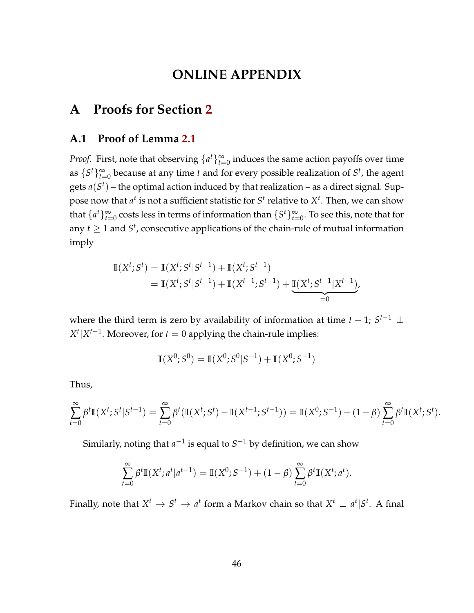## **ONLINE APPENDIX**

## **A Proofs for Section [2](#page-5-0)**

#### <span id="page-45-0"></span>**A.1 Proof of Lemma [2.1](#page-7-3)**

*Proof.* First, note that observing  $\{a^t\}_{t=0}^{\infty}$  induces the same action payoffs over time as  $\{S^t\}_{t=0}^{\infty}$  because at any time *t* and for every possible realization of  $S^t$ , the agent gets  $a(S^t)$  – the optimal action induced by that realization – as a direct signal. Suppose now that  $a^t$  is not a sufficient statistic for  $S^t$  relative to  $X^t$ . Then, we can show that  $\{a^t\}_{t=0}^\infty$  costs less in terms of information than  $\{S^t\}_{t=0}^\infty$ . To see this, note that for any  $t \geq 1$  and  $S^t$ , consecutive applications of the chain-rule of mutual information imply

$$
\mathbb{I}(X^{t}; S^{t}) = \mathbb{I}(X^{t}; S^{t} | S^{t-1}) + \mathbb{I}(X^{t}; S^{t-1})
$$
  
=  $\mathbb{I}(X^{t}; S^{t} | S^{t-1}) + \mathbb{I}(X^{t-1}; S^{t-1}) + \underbrace{\mathbb{I}(X^{t}; S^{t-1} | X^{t-1})}_{=0},$ 

where the third term is zero by availability of information at time  $t-1$ ;  $S^{t-1} \perp$  $X^t | X^{t-1}$ . Moreover, for  $t = 0$  applying the chain-rule implies:

$$
\mathbb{I}(X^0; S^0) = \mathbb{I}(X^0; S^0|S^{-1}) + \mathbb{I}(X^0; S^{-1})
$$

Thus,

$$
\sum_{t=0}^{\infty} \beta^t \mathbb{I}(X^t; S^t | S^{t-1}) = \sum_{t=0}^{\infty} \beta^t (\mathbb{I}(X^t; S^t) - \mathbb{I}(X^{t-1}; S^{t-1})) = \mathbb{I}(X^0; S^{-1}) + (1-\beta) \sum_{t=0}^{\infty} \beta^t \mathbb{I}(X^t; S^t).
$$

Similarly, noting that  $a^{-1}$  is equal to  $S^{-1}$  by definition, we can show

$$
\sum_{t=0}^{\infty} \beta^t \mathbb{I}(X^t; a^t | a^{t-1}) = \mathbb{I}(X^0; S^{-1}) + (1 - \beta) \sum_{t=0}^{\infty} \beta^t \mathbb{I}(X^t; a^t).
$$

Finally, note that  $X^t \rightarrow S^t \rightarrow a^t$  form a Markov chain so that  $X^t \perp a^t | S^t$ . A final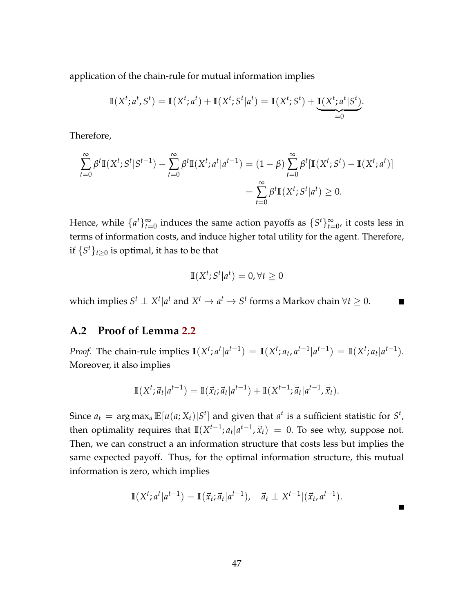application of the chain-rule for mutual information implies

$$
\mathbb{I}(X^t; a^t, S^t) = \mathbb{I}(X^t; a^t) + \mathbb{I}(X^t; S^t | a^t) = \mathbb{I}(X^t; S^t) + \underbrace{\mathbb{I}(X^t; a^t | S^t)}_{=0}.
$$

Therefore,

$$
\sum_{t=0}^{\infty} \beta^t \mathbb{I}(X^t; S^t | S^{t-1}) - \sum_{t=0}^{\infty} \beta^t \mathbb{I}(X^t; a^t | a^{t-1}) = (1 - \beta) \sum_{t=0}^{\infty} \beta^t [\mathbb{I}(X^t; S^t) - \mathbb{I}(X^t; a^t)]
$$
  
= 
$$
\sum_{t=0}^{\infty} \beta^t \mathbb{I}(X^t; S^t | a^t) \ge 0.
$$

Hence, while  $\{a^t\}_{t=0}^{\infty}$  induces the same action payoffs as  $\{S^t\}_{t=0}^{\infty}$ , it costs less in terms of information costs, and induce higher total utility for the agent. Therefore, if  $\{S^t\}_{t\geq 0}$  is optimal, it has to be that

$$
\mathbb{I}(X^t; S^t | a^t) = 0, \forall t \ge 0
$$

which implies  $S^t \perp X^t | a^t$  and  $X^t \to a^t \to S^t$  forms a Markov chain  $\forall t \geq 0$ .  $\blacksquare$ 

### <span id="page-46-0"></span>**A.2 Proof of Lemma [2.2](#page-8-0)**

*Proof.* The chain-rule implies  $\mathbb{I}(X^t; a^t | a^{t-1}) = \mathbb{I}(X^t; a_t, a^{t-1} | a^{t-1}) = \mathbb{I}(X^t; a_t | a^{t-1}).$ Moreover, it also implies

$$
\mathbb{I}(X^t; \vec{a}_t | a^{t-1}) = \mathbb{I}(\vec{x}_t; \vec{a}_t | a^{t-1}) + \mathbb{I}(X^{t-1}; \vec{a}_t | a^{t-1}, \vec{x}_t).
$$

Since  $a_t = \argmax_a \mathbb{E}[u(a;X_t)|S^t]$  and given that  $a^t$  is a sufficient statistic for  $S^t$ , then optimality requires that  $\mathbb{I}(X^{t-1}; a_t | a^{t-1}, \vec{x}_t) = 0$ . To see why, suppose not. Then, we can construct a an information structure that costs less but implies the same expected payoff. Thus, for the optimal information structure, this mutual information is zero, which implies

<span id="page-46-1"></span>
$$
\mathbb{I}(X^t; a^t | a^{t-1}) = \mathbb{I}(\vec{x}_t; \vec{a}_t | a^{t-1}), \quad \vec{a}_t \perp X^{t-1} | (\vec{x}_t, a^{t-1}).
$$

П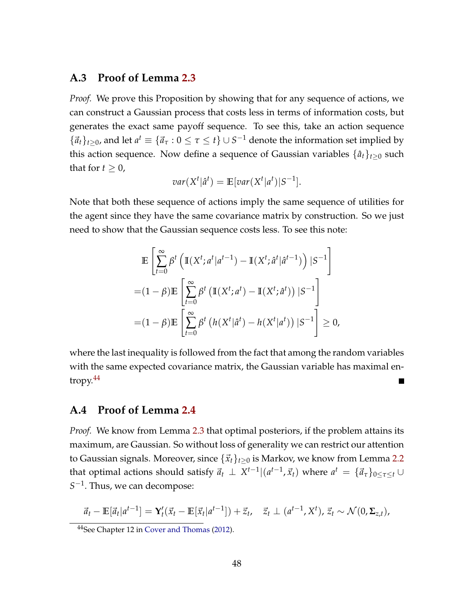#### **A.3 Proof of Lemma [2.3](#page-9-0)**

*Proof.* We prove this Proposition by showing that for any sequence of actions, we can construct a Gaussian process that costs less in terms of information costs, but generates the exact same payoff sequence. To see this, take an action sequence  ${\{\vec{a}_t\}}_{t\geq0}$ , and let  $a^t \equiv {\{\vec{a}_\tau : 0 \leq \tau \leq t\}} \cup S^{-1}$  denote the information set implied by this action sequence. Now define a sequence of Gaussian variables  $\{\hat{a}_t\}_{t>0}$  such that for  $t \geq 0$ ,

$$
var(X^t|\hat{a}^t) = \mathbb{E}[var(X^t|a^t)|S^{-1}].
$$

Note that both these sequence of actions imply the same sequence of utilities for the agent since they have the same covariance matrix by construction. So we just need to show that the Gaussian sequence costs less. To see this note:

$$
\mathbb{E}\left[\sum_{t=0}^{\infty} \beta^t \left(\mathbb{I}(X^t; a^t | a^{t-1}) - \mathbb{I}(X^t; \hat{a}^t | \hat{a}^{t-1})\right) | S^{-1}\right]
$$

$$
= (1 - \beta)\mathbb{E}\left[\sum_{t=0}^{\infty} \beta^t \left(\mathbb{I}(X^t; a^t) - \mathbb{I}(X^t; \hat{a}^t)\right) | S^{-1}\right]
$$

$$
= (1 - \beta)\mathbb{E}\left[\sum_{t=0}^{\infty} \beta^t \left(h(X^t | \hat{a}^t) - h(X^t | a^t)\right) | S^{-1}\right] \ge 0,
$$

where the last inequality is followed from the fact that among the random variables with the same expected covariance matrix, the Gaussian variable has maximal entropy. $44$ 

#### <span id="page-47-0"></span>**A.4 Proof of Lemma [2.4](#page-10-0)**

*Proof.* We know from Lemma [2.3](#page-9-0) that optimal posteriors, if the problem attains its maximum, are Gaussian. So without loss of generality we can restrict our attention to Gaussian signals. Moreover, since  $\{\vec{x}_t\}_{t\geq 0}$  is Markov, we know from Lemma [2.2](#page-8-0) that optimal actions should satisfy  $\vec{a}_t \perp X^{t-1}|(a^{t-1}, \vec{x}_t)$  where  $a^t \:=\: \{\vec{a}_\tau\}_{0\leq \tau \leq t} \cup$ *S*<sup>−1</sup>. Thus, we can decompose:

$$
\vec{a}_t - \mathbb{E}[\vec{a}_t|a^{t-1}] = \mathbf{Y}_t'(\vec{x}_t - \mathbb{E}[\vec{x}_t|a^{t-1}]) + \vec{z}_t, \quad \vec{z}_t \perp (a^{t-1}, X^t), \vec{z}_t \sim \mathcal{N}(0, \Sigma_{z,t}),
$$

<sup>44</sup>See Chapter 12 in [Cover and Thomas](#page-42-16) [\(2012\)](#page-42-16).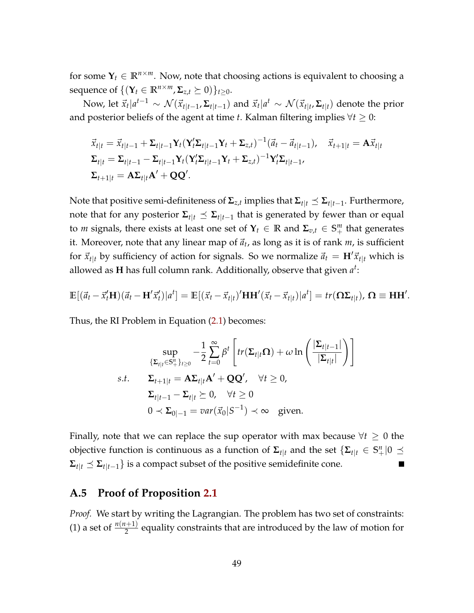for some  $Y_t \in \mathbb{R}^{n \times m}$ . Now, note that choosing actions is equivalent to choosing a sequence of  $\{(\mathbf{Y}_t \in \mathbb{R}^{n \times m}, \Sigma_{z,t} \succeq 0)\}_{t \geq 0}$ .

Now, let  $\vec{x}_t|a^{t-1} \sim \mathcal{N}(\vec{x}_{t|t-1}, \Sigma_{t|t-1})$  and  $\vec{x}_t|a^t \sim \mathcal{N}(\vec{x}_{t|t}, \Sigma_{t|t})$  denote the prior and posterior beliefs of the agent at time *t*. Kalman filtering implies  $\forall t \geq 0$ :

$$
\begin{aligned}\n\vec{x}_{t|t} &= \vec{x}_{t|t-1} + \Sigma_{t|t-1} \mathbf{Y}_t (\mathbf{Y}_t' \Sigma_{t|t-1} \mathbf{Y}_t + \Sigma_{z,t})^{-1} (\vec{a}_t - \vec{a}_{t|t-1}), \quad \vec{x}_{t+1|t} = \mathbf{A} \vec{x}_{t|t} \\
\Sigma_{t|t} &= \Sigma_{t|t-1} - \Sigma_{t|t-1} \mathbf{Y}_t (\mathbf{Y}_t' \Sigma_{t|t-1} \mathbf{Y}_t + \Sigma_{z,t})^{-1} \mathbf{Y}_t' \Sigma_{t|t-1}, \\
\Sigma_{t+1|t} &= \mathbf{A} \Sigma_{t|t} \mathbf{A}' + \mathbf{Q} \mathbf{Q}'.\n\end{aligned}
$$

Note that positive semi-definiteness of  $\mathbf{\Sigma}_{z,t}$  implies that  $\mathbf{\Sigma}_{t|t} \preceq \mathbf{\Sigma}_{t|t-1}.$  Furthermore, note that for any posterior  $\Sigma_{t|t} \preceq \Sigma_{t|t-1}$  that is generated by fewer than or equal to *m* signals, there exists at least one set of  $Y_t \in \mathbb{R}$  and  $\Sigma_{v,t} \in S^m_+$  that generates it. Moreover, note that any linear map of  $\vec{a}_t$ , as long as it is of rank  $m$ , is sufficient for  $\vec{x}_{t|t}$  by sufficiency of action for signals. So we normalize  $\vec{a}_t = H' \vec{x}_{t|t}$  which is allowed as **H** has full column rank. Additionally, observe that given *a t* :

$$
\mathbb{E}[(\vec{a}_t - \vec{x}'_t \mathbf{H})(\vec{a}_t - \mathbf{H}'\vec{x}'_t)|a^t] = \mathbb{E}[(\vec{x}_t - \vec{x}_{t|t})'\mathbf{H}\mathbf{H}'(\vec{x}_t - \vec{x}_{t|t})|a^t] = tr(\mathbf{\Omega}\Sigma_{t|t}), \mathbf{\Omega} \equiv \mathbf{H}\mathbf{H}'.
$$

Thus, the RI Problem in Equation [\(2.1\)](#page-7-0) becomes:

$$
\sup_{\{\Sigma_{t|t}\in\mathbb{S}_{+}^{n}\}_{t\geq0}} -\frac{1}{2}\sum_{t=0}^{\infty}\beta^{t}\left[tr(\Sigma_{t|t}\Omega)+\omega\ln\left(\frac{|\Sigma_{t|t-1}|}{|\Sigma_{t|t}|}\right)\right]
$$
  
s.t. 
$$
\Sigma_{t+1|t} = A\Sigma_{t|t}A' + QQ', \quad \forall t \geq 0,
$$

$$
\Sigma_{t|t-1} - \Sigma_{t|t} \succeq 0, \quad \forall t \geq 0
$$

$$
0 \prec \Sigma_{0|-1} = var(\vec{x}_{0}|S^{-1}) \prec \infty \quad \text{given.}
$$

Finally, note that we can replace the sup operator with max because  $\forall t \geq 0$  the objective function is continuous as a function of  $\mathbf{\Sigma}_{t|t}$  and the set  $\{\mathbf{\Sigma}_{t|t}\in\mathbb{S}^n_+|0\preceq\mathbb{S}^n_+\}$  $\Sigma_{t|t} \preceq \Sigma_{t|t-1}$ } is a compact subset of the positive semidefinite cone.

#### <span id="page-48-0"></span>**A.5 Proof of Proposition [2.1](#page-11-4)**

*Proof.* We start by writing the Lagrangian. The problem has two set of constraints: (1) a set of  $\frac{n(n+1)}{2}$  equality constraints that are introduced by the law of motion for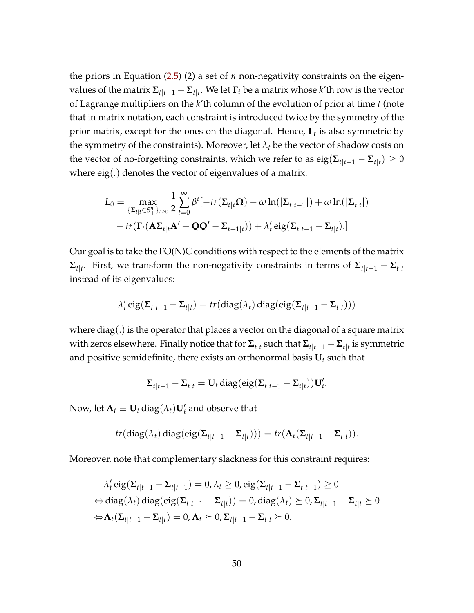the priors in Equation [\(2.5\)](#page-10-2) (2) a set of *n* non-negativity constraints on the eigenvalues of the matrix  $\mathbf{\Sigma}_{t|t-1}-\mathbf{\Sigma}_{t|t}.$  We let  $\mathbf{\Gamma}_t$  be a matrix whose  $k'$ th row is the vector of Lagrange multipliers on the *k*'th column of the evolution of prior at time *t* (note that in matrix notation, each constraint is introduced twice by the symmetry of the prior matrix, except for the ones on the diagonal. Hence, **Γ***<sup>t</sup>* is also symmetric by the symmetry of the constraints). Moreover, let  $\lambda_t$  be the vector of shadow costs on the vector of no-forgetting constraints, which we refer to as  $\text{eig}(\mathbf{\Sigma}_{t|t-1} - \mathbf{\Sigma}_{t|t}) \geq 0$ where eig(.) denotes the vector of eigenvalues of a matrix.

$$
L_0 = \max_{\{\Sigma_{t|t}\in\mathbb{S}_+^n\}_{t\geq 0}} \frac{1}{2} \sum_{t=0}^{\infty} \beta^t [-tr(\Sigma_{t|t}\Omega) - \omega \ln(|\Sigma_{t|t-1}|) + \omega \ln(|\Sigma_{t|t}|)
$$

$$
- tr(\Gamma_t(\mathbf{A}\Sigma_{t|t}\mathbf{A}' + \mathbf{Q}\mathbf{Q}' - \Sigma_{t+1|t})) + \lambda'_t \operatorname{eig}(\Sigma_{t|t-1} - \Sigma_{t|t}).]
$$

Our goal is to take the  $FO(N)C$  conditions with respect to the elements of the matrix  $\Sigma_{t|t}$ . First, we transform the non-negativity constraints in terms of  $\Sigma_{t|t-1} - \Sigma_{t|t}$ instead of its eigenvalues:

$$
\lambda'_{t} \operatorname{eig}(\Sigma_{t|t-1} - \Sigma_{t|t}) = tr(\operatorname{diag}(\lambda_{t}) \operatorname{diag}(\operatorname{eig}(\Sigma_{t|t-1} - \Sigma_{t|t})))
$$

where diag( $\cdot$ ) is the operator that places a vector on the diagonal of a square matrix with zeros elsewhere. Finally notice that for  $\Sigma_{t|t}$  such that  $\Sigma_{t|t-1} - \Sigma_{t|t}$  is symmetric and positive semidefinite, there exists an orthonormal basis  $U_t$  such that

$$
\Sigma_{t|t-1} - \Sigma_{t|t} = \mathbf{U}_t \operatorname{diag}(\text{eig}(\Sigma_{t|t-1} - \Sigma_{t|t})) \mathbf{U}'_t.
$$

Now, let  $\mathbf{\Lambda}_t \equiv \mathbf{U}_t \operatorname{diag}(\lambda_t) \mathbf{U}'_t$  and observe that

$$
tr(\text{diag}(\lambda_t) \text{diag}(\text{eig}(\Sigma_{t|t-1}-\Sigma_{t|t}))) = tr(\Lambda_t(\Sigma_{t|t-1}-\Sigma_{t|t})).
$$

Moreover, note that complementary slackness for this constraint requires:

$$
\lambda'_t \operatorname{eig}(\Sigma_{t|t-1} - \Sigma_{t|t-1}) = 0, \lambda_t \ge 0, \operatorname{eig}(\Sigma_{t|t-1} - \Sigma_{t|t-1}) \ge 0
$$
  
\n
$$
\Leftrightarrow \operatorname{diag}(\lambda_t) \operatorname{diag}(\operatorname{eig}(\Sigma_{t|t-1} - \Sigma_{t|t})) = 0, \operatorname{diag}(\lambda_t) \ge 0, \Sigma_{t|t-1} - \Sigma_{t|t} \ge 0
$$
  
\n
$$
\Leftrightarrow \Lambda_t(\Sigma_{t|t-1} - \Sigma_{t|t}) = 0, \Lambda_t \ge 0, \Sigma_{t|t-1} - \Sigma_{t|t} \ge 0.
$$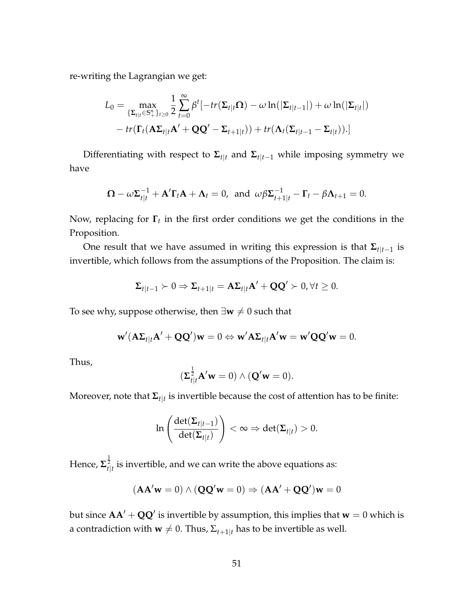re-writing the Lagrangian we get:

$$
L_0 = \max_{\{\Sigma_{t|t}\in\mathbb{S}_+^n\}_{t\geq 0}} \frac{1}{2} \sum_{t=0}^{\infty} \beta^t [-tr(\Sigma_{t|t}\Omega) - \omega \ln(|\Sigma_{t|t-1}|) + \omega \ln(|\Sigma_{t|t}|)
$$

$$
- tr(\Gamma_t(\mathbf{A}\Sigma_{t|t}\mathbf{A}' + \mathbf{Q}\mathbf{Q}' - \Sigma_{t+1|t})) + tr(\mathbf{\Lambda}_t(\Sigma_{t|t-1} - \Sigma_{t|t})).]
$$

Differentiating with respect to  $\Sigma_{t|t}$  and  $\Sigma_{t|t-1}$  while imposing symmetry we have

$$
\mathbf{\Omega} - \omega \mathbf{\Sigma}_{t|t}^{-1} + \mathbf{A}' \mathbf{\Gamma}_t \mathbf{A} + \mathbf{\Lambda}_t = 0, \text{ and } \omega \beta \mathbf{\Sigma}_{t+1|t}^{-1} - \mathbf{\Gamma}_t - \beta \mathbf{\Lambda}_{t+1} = 0.
$$

Now, replacing for **Γ***<sup>t</sup>* in the first order conditions we get the conditions in the Proposition.

One result that we have assumed in writing this expression is that  $\Sigma_{t|t-1}$  is invertible, which follows from the assumptions of the Proposition. The claim is:

$$
\Sigma_{t|t-1} \succ 0 \Rightarrow \Sigma_{t+1|t} = A\Sigma_{t|t}A' + QQ' \succ 0, \forall t \geq 0.
$$

To see why, suppose otherwise, then  $\exists w \neq 0$  such that

$$
\mathbf{w}'(\mathbf{A}\Sigma_{t|t}\mathbf{A}'+\mathbf{Q}\mathbf{Q}')\mathbf{w}=0 \Leftrightarrow \mathbf{w}'\mathbf{A}\Sigma_{t|t}\mathbf{A}'\mathbf{w}=\mathbf{w}'\mathbf{Q}\mathbf{Q}'\mathbf{w}=0.
$$

Thus,

$$
(\Sigma_{t|t}^{\frac{1}{2}}\mathbf{A}'\mathbf{w}=0)\wedge(\mathbf{Q}'\mathbf{w}=0).
$$

Moreover, note that **Σ***t*|*<sup>t</sup>* is invertible because the cost of attention has to be finite:

$$
\ln\left(\frac{\det(\mathbf{\Sigma}_{t|t-1})}{\det(\mathbf{\Sigma}_{t|t})}\right) < \infty \Rightarrow \det(\mathbf{\Sigma}_{t|t}) > 0.
$$

Hence,  $\mathbf{\Sigma}_{t|t}^{\frac{1}{2}}$  is invertible, and we can write the above equations as:

$$
(\mathbf{A}\mathbf{A}'\mathbf{w}=0) \wedge (\mathbf{Q}\mathbf{Q}'\mathbf{w}=0) \Rightarrow (\mathbf{A}\mathbf{A}' + \mathbf{Q}\mathbf{Q}')\mathbf{w}=0
$$

but since  $AA'+QQ'$  is invertible by assumption, this implies that  $w=0$  which is a contradiction with **w**  $\neq$  0. Thus,  $\Sigma_{t+1|t}$  has to be invertible as well.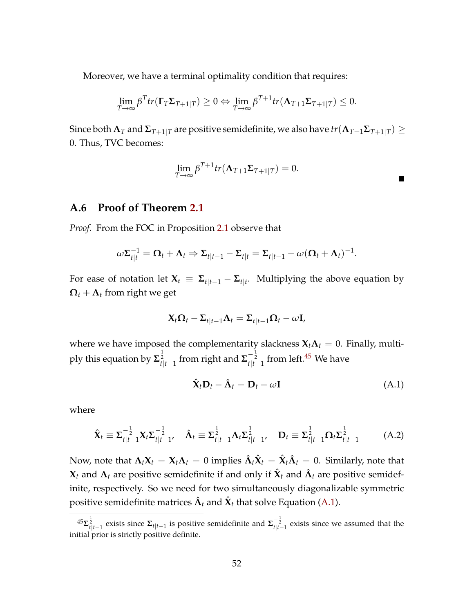Moreover, we have a terminal optimality condition that requires:

$$
\lim_{T\to\infty}\beta^T tr(\mathbf{\Gamma}_T \mathbf{\Sigma}_{T+1|T}) \geq 0 \Leftrightarrow \lim_{T\to\infty}\beta^{T+1} tr(\mathbf{\Lambda}_{T+1} \mathbf{\Sigma}_{T+1|T}) \leq 0.
$$

 ${\rm Since}$  both  $\bm{\Lambda}_T$  and  $\bm{\Sigma}_{T+1|T}$  are positive semidefinite, we also have  $tr(\bm{\Lambda}_{T+1}\bm{\Sigma}_{T+1|T})\geq 0$ 0. Thus, TVC becomes:

$$
\lim_{T\to\infty}\beta^{T+1}tr(\mathbf{\Lambda}_{T+1}\mathbf{\Sigma}_{T+1|T})=0.
$$

 $\blacksquare$ 

#### <span id="page-51-0"></span>**A.6 Proof of Theorem [2.1](#page-12-2)**

*Proof.* From the FOC in Proposition [2.1](#page-11-4) observe that

$$
\omega \Sigma_{t|t}^{-1} = \Omega_t + \Lambda_t \Rightarrow \Sigma_{t|t-1} - \Sigma_{t|t} = \Sigma_{t|t-1} - \omega (\Omega_t + \Lambda_t)^{-1}.
$$

For ease of notation let  $\mathbf{X}_t \equiv \mathbf{\Sigma}_{t|t-1} - \mathbf{\Sigma}_{t|t}$ . Multiplying the above equation by  $\Omega_t + \Lambda_t$  from right we get

$$
\mathbf{X}_t \mathbf{\Omega}_t - \mathbf{\Sigma}_{t|t-1} \mathbf{\Lambda}_t = \mathbf{\Sigma}_{t|t-1} \mathbf{\Omega}_t - \omega \mathbf{I},
$$

where we have imposed the complementarity slackness  $X_t \Lambda_t = 0$ . Finally, multiply this equation by  $\mathbf{\Sigma}_{t|t-1}^{\frac{1}{2}}$  from right and  $\mathbf{\Sigma}_{t|t-1}^{-\frac{1}{2}}$  from left.<sup>[45](#page-0-0)</sup> We have

<span id="page-51-2"></span><span id="page-51-1"></span>
$$
\hat{\mathbf{X}}_t \mathbf{D}_t - \hat{\mathbf{\Lambda}}_t = \mathbf{D}_t - \omega \mathbf{I}
$$
 (A.1)

where

$$
\hat{\mathbf{X}}_t \equiv \boldsymbol{\Sigma}_{t|t-1}^{-\frac{1}{2}} \mathbf{X}_t \boldsymbol{\Sigma}_{t|t-1}^{-\frac{1}{2}}, \quad \hat{\mathbf{\Lambda}}_t \equiv \boldsymbol{\Sigma}_{t|t-1}^{\frac{1}{2}} \mathbf{\Lambda}_t \boldsymbol{\Sigma}_{t|t-1}^{\frac{1}{2}}, \quad \mathbf{D}_t \equiv \boldsymbol{\Sigma}_{t|t-1}^{\frac{1}{2}} \boldsymbol{\Omega}_t \boldsymbol{\Sigma}_{t|t-1}^{\frac{1}{2}} \tag{A.2}
$$

Now, note that  $\Lambda_t \mathbf{X}_t = \mathbf{X}_t \Lambda_t = 0$  implies  $\hat{\Lambda}_t \hat{\mathbf{X}}_t = \hat{\mathbf{X}}_t \hat{\Lambda}_t = 0$ . Similarly, note that  $\mathbf{X}_t$  and  $\mathbf{\Lambda}_t$  are positive semidefinite if and only if  $\hat{\mathbf{X}}_t$  and  $\hat{\mathbf{\Lambda}}_t$  are positive semidefinite, respectively. So we need for two simultaneously diagonalizable symmetric positive semidefinite matrices  $\hat{\bm{\Lambda}}_t$  and  $\hat{\bm{\mathsf{X}}}_t$  that solve Equation [\(A.1\)](#page-51-1).

<sup>45</sup>**Σ** 1 2 *t*|*t*−1 exists since **Σ***t*|*t*−<sup>1</sup> is positive semidefinite and **Σ** − <sup>1</sup> 2 *t*|*t*−1 exists since we assumed that the initial prior is strictly positive definite.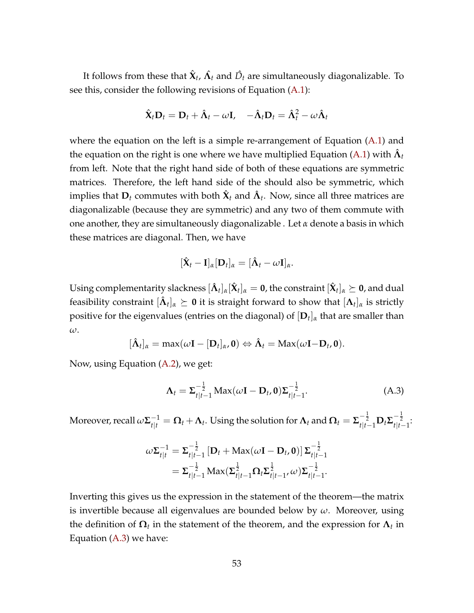It follows from these that  $\hat{\mathbf{X}}_t$ ,  $\hat{\mathbf{\Lambda}}_t$  and  $\hat{D}_t$  are simultaneously diagonalizable. To see this, consider the following revisions of Equation [\(A.1\)](#page-51-1):

$$
\hat{\mathbf{X}}_t \mathbf{D}_t = \mathbf{D}_t + \hat{\mathbf{\Lambda}}_t - \omega \mathbf{I}, \quad -\hat{\mathbf{\Lambda}}_t \mathbf{D}_t = \hat{\mathbf{\Lambda}}_t^2 - \omega \hat{\mathbf{\Lambda}}_t
$$

where the equation on the left is a simple re-arrangement of Equation [\(A.1\)](#page-51-1) and the equation on the right is one where we have multiplied Equation [\(A.1\)](#page-51-1) with  $\hat{\bm{\Lambda}}_t$ from left. Note that the right hand side of both of these equations are symmetric matrices. Therefore, the left hand side of the should also be symmetric, which implies that  $\mathbf{D}_t$  commutes with both  $\hat{\mathbf{X}}_t$  and  $\hat{\mathbf{\Lambda}}_t$ . Now, since all three matrices are diagonalizable (because they are symmetric) and any two of them commute with one another, they are simultaneously diagonalizable . Let *α* denote a basis in which these matrices are diagonal. Then, we have

$$
[\hat{\mathbf{X}}_t - \mathbf{I}]_{\alpha} [\mathbf{D}_t]_{\alpha} = [\hat{\mathbf{\Lambda}}_t - \omega \mathbf{I}]_{\alpha}.
$$

Using complementarity slackness  $[\hat{\bm{\Lambda}}_t]_{\alpha}[\hat{\bm{\chi}}_t]_{\alpha}=\bm{0}$ , the constraint  $[\hat{\bm{\chi}}_t]_{\alpha}\succeq\bm{0}$ , and dual feasibility constraint  $[\hat{\bm{\Lambda}}_t]_{\alpha}\succeq\bm{0}$  it is straight forward to show that  $[\bm{\Lambda}_t]_{\alpha}$  is strictly positive for the eigenvalues (entries on the diagonal) of [**D***<sup>t</sup>* ]*<sup>α</sup>* that are smaller than *ω*.

$$
[\hat{\mathbf{\Lambda}}_t]_{\alpha} = \max(\omega \mathbf{I} - [\mathbf{D}_t]_{\alpha}, \mathbf{0}) \Leftrightarrow \hat{\mathbf{\Lambda}}_t = \mathrm{Max}(\omega \mathbf{I} - \mathbf{D}_t, \mathbf{0}).
$$

Now, using Equation [\(A.2\)](#page-51-2), we get:

<span id="page-52-0"></span>
$$
\Lambda_t = \Sigma_{t|t-1}^{-\frac{1}{2}} \text{Max}(\omega \mathbf{I} - \mathbf{D}_t, \mathbf{0}) \Sigma_{t|t-1}^{-\frac{1}{2}}.
$$
 (A.3)

Moreover, recall  $\omega\Sigma_{t|t}^{-1}=\mathbf{\Omega}_t+\mathbf{\Lambda}_t.$  Using the solution for  $\mathbf{\Lambda}_t$  and  $\mathbf{\Omega}_t=\Sigma_{t|t-1}^{-\frac{1}{2}}\mathbf{D}_t\Sigma_{t|t-1}^{-\frac{1}{2}}.$ 

$$
\omega \Sigma_{t|t}^{-1} = \Sigma_{t|t-1}^{-\frac{1}{2}} \left[ \mathbf{D}_t + \text{Max}(\omega \mathbf{I} - \mathbf{D}_t, \mathbf{0}) \right] \Sigma_{t|t-1}^{-\frac{1}{2}}
$$
  
=  $\Sigma_{t|t-1}^{-\frac{1}{2}} \text{Max}(\Sigma_{t|t-1}^{\frac{1}{2}} \Omega_t \Sigma_{t|t-1}^{\frac{1}{2}}, \omega) \Sigma_{t|t-1}^{-\frac{1}{2}}.$ 

Inverting this gives us the expression in the statement of the theorem—the matrix is invertible because all eigenvalues are bounded below by *ω*. Moreover, using the definition of  $\mathbf{\Omega}_t$  in the statement of the theorem, and the expression for  $\mathbf{\Lambda}_t$  in Equation [\(A.3\)](#page-52-0) we have: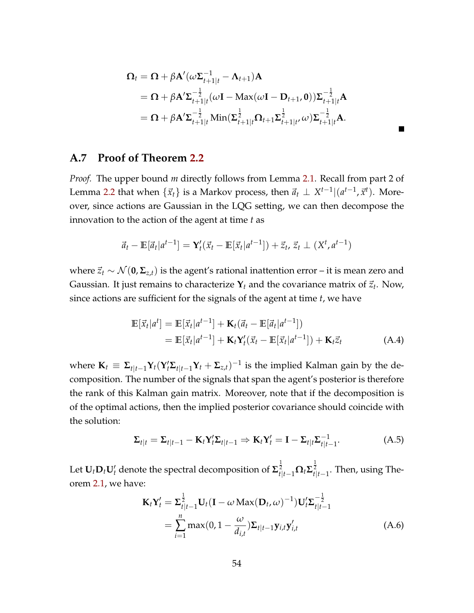$$
\Omega_t = \Omega + \beta \mathbf{A}'(\omega \Sigma_{t+1|t}^{-1} - \mathbf{\Lambda}_{t+1}) \mathbf{A}
$$
  
=  $\Omega + \beta \mathbf{A}' \Sigma_{t+1|t}^{-\frac{1}{2}} (\omega \mathbf{I} - \text{Max}(\omega \mathbf{I} - \mathbf{D}_{t+1}, \mathbf{0})) \Sigma_{t+1|t}^{-\frac{1}{2}} \mathbf{A}$   
=  $\Omega + \beta \mathbf{A}' \Sigma_{t+1|t}^{-\frac{1}{2}} \text{Min}(\Sigma_{t+1|t}^{\frac{1}{2}} \Omega_{t+1} \Sigma_{t+1|t'}^{\frac{1}{2}} \omega) \Sigma_{t+1|t}^{-\frac{1}{2}} \mathbf{A}.$ 

#### <span id="page-53-0"></span>**A.7 Proof of Theorem [2.2](#page-13-0)**

*Proof.* The upper bound *m* directly follows from Lemma [2.1.](#page-7-3) Recall from part 2 of Lemma [2.2](#page-8-0) that when  $\{\vec{x}_t\}$  is a Markov process, then  $\vec{a}_t \perp X^{t-1} | (a^{t-1}, \vec{x}^t)$ . Moreover, since actions are Gaussian in the LQG setting, we can then decompose the innovation to the action of the agent at time *t* as

$$
\vec{a}_t - \mathbb{E}[\vec{a}_t | a^{t-1}] = \mathbf{Y}_t'(\vec{x}_t - \mathbb{E}[\vec{x}_t | a^{t-1}]) + \vec{z}_t, \vec{z}_t \perp (X^t, a^{t-1})
$$

where  $\vec{z}_t$  ∼  $\mathcal{N}(\mathbf{0}, \mathbf{\Sigma}_{z,t})$  is the agent's rational inattention error – it is mean zero and Gaussian. It just remains to characterize  $\mathbf{Y}_t$  and the covariance matrix of  $\vec{z}_t$ . Now, since actions are sufficient for the signals of the agent at time *t*, we have

<span id="page-53-2"></span>
$$
\mathbb{E}[\vec{x}_t|a^t] = \mathbb{E}[\vec{x}_t|a^{t-1}] + \mathbf{K}_t(\vec{a}_t - \mathbb{E}[\vec{a}_t|a^{t-1}])
$$
  
=  $\mathbb{E}[\vec{x}_t|a^{t-1}] + \mathbf{K}_t\mathbf{Y}_t'(\vec{x}_t - \mathbb{E}[\vec{x}_t|a^{t-1}]) + \mathbf{K}_t\vec{z}_t$  (A.4)

where  $\mathbf{K}_t \equiv \mathbf{\Sigma}_{t|t-1} \mathbf{Y}_t (\mathbf{Y}_t' \mathbf{\Sigma}_{t|t-1} \mathbf{Y}_t + \mathbf{\Sigma}_{z,t})^{-1}$  is the implied Kalman gain by the decomposition. The number of the signals that span the agent's posterior is therefore the rank of this Kalman gain matrix. Moreover, note that if the decomposition is of the optimal actions, then the implied posterior covariance should coincide with the solution:

<span id="page-53-1"></span>
$$
\Sigma_{t|t} = \Sigma_{t|t-1} - \mathbf{K}_t \mathbf{Y}_t' \Sigma_{t|t-1} \Rightarrow \mathbf{K}_t \mathbf{Y}_t' = \mathbf{I} - \Sigma_{t|t} \Sigma_{t|t-1}^{-1}.
$$
 (A.5)

Let  $\mathbf{U}_t\mathbf{D}_t\mathbf{U}_t'$  denote the spectral decomposition of  $\mathbf{\Sigma}_{t|t-1}^{\frac{1}{2}}\mathbf{\Omega}_t\mathbf{\Sigma}_{t|t-1}^{\frac{1}{2}}.$  Then, using Theorem [2.1,](#page-12-2) we have:

<span id="page-53-3"></span>
$$
\mathbf{K}_{t}\mathbf{Y}_{t}^{\prime} = \mathbf{\Sigma}_{t|t-1}^{\frac{1}{2}}\mathbf{U}_{t}(\mathbf{I} - \omega \operatorname{Max}(\mathbf{D}_{t}, \omega)^{-1})\mathbf{U}_{t}^{\prime}\mathbf{\Sigma}_{t|t-1}^{-\frac{1}{2}}
$$

$$
= \sum_{i=1}^{n} \max(0, 1 - \frac{\omega}{d_{i,t}})\mathbf{\Sigma}_{t|t-1}\mathbf{y}_{i,t}\mathbf{y}_{i,t}^{\prime}
$$
(A.6)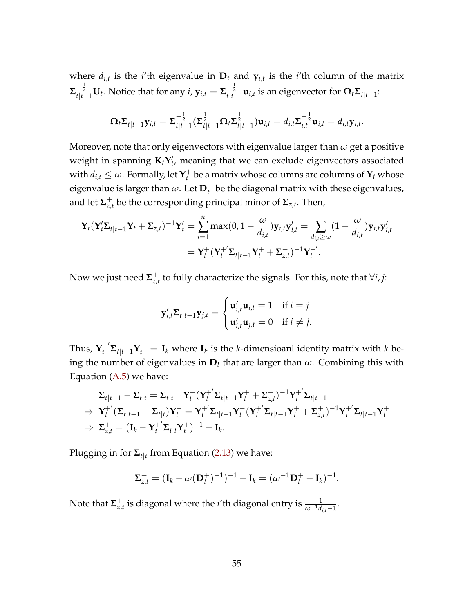where  $d_{i,t}$  is the *i*'th eigenvalue in  $D_t$  and  $y_{i,t}$  is the *i*'th column of the matrix  $\mathbf{\Sigma}_{t|t-1}^{-\frac{1}{2}}\mathbf{U}_t.$  Notice that for any  $i$ ,  $\mathbf{y}_{i,t}=\mathbf{\Sigma}_{t|t-1}^{-\frac{1}{2}}\mathbf{u}_{i,t}$  is an eigenvector for  $\mathbf{\Omega}_t\mathbf{\Sigma}_{t|t-1}$ :

$$
\mathbf{\Omega}_t \mathbf{\Sigma}_{t|t-1} \mathbf{y}_{i,t} = \mathbf{\Sigma}_{t|t-1}^{-\frac{1}{2}} (\mathbf{\Sigma}_{t|t-1}^{\frac{1}{2}} \mathbf{\Omega}_t \mathbf{\Sigma}_{t|t-1}^{\frac{1}{2}}) \mathbf{u}_{i,t} = d_{i,t} \mathbf{\Sigma}_{i,t}^{-\frac{1}{2}} \mathbf{u}_{i,t} = d_{i,t} \mathbf{y}_{i,t}.
$$

Moreover, note that only eigenvectors with eigenvalue larger than *ω* get a positive weight in spanning  $\mathbf{K}_t \mathbf{Y}'_t$ , meaning that we can exclude eigenvectors associated with  $d_{i,t} \leq \omega$ . Formally, let  $\mathbf{Y}_t^+$  $t_t^+$  be a matrix whose columns are columns of  $\mathbf{Y}_t$  whose eigenvalue is larger than  $\omega$ . Let  $\mathbf{D}_t^+$  be the diagonal matrix with these eigenvalues, and let  $\mathbf{\Sigma}_{z,i}^+$ *z*,*t* be the corresponding principal minor of **Σ***z*,*<sup>t</sup>* . Then,

$$
\mathbf{Y}_{t}(\mathbf{Y}_{t}^{\prime}\boldsymbol{\Sigma}_{t|t-1}\mathbf{Y}_{t}+\boldsymbol{\Sigma}_{z,t})^{-1}\mathbf{Y}_{t}^{\prime}=\sum_{i=1}^{n}\max(0,1-\frac{\omega}{d_{i,t}})\mathbf{y}_{i,t}\mathbf{y}_{i,t}^{\prime}=\sum_{d_{i,t}\geq\omega}(1-\frac{\omega}{d_{i,t}})\mathbf{y}_{i,t}\mathbf{y}_{i,t}^{\prime}
$$

$$
=\mathbf{Y}_{t}^{+}(\mathbf{Y}_{t}^{+}\mathbf{\Sigma}_{t|t-1}\mathbf{Y}_{t}^{+}+\boldsymbol{\Sigma}_{z,t}^{+})^{-1}\mathbf{Y}_{t}^{+}.
$$

Now we just need **Σ** + *z*,*t* to fully characterize the signals. For this, note that ∀*i*, *j*:

$$
\mathbf{y}'_{i,t}\mathbf{\Sigma}_{t|t-1}\mathbf{y}_{j,t} = \begin{cases} \mathbf{u}'_{i,t}\mathbf{u}_{i,t} = 1 & \text{if } i = j \\ \mathbf{u}'_{i,t}\mathbf{u}_{j,t} = 0 & \text{if } i \neq j. \end{cases}
$$

Thus,  $\mathbf{Y}_t^{+'}\mathbf{\Sigma}_{t|t-1}\mathbf{Y}_t^{+} = \mathbf{I}_k$  where  $\mathbf{I}_k$  is the *k*-dimensioanl identity matrix with *k* being the number of eigenvalues in  $D_t$  that are larger than  $\omega$ . Combining this with Equation [\(A.5\)](#page-53-1) we have:

$$
\Sigma_{t|t-1} - \Sigma_{t|t} = \Sigma_{t|t-1} \mathbf{Y}_t^+ (\mathbf{Y}_t^+ \Sigma_{t|t-1} \mathbf{Y}_t^+ + \Sigma_{z,t}^+)^{-1} \mathbf{Y}_t^+ \Sigma_{t|t-1}
$$
\n
$$
\Rightarrow \mathbf{Y}_t^+ (\Sigma_{t|t-1} - \Sigma_{t|t}) \mathbf{Y}_t^+ = \mathbf{Y}_t^+ \Sigma_{t|t-1} \mathbf{Y}_t^+ (\mathbf{Y}_t^+ \Sigma_{t|t-1} \mathbf{Y}_t^+ + \Sigma_{z,t}^+)^{-1} \mathbf{Y}_t^+ \Sigma_{t|t-1} \mathbf{Y}_t^+
$$
\n
$$
\Rightarrow \Sigma_{z,t}^+ = (\mathbf{I}_k - \mathbf{Y}_t^+ \Sigma_{t|t} \mathbf{Y}_t^+)^{-1} - \mathbf{I}_k.
$$

Plugging in for **Σ***t*|*<sup>t</sup>* from Equation [\(2.13\)](#page-12-1) we have:

$$
\Sigma_{z,t}^+ = (\mathbf{I}_k - \omega(\mathbf{D}_t^+)^{-1})^{-1} - \mathbf{I}_k = (\omega^{-1}\mathbf{D}_t^+ - \mathbf{I}_k)^{-1}.
$$

Note that **Σ** +  $\frac{1}{z,t}$  is diagonal where the *i*'th diagonal entry is  $\frac{1}{\omega^{-1}d_{i,t}-1}$ .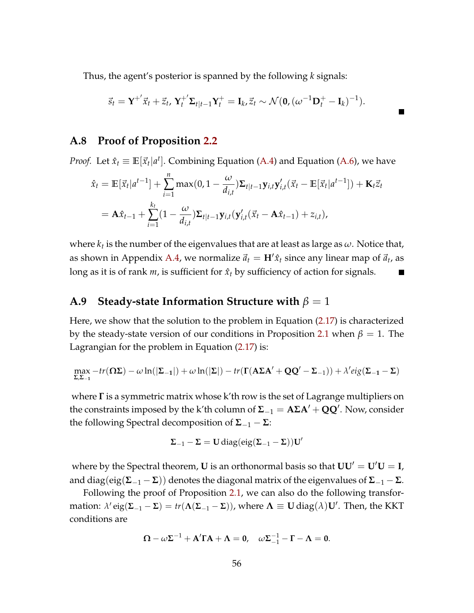Thus, the agent's posterior is spanned by the following *k* signals:

$$
\vec{s}_t = \mathbf{Y}^{+'} \vec{x}_t + \vec{z}_t, \, \mathbf{Y}_t^{+'} \mathbf{\Sigma}_{t|t-1} \mathbf{Y}_t^+ = \mathbf{I}_k, \vec{z}_t \sim \mathcal{N}(\mathbf{0}, (\omega^{-1} \mathbf{D}_t^+ - \mathbf{I}_k)^{-1}).
$$

#### <span id="page-55-0"></span>**A.8 Proof of Proposition [2.2](#page-14-1)**

*Proof.* Let  $\hat{x}_t \equiv \mathbb{E}[\vec{x}_t | a^t]$ . Combining Equation [\(A.4\)](#page-53-2) and Equation [\(A.6\)](#page-53-3), we have

$$
\hat{x}_t = \mathbb{E}[\vec{x}_t|a^{t-1}] + \sum_{i=1}^n \max(0, 1 - \frac{\omega}{d_{i,t}}) \Sigma_{t|t-1} \mathbf{y}_{i,t} \mathbf{y}'_{i,t} (\vec{x}_t - \mathbb{E}[\vec{x}_t|a^{t-1}]) + \mathbf{K}_t \vec{z}_t
$$
\n
$$
= \mathbf{A}\hat{x}_{t-1} + \sum_{i=1}^{k_t} (1 - \frac{\omega}{d_{i,t}}) \Sigma_{t|t-1} \mathbf{y}_{i,t} (\mathbf{y}'_{i,t} (\vec{x}_t - \mathbf{A}\hat{x}_{t-1}) + z_{i,t}),
$$

where  $k_t$  is the number of the eigenvalues that are at least as large as  $\omega.$  Notice that, as shown in Appendix [A.4,](#page-47-0) we normalize  $\vec{a}_t = H'\hat{x}_t$  since any linear map of  $\vec{a}_t$ , as long as it is of rank  $m$ , is sufficient for  $\hat{x}_t$  by sufficiency of action for signals.  $\overline{\phantom{a}}$ 

#### <span id="page-55-1"></span>**A.9 Steady-state Information Structure with**  $\beta = 1$

Here, we show that the solution to the problem in Equation [\(2.17\)](#page-21-1) is characterized by the steady-state version of our conditions in Proposition [2.1](#page-11-4) when  $\beta = 1$ . The Lagrangian for the problem in Equation [\(2.17\)](#page-21-1) is:

$$
\max_{\Sigma,\Sigma_{-1}} -\text{tr}(\Omega \Sigma) - \omega \ln(|\Sigma_{-1}|) + \omega \ln(|\Sigma|) - \text{tr}(\Gamma(A\Sigma A' + QQ' - \Sigma_{-1})) + \lambda' \text{eig}(\Sigma_{-1} - \Sigma)
$$

where **Γ** is a symmetric matrix whose k'th row is the set of Lagrange multipliers on the constraints imposed by the k'th column of  $\Sigma_{-1} = A \Sigma A' + Q Q'$ . Now, consider the following Spectral decomposition of  $Σ$ <sup>−1</sup> −  $Σ$ :

$$
\Sigma_{-1}-\Sigma=U\,diag( \text{eig}(\Sigma_{-1}-\Sigma))U'
$$

where by the Spectral theorem, **U** is an orthonormal basis so that  $UU' = U'U = I$ , and diag(eig(**Σ**−<sup>1</sup> − **Σ**)) denotes the diagonal matrix of the eigenvalues of **Σ**−<sup>1</sup> − **Σ**.

Following the proof of Proposition [2.1,](#page-11-4) we can also do the following transformation:  $\lambda'$  eig( $\Sigma_{-1} - \Sigma$ ) = *tr*( $\Lambda(\Sigma_{-1} - \Sigma)$ ), where  $\Lambda \equiv U \text{diag}(\lambda)U'$ . Then, the KKT conditions are

$$
\mathbf{\Omega} - \omega \Sigma^{-1} + \mathbf{A}' \mathbf{\Gamma} \mathbf{A} + \mathbf{\Lambda} = \mathbf{0}, \quad \omega \Sigma_{-1}^{-1} - \mathbf{\Gamma} - \mathbf{\Lambda} = \mathbf{0}.
$$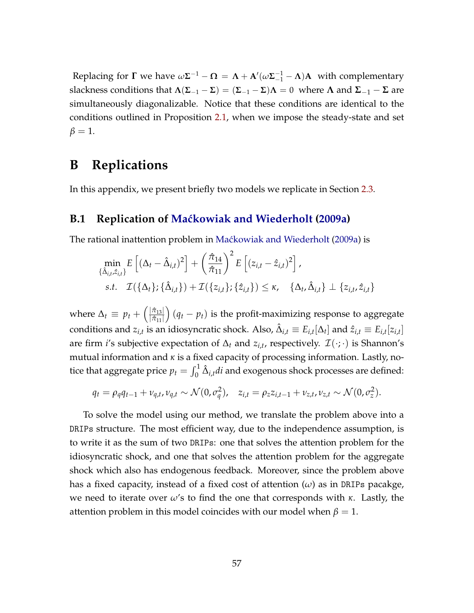Replacing for  $\Gamma$  we have  $\omega \Sigma^{-1} - \Omega = \Lambda + A'(\omega \Sigma_{-1}^{-1} - \Lambda)A$  with complementary slackness conditions that  $\Lambda(\Sigma_{-1} - \Sigma) = (\Sigma_{-1} - \Sigma)\Lambda = 0$  where  $\Lambda$  and  $\Sigma_{-1} - \Sigma$  are simultaneously diagonalizable. Notice that these conditions are identical to the conditions outlined in Proposition [2.1,](#page-11-4) when we impose the steady-state and set  $\beta = 1$ .

### **B Replications**

<span id="page-56-0"></span>In this appendix, we present briefly two models we replicate in Section [2.3.](#page-14-0)

#### **B.1 Replication of [Ma´ckowiak and Wiederholt](#page-43-0) [\(2009a\)](#page-43-0)**

The rational inattention problem in Maćkowiak and Wiederholt [\(2009a\)](#page-43-0) is

$$
\min_{\{\hat{\Delta}_{i,t},\hat{z}_{i,t}\}} E\left[ (\Delta_t - \hat{\Delta}_{i,t})^2 \right] + \left(\frac{\hat{\pi}_{14}}{\hat{\pi}_{11}}\right)^2 E\left[ (z_{i,t} - \hat{z}_{i,t})^2 \right],
$$
\n
$$
\text{s.t.} \quad \mathcal{I}(\{\Delta_t\}; \{\hat{\Delta}_{i,t}\}) + \mathcal{I}(\{z_{i,t}\}; \{\hat{z}_{i,t}\}) \leq \kappa, \quad \{\Delta_t, \hat{\Delta}_{i,t}\} \perp \{z_{i,t}, \hat{z}_{i,t}\}
$$

where  $\Delta_t \equiv p_t + \left(\frac{|\hat{\pi}_{13}|}{|\hat{\pi}_{11}|}\right)$  $|\hat{\pi}_{11}|$  $\big( (q_t - p_t)$  is the profit-maximizing response to aggregate conditions and  $z_{i,t}$  is an idiosyncratic shock. Also,  $\hat{\Delta}_{i,t}\equiv E_{i,t}[\Delta_t]$  and  $\hat{z}_{i,t}\equiv E_{i,t}[z_{i,t}]$ are firm *i*'s subjective expectation of  $\Delta_t$  and  $z_{i,t}$ , respectively.  $\mathcal{I}(\cdot;\cdot)$  is Shannon's mutual information and *κ* is a fixed capacity of processing information. Lastly, notice that aggregate price  $p_t = \int_0^1 \hat{\Delta}_{i,t} d i$  and exogenous shock processes are defined:

$$
q_t = \rho_q q_{t-1} + \nu_{q,t}, \nu_{q,t} \sim \mathcal{N}(0, \sigma_q^2), \quad z_{i,t} = \rho_z z_{i,t-1} + \nu_{z,t}, \nu_{z,t} \sim \mathcal{N}(0, \sigma_z^2).
$$

<span id="page-56-1"></span>To solve the model using our method, we translate the problem above into a DRIPs structure. The most efficient way, due to the independence assumption, is to write it as the sum of two DRIPs: one that solves the attention problem for the idiosyncratic shock, and one that solves the attention problem for the aggregate shock which also has endogenous feedback. Moreover, since the problem above has a fixed capacity, instead of a fixed cost of attention (*ω*) as in DRIPs pacakge, we need to iterate over *ω*'s to find the one that corresponds with *κ*. Lastly, the attention problem in this model coincides with our model when  $\beta = 1$ .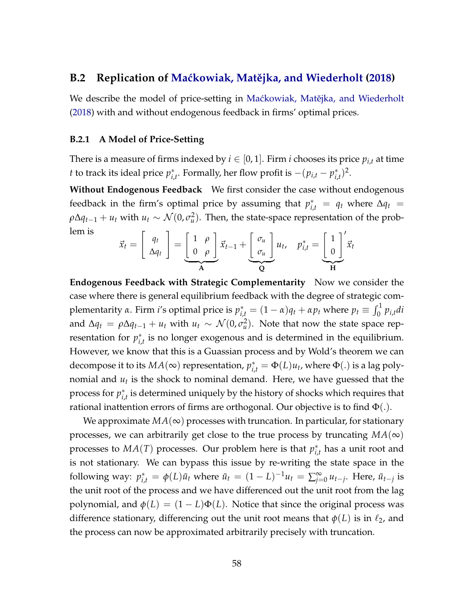#### **B.2 Replication of Maćkowiak, Matějka, and Wiederholt [\(2018\)](#page-43-1)**

We describe the model of price-setting in Maćkowiak, Matějka, and Wiederholt [\(2018\)](#page-43-1) with and without endogenous feedback in firms' optimal prices.

#### **B.2.1 A Model of Price-Setting**

There is a measure of firms indexed by  $i \in [0, 1]$ . Firm *i* chooses its price  $p_{i,t}$  at time *t* to track its ideal price  $p_i^*$ <sup>\*</sup><sub>*i*</sub>,<sup>*t*</sup> Formally, her flow profit is  $-(p_{i,t} - p_{i,t}^*)$  $^{*}_{i,t})^{2}.$ 

**Without Endogenous Feedback** We first consider the case without endogenous feedback in the firm's optimal price by assuming that  $p_{i,t}^* = q_t$  where  $\Delta q_t =$  $\rho \Delta q_{t-1} + u_t$  with  $u_t \sim \mathcal{N}(0, \sigma_u^2)$ . Then, the state-space representation of the problem is  $\prime$ 

$$
\vec{x}_t = \begin{bmatrix} q_t \\ \Delta q_t \end{bmatrix} = \underbrace{\begin{bmatrix} 1 & \rho \\ 0 & \rho \end{bmatrix}}_{\mathbf{A}} \vec{x}_{t-1} + \underbrace{\begin{bmatrix} \sigma_u \\ \sigma_u \end{bmatrix}}_{\mathbf{Q}} u_t, \quad p_{i,t}^* = \underbrace{\begin{bmatrix} 1 \\ 0 \end{bmatrix}}_{\mathbf{H}}' \vec{x}_t
$$

**Endogenous Feedback with Strategic Complementarity** Now we consider the case where there is general equilibrium feedback with the degree of strategic complementarity *α*. Firm *i'*s optimal price is  $p_{i,t}^* = (1 - α)q_t + αp_t$  where  $p_t \equiv \int_0^1 p_{i,t} dt$ and  $\Delta q_t = \rho \Delta q_{t-1} + u_t$  with  $u_t \sim \mathcal{N}(0, \sigma_u^2)$ . Note that now the state space representation for  $p_i^*$ *i*,*t* is no longer exogenous and is determined in the equilibrium. However, we know that this is a Guassian process and by Wold's theorem we can decompose it to its  $MA(\infty)$  representation,  $p_{i,t}^* = \Phi(L)u_t$ , where  $\Phi(.)$  is a lag polynomial and  $u_t$  is the shock to nominal demand. Here, we have guessed that the process for  $p_i^*$  $\hat{r}_{i,t}^*$  is determined uniquely by the history of shocks which requires that rational inattention errors of firms are orthogonal. Our objective is to find  $\Phi(.)$ .

We approximate  $MA(\infty)$  processes with truncation. In particular, for stationary processes, we can arbitrarily get close to the true process by truncating  $MA(\infty)$ processes to  $MA(T)$  processes. Our problem here is that  $p_i^*$ *i*,*t* has a unit root and is not stationary. We can bypass this issue by re-writing the state space in the following way:  $p_{i,t}^* = \phi(L)\tilde{u}_t$  where  $\tilde{u}_t = (1 - L)^{-1}u_t = \sum_{j=1}^{\infty}$  $\sum_{j=0}^{\infty} u_{t-j}$ . Here,  $\tilde{u}_{t-j}$  is the unit root of the process and we have differenced out the unit root from the lag polynomial, and  $\phi(L) = (1 - L)\Phi(L)$ . Notice that since the original process was difference stationary, differencing out the unit root means that  $\phi(L)$  is in  $\ell_2$ , and the process can now be approximated arbitrarily precisely with truncation.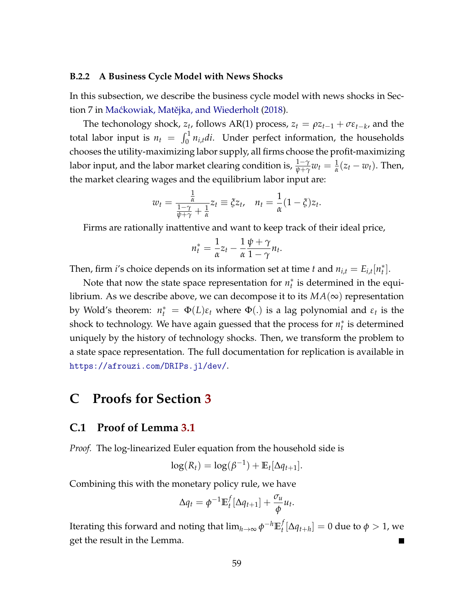#### **B.2.2 A Business Cycle Model with News Shocks**

In this subsection, we describe the business cycle model with news shocks in Sec-tion 7 in Maćkowiak, Matějka, and Wiederholt [\(2018\)](#page-43-1).

The techonology shock,  $z_t$ , follows AR(1) process,  $z_t = \rho z_{t-1} + \sigma \epsilon_{t-k}$ , and the total labor input is  $n_t = \int_0^1 n_{i,t} dt$ . Under perfect information, the households chooses the utility-maximizing labor supply, all firms choose the profit-maximizing labor input, and the labor market clearing condition is,  $\frac{1-\gamma}{\psi+\gamma}w_t=\frac{1}{\alpha}(z_t-w_t).$  Then, the market clearing wages and the equilibrium labor input are:

$$
w_t = \frac{\frac{1}{\alpha}}{\frac{1-\gamma}{\psi+\gamma} + \frac{1}{\alpha}} z_t \equiv \xi z_t, \quad n_t = \frac{1}{\alpha} (1-\xi) z_t.
$$

Firms are rationally inattentive and want to keep track of their ideal price,

$$
n_t^* = \frac{1}{\alpha} z_t - \frac{1}{\alpha} \frac{\psi + \gamma}{1 - \gamma} n_t.
$$

Then, firm *i*'s choice depends on its information set at time *t* and  $n_{i,t} = E_{i,t}[n_t^*].$ 

Note that now the state space representation for  $n_t^*$  is determined in the equilibrium. As we describe above, we can decompose it to its  $MA(\infty)$  representation by Wold's theorem:  $n_t^* = \Phi(L)\varepsilon_t$  where  $\Phi(.)$  is a lag polynomial and  $\varepsilon_t$  is the shock to technology. We have again guessed that the process for  $n_t^*$  is determined uniquely by the history of technology shocks. Then, we transform the problem to a state space representation. The full documentation for replication is available in <https://afrouzi.com/DRIPs.jl/dev/>.

## **C Proofs for Section [3](#page-22-0)**

#### <span id="page-58-0"></span>**C.1 Proof of Lemma [3.1](#page-23-3)**

*Proof.* The log-linearized Euler equation from the household side is

$$
\log(R_t) = \log(\beta^{-1}) + \mathbb{E}_t[\Delta q_{t+1}].
$$

Combining this with the monetary policy rule, we have

$$
\Delta q_t = \phi^{-1} \mathbb{E}_t^f [\Delta q_{t+1}] + \frac{\sigma_u}{\phi} u_t.
$$

<span id="page-58-1"></span>Iterating this forward and noting that lim*h*→<sup>∞</sup> *φ* <sup>−</sup>*h***E** *f*  $\frac{d}{dt}[\Delta q_{t+h}] = 0$  due to  $\phi > 1$ , we get the result in the Lemma.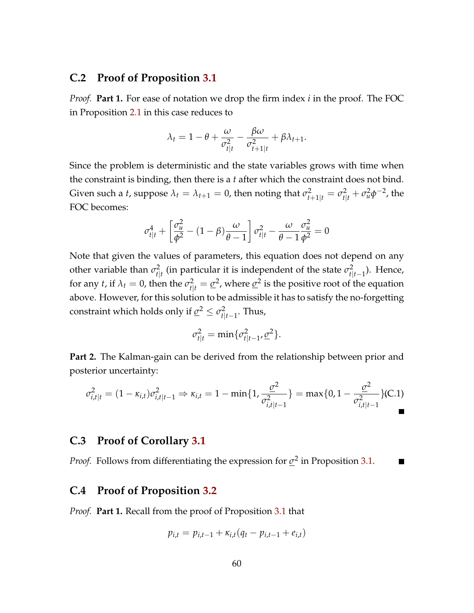#### **C.2 Proof of Proposition [3.1](#page-25-2)**

*Proof.* **Part 1.** For ease of notation we drop the firm index *i* in the proof. The FOC in Proposition [2.1](#page-11-4) in this case reduces to

$$
\lambda_t = 1 - \theta + \frac{\omega}{\sigma_{t|t}^2} - \frac{\beta \omega}{\sigma_{t+1|t}^2} + \beta \lambda_{t+1}.
$$

Since the problem is deterministic and the state variables grows with time when the constraint is binding, then there is a *t* after which the constraint does not bind. Given such a *t*, suppose  $\lambda_t = \lambda_{t+1} = 0$ , then noting that  $\sigma_{t+1|t}^2 = \sigma_{t|t}^2 + \sigma_u^2 \phi^{-2}$ , the FOC becomes:

$$
\sigma_{t|t}^4 + \left[\frac{\sigma_u^2}{\phi^2} - (1 - \beta)\frac{\omega}{\theta - 1}\right] \sigma_{t|t}^2 - \frac{\omega}{\theta - 1} \frac{\sigma_u^2}{\phi^2} = 0
$$

Note that given the values of parameters, this equation does not depend on any other variable than  $\sigma_{\text{H}}^2$  $t_{t|t}^2$  (in particular it is independent of the state  $\sigma_{t|t}^2$ *t*|*t*−1 ). Hence, for any *t*, if  $\lambda_t = 0$ , then the  $\sigma_{t|t}^2 = \underline{\sigma}^2$ , where  $\underline{\sigma}^2$  is the positive root of the equation above. However, for this solution to be admissible it has to satisfy the no-forgetting constraint which holds only if  $\underline{\sigma}^2 \leq \sigma_{\text{fl}}^2$ *t*|*t*−1 . Thus,

<span id="page-59-2"></span>
$$
\sigma_{t|t}^2 = \min\{\sigma_{t|t-1}^2, \underline{\sigma}^2\}.
$$

**Part 2.** The Kalman-gain can be derived from the relationship between prior and posterior uncertainty:

$$
\sigma_{i,t|t}^2 = (1 - \kappa_{i,t})\sigma_{i,t|t-1}^2 \Rightarrow \kappa_{i,t} = 1 - \min\{1, \frac{\sigma^2}{\sigma_{i,t|t-1}^2}\} = \max\{0, 1 - \frac{\sigma^2}{\sigma_{i,t|t-1}^2}\} (C.1)
$$

#### <span id="page-59-0"></span>**C.3 Proof of Corollary [3.1](#page-26-0)**

*Proof.* Follows from differentiating the expression for  $\sigma^2$  in Proposition [3.1.](#page-25-2)

#### <span id="page-59-1"></span>**C.4 Proof of Proposition [3.2](#page-27-0)**

*Proof.* **Part 1.** Recall from the proof of Proposition [3.1](#page-25-2) that

$$
p_{i,t} = p_{i,t-1} + \kappa_{i,t}(q_t - p_{i,t-1} + e_{i,t})
$$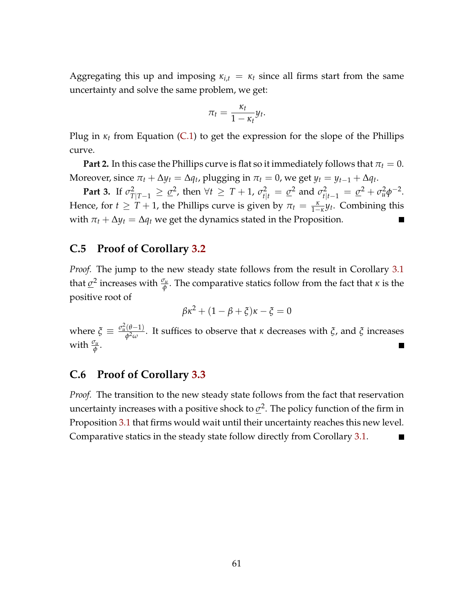Aggregating this up and imposing  $\kappa_{i,t} = \kappa_t$  since all firms start from the same uncertainty and solve the same problem, we get:

$$
\pi_t = \frac{\kappa_t}{1 - \kappa_t} y_t.
$$

Plug in *κ<sup>t</sup>* from Equation [\(C.1\)](#page-59-2) to get the expression for the slope of the Phillips curve.

**Part 2.** In this case the Phillips curve is flat so it immediately follows that  $\pi_t = 0$ . Moreover, since  $\pi_t + \Delta y_t = \Delta q_t$ , plugging in  $\pi_t = 0$ , we get  $y_t = y_{t-1} + \Delta q_t$ .

**Part 3.** If  $\sigma^2_{T|T-1} \geq \underline{\sigma}^2$ , then  $\forall t \geq T+1$ ,  $\sigma^2_{t|t} = \underline{\sigma}^2$  and  $\sigma^2_{t|t-1} = \underline{\sigma}^2 + \sigma^2_u \phi^{-2}$ . Hence, for  $t \geq T + 1$ , the Phillips curve is given by  $\pi_t = \frac{\kappa}{1-\kappa} y_t$ . Combining this with  $\pi_t + \Delta y_t = \Delta q_t$  we get the dynamics stated in the Proposition.

#### <span id="page-60-0"></span>**C.5 Proof of Corollary [3.2](#page-29-0)**

*Proof.* The jump to the new steady state follows from the result in Corollary [3.1](#page-26-0) that  $\underline{\sigma}^2$  increases with  $\frac{\sigma_u}{\phi}$ . The comparative statics follow from the fact that *κ* is the positive root of

$$
\beta \kappa^2 + (1 - \beta + \xi)\kappa - \xi = 0
$$

where  $\zeta \equiv \frac{\sigma_u^2(\theta - 1)}{\phi^2(\theta - 1)}$ *φ*2*ω* . It suffices to observe that *κ* decreases with *ξ*, and *ξ* increases with *<sup>σ</sup><sup>u</sup> φ* .

#### <span id="page-60-1"></span>**C.6 Proof of Corollary [3.3](#page-30-0)**

<span id="page-60-2"></span>*Proof.* The transition to the new steady state follows from the fact that reservation uncertainty increases with a positive shock to  $\underline{\sigma}^2$ . The policy function of the firm in Proposition [3.1](#page-25-2) that firms would wait until their uncertainty reaches this new level. Comparative statics in the steady state follow directly from Corollary [3.1.](#page-26-0)  $\blacksquare$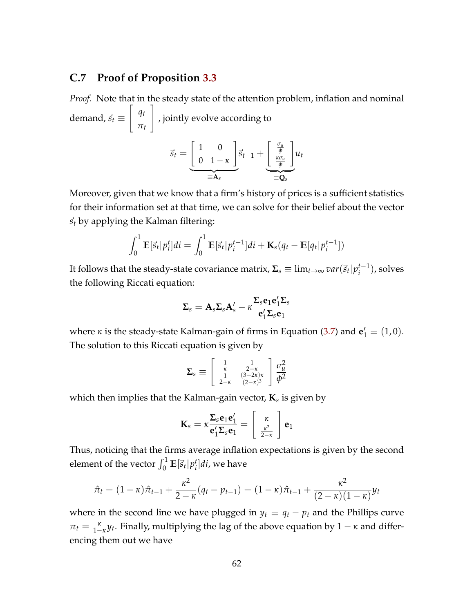### **C.7 Proof of Proposition [3.3](#page-32-1)**

*Proof.* Note that in the steady state of the attention problem, inflation and nominal demand,  $\vec{s}_t \equiv$  $\int q_t$ *πt* 1 , jointly evolve according to  $\vec{s}_t =$  $\begin{bmatrix} 1 & 0 \end{bmatrix}$ 0 1 − *κ* 1  $\equiv A_s$  $\vec{s}_{t-1}$  + " *σu φ κσu φ* 1  $\overrightarrow{\mathbf{Q}_s}$ *ut*

Moreover, given that we know that a firm's history of prices is a sufficient statistics for their information set at that time, we can solve for their belief about the vector  $\vec{s}_t$  by applying the Kalman filtering:

$$
\int_0^1 \mathbb{E}[\vec{s}_t|p_i^t]di = \int_0^1 \mathbb{E}[\vec{s}_t|p_i^{t-1}]di + \mathbf{K}_s(q_t - \mathbb{E}[q_t|p_i^{t-1}])
$$

It follows that the steady-state covariance matrix,  $\mathbf{\Sigma}_s\equiv\lim_{t\to\infty}var(\vec{s}_t|p_i^{t-1})$  $i^{t-1}$ ), solves the following Riccati equation:

$$
\boldsymbol{\Sigma}_s = \mathbf{A}_s \boldsymbol{\Sigma}_s \mathbf{A}_s' - \kappa \frac{\boldsymbol{\Sigma}_s \mathbf{e}_1 \mathbf{e}_1' \boldsymbol{\Sigma}_s}{\mathbf{e}_1' \boldsymbol{\Sigma}_s \mathbf{e}_1}
$$

where *κ* is the steady-state Kalman-gain of firms in Equation [\(3.7\)](#page-26-1) and  $\mathbf{e}'_1 \equiv (1,0)$ . The solution to this Riccati equation is given by

$$
\Sigma_s \equiv \left[ \begin{array}{cc} \frac{1}{\kappa} & \frac{1}{2-\kappa} \\ \frac{1}{2-\kappa} & \frac{(3-2\kappa)\kappa}{(2-\kappa)^3} \end{array} \right] \frac{\sigma_u^2}{\phi^2}
$$

which then implies that the Kalman-gain vector, **K***<sup>s</sup>* is given by

$$
\mathbf{K}_s = \kappa \frac{\mathbf{\Sigma}_s \mathbf{e}_1 \mathbf{e}'_1}{\mathbf{e}'_1 \mathbf{\Sigma}_s \mathbf{e}_1} = \begin{bmatrix} \kappa \\ \frac{\kappa^2}{2-\kappa} \end{bmatrix} \mathbf{e}_1
$$

Thus, noticing that the firms average inflation expectations is given by the second element of the vector  $\int_0^1 \mathbb{E}[\vec{s}_t| p_i^t]$ *i* ]*di*, we have

$$
\hat{\pi}_t = (1 - \kappa)\hat{\pi}_{t-1} + \frac{\kappa^2}{2 - \kappa}(q_t - p_{t-1}) = (1 - \kappa)\hat{\pi}_{t-1} + \frac{\kappa^2}{(2 - \kappa)(1 - \kappa)}y_t
$$

where in the second line we have plugged in  $y_t \equiv q_t - p_t$  and the Phillips curve  $\pi_t = \frac{\kappa}{1-\kappa} y_t$ . Finally, multiplying the lag of the above equation by  $1 - \kappa$  and differencing them out we have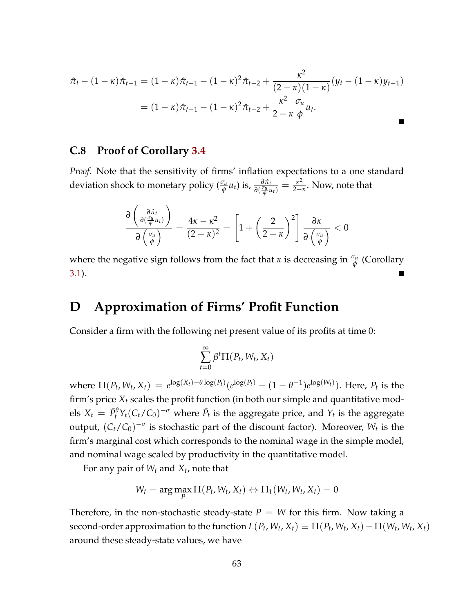$$
\hat{\pi}_t - (1 - \kappa)\hat{\pi}_{t-1} = (1 - \kappa)\hat{\pi}_{t-1} - (1 - \kappa)^2 \hat{\pi}_{t-2} + \frac{\kappa^2}{(2 - \kappa)(1 - \kappa)}(y_t - (1 - \kappa)y_{t-1})
$$

$$
= (1 - \kappa)\hat{\pi}_{t-1} - (1 - \kappa)^2 \hat{\pi}_{t-2} + \frac{\kappa^2}{2 - \kappa} \frac{\sigma_u}{\phi} u_t.
$$

#### <span id="page-62-0"></span>**C.8 Proof of Corollary [3.4](#page-32-4)**

*Proof.* Note that the sensitivity of firms' inflation expectations to a one standard deviation shock to monetary policy  $(\frac{\sigma_u}{\phi}u_t)$  is,  $\frac{\partial \hat{\pi}_t}{\partial(\frac{\sigma_u}{\phi}u_t)} = \frac{\kappa^2}{2 - \kappa}$  $\frac{\kappa^2}{2-\kappa}$ . Now, note that

$$
\frac{\partial \left(\frac{\partial \hat{\pi}_t}{\partial \left(\frac{\sigma_u}{\phi} u_t\right)}\right)}{\partial \left(\frac{\sigma_u}{\phi}\right)} = \frac{4\kappa - \kappa^2}{(2-\kappa)^2} = \left[1 + \left(\frac{2}{2-\kappa}\right)^2\right] \frac{\partial \kappa}{\partial \left(\frac{\sigma_u}{\phi}\right)} < 0
$$

where the negative sign follows from the fact that *κ* is decreasing in  $\frac{\sigma_u}{\phi}$  (Corollary [3.1\)](#page-26-0).

### <span id="page-62-1"></span>**D Approximation of Firms' Profit Function**

Consider a firm with the following net present value of its profits at time 0:

$$
\sum_{t=0}^{\infty} \beta^t \Pi(P_t, W_t, X_t)
$$

where  $\Pi(P_t, W_t, X_t) = e^{\log(X_t) - \theta \log(P_t)} (e^{\log(P_t)} - (1 - \theta^{-1}) e^{\log(W_t)})$ . Here,  $P_t$  is the firm's price *X<sup>t</sup>* scales the profit function (in both our simple and quantitative mod- $X_t = \bar{P}_t^{\theta} Y_t (C_t/C_0)^{-\sigma}$  where  $\bar{P}_t$  is the aggregate price, and  $Y_t$  is the aggregate output,  $(C_t/C_0)^{-\sigma}$  is stochastic part of the discount factor). Moreover,  $W_t$  is the firm's marginal cost which corresponds to the nominal wage in the simple model, and nominal wage scaled by productivity in the quantitative model.

For any pair of *W<sup>t</sup>* and *X<sup>t</sup>* , note that

$$
W_t = \arg\max_p \Pi(P_t, W_t, X_t) \Leftrightarrow \Pi_1(W_t, W_t, X_t) = 0
$$

Therefore, in the non-stochastic steady-state  $P = W$  for this firm. Now taking a second-order approximation to the function  $L(P_t, W_t, X_t) \equiv \Pi(P_t, W_t, X_t) - \Pi(W_t, W_t, X_t)$ around these steady-state values, we have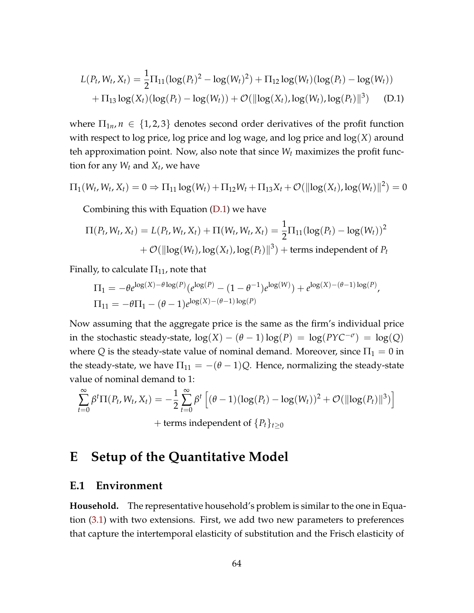<span id="page-63-1"></span>
$$
L(P_t, W_t, X_t) = \frac{1}{2} \Pi_{11} (\log(P_t)^2 - \log(W_t)^2) + \Pi_{12} \log(W_t) (\log(P_t) - \log(W_t))
$$
  
+  $\Pi_{13} \log(X_t) (\log(P_t) - \log(W_t)) + \mathcal{O}(\|\log(X_t), \log(W_t), \log(P_t)\|^3)$  (D.1)

where  $\Pi_{1n}$ ,  $n \in \{1,2,3\}$  denotes second order derivatives of the profit function with respect to log price, log price and log wage, and log price and log(*X*) around teh approximation point. Now, also note that since *W<sup>t</sup>* maximizes the profit function for any *W<sup>t</sup>* and *X<sup>t</sup>* , we have

$$
\Pi_1(W_t, W_t, X_t) = 0 \Rightarrow \Pi_{11} \log(W_t) + \Pi_{12} W_t + \Pi_{13} X_t + \mathcal{O}(\|\log(X_t), \log(W_t)\|^2) = 0
$$

Combining this with Equation  $(D.1)$  we have

$$
\Pi(P_t, W_t, X_t) = L(P_t, W_t, X_t) + \Pi(W_t, W_t, X_t) = \frac{1}{2} \Pi_{11} (\log(P_t) - \log(W_t))^2
$$
  
+  $\mathcal{O}(\|\log(W_t), \log(X_t), \log(P_t)\|^3) + \text{terms independent of } P_t$ 

Finally, to calculate  $\Pi_{11}$ , note that

$$
\Pi_1 = -\theta e^{\log(X) - \theta \log(P)} (e^{\log(P)} - (1 - \theta^{-1}) e^{\log(W)}) + e^{\log(X) - (\theta - 1) \log(P)},
$$
  
\n
$$
\Pi_{11} = -\theta \Pi_1 - (\theta - 1) e^{\log(X) - (\theta - 1) \log(P)}
$$

Now assuming that the aggregate price is the same as the firm's individual price in the stochastic steady-state,  $log(X) - (\theta - 1)log(P) = log(PYC^{-\sigma}) = log(Q)$ where *Q* is the steady-state value of nominal demand. Moreover, since  $\Pi_1 = 0$  in the steady-state, we have  $\Pi_{11} = -(\theta - 1)Q$ . Hence, normalizing the steady-state value of nominal demand to 1:

$$
\sum_{t=0}^{\infty} \beta^t \Pi(P_t, W_t, X_t) = -\frac{1}{2} \sum_{t=0}^{\infty} \beta^t \left[ (\theta - 1)(\log(P_t) - \log(W_t))^2 + \mathcal{O}(\|\log(P_t)\|^3) \right] + \text{terms independent of } \{P_t\}_{t \ge 0}
$$

## <span id="page-63-0"></span>**E Setup of the Quantitative Model**

#### **E.1 Environment**

**Household.** The representative household's problem is similar to the one in Equation [\(3.1\)](#page-22-1) with two extensions. First, we add two new parameters to preferences that capture the intertemporal elasticity of substitution and the Frisch elasticity of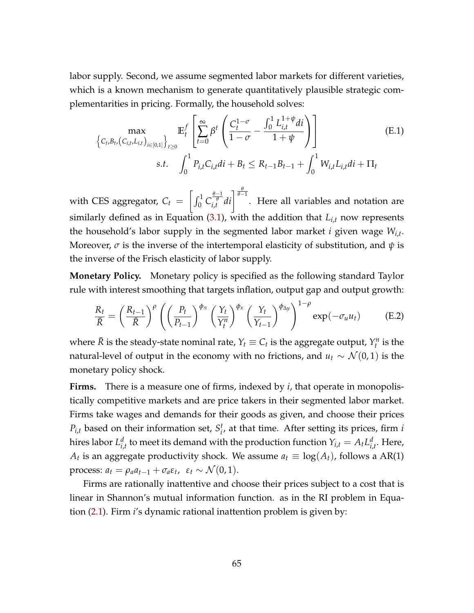labor supply. Second, we assume segmented labor markets for different varieties, which is a known mechanism to generate quantitatively plausible strategic complementarities in pricing. Formally, the household solves:

<span id="page-64-0"></span>
$$
\left\{ C_{t,B_{t}}(C_{i,t},L_{i,t}) \atop S.t. \int_{0}^{1} P_{i,t}C_{i,t}di + B_{t} \leq R_{t-1}B_{t-1} + \int_{0}^{1} W_{i,t}L_{i,t}di + \Pi_{t}
$$
\n(E.1)

with CES aggregator,  $C_t =$  $\left[\int_0^1 C_{i,t}^{\frac{\theta-1}{\theta}} di\right]^{\frac{\theta}{\theta-1}}$ . Here all variables and notation are similarly defined as in Equation [\(3.1\)](#page-22-1), with the addition that  $L_{i,t}$  now represents the household's labor supply in the segmented labor market *i* given wage *Wi*,*<sup>t</sup>* . Moreover, *σ* is the inverse of the intertemporal elasticity of substitution, and *ψ* is the inverse of the Frisch elasticity of labor supply.

**Monetary Policy.** Monetary policy is specified as the following standard Taylor rule with interest smoothing that targets inflation, output gap and output growth:

<span id="page-64-1"></span>
$$
\frac{R_t}{\bar{R}} = \left(\frac{R_{t-1}}{\bar{R}}\right)^{\rho} \left(\left(\frac{P_t}{P_{t-1}}\right)^{\phi_{\pi}} \left(\frac{Y_t}{Y_t^n}\right)^{\phi_{\pi}} \left(\frac{Y_t}{Y_{t-1}}\right)^{\phi_{\Delta y}}\right)^{1-\rho} \exp(-\sigma_u u_t) \tag{E.2}
$$

where  $\bar{R}$  is the steady-state nominal rate,  $Y_t \equiv C_t$  is the aggregate output,  $Y_t^n$  is the natural-level of output in the economy with no frictions, and  $u_t \sim \mathcal{N}(0, 1)$  is the monetary policy shock.

**Firms.** There is a measure one of firms, indexed by *i*, that operate in monopolistically competitive markets and are price takers in their segmented labor market. Firms take wages and demands for their goods as given, and choose their prices  $P_{i,t}$  based on their information set,  $S_i^t$ *i* , at that time. After setting its prices, firm *i* hires labor *L d*  $\int_{i,t}^d$  to meet its demand with the production function  $Y_{i,t} = A_t L_{i,t}^d$ *i*,*t* . Here,  $A_t$  is an aggregate productivity shock. We assume  $a_t \equiv \log(A_t)$ , follows a AR(1) process:  $a_t = \rho_a a_{t-1} + \sigma_a \varepsilon_t$ ,  $\varepsilon_t \sim \mathcal{N}(0, 1)$ .

Firms are rationally inattentive and choose their prices subject to a cost that is linear in Shannon's mutual information function. as in the RI problem in Equation [\(2.1\)](#page-7-0). Firm *i*'s dynamic rational inattention problem is given by: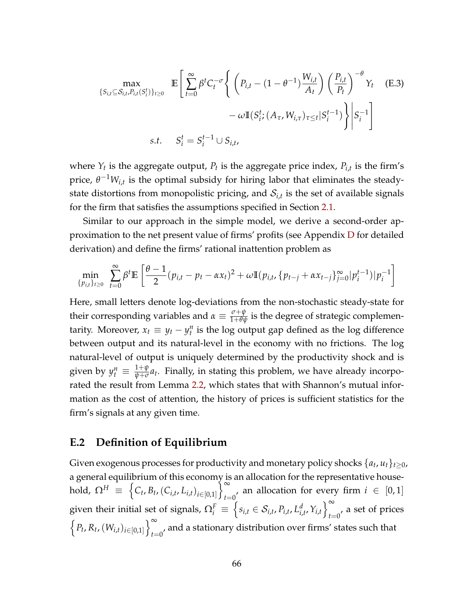<span id="page-65-0"></span>
$$
\max_{\{S_{i,t}\subseteq S_{i,t}, P_{i,t}(S_i^t)\}_{t\geq 0}} \mathbb{E}\left[\sum_{t=0}^{\infty} \beta^t C_t^{-\sigma} \left\{ \left(P_{i,t} - (1-\theta^{-1})\frac{W_{i,t}}{A_t}\right) \left(\frac{P_{i,t}}{P_t}\right)^{-\theta} Y_t \right\} \left(E.3\right) - \omega \mathbb{I}(S_i^t; (A_\tau, W_{i,\tau})_{\tau \leq t} | S_i^{t-1}) \right\} \middle| S_i^{-1} \right]
$$
\ns.t.  $S_i^t = S_i^{t-1} \cup S_{i,t}$ ,

where  $Y_t$  is the aggregate output,  $P_t$  is the aggregate price index,  $P_{i,t}$  is the firm's price,  $\theta^{-1}W_{i,t}$  is the optimal subsidy for hiring labor that eliminates the steadystate distortions from monopolistic pricing, and  $\mathcal{S}_{i,t}$  is the set of available signals for the firm that satisfies the assumptions specified in Section [2.1.](#page-5-1)

Similar to our approach in the simple model, we derive a second-order approximation to the net present value of firms' profits (see Appendix [D](#page-62-1) for detailed derivation) and define the firms' rational inattention problem as

$$
\min_{\{p_{i,t}\}_{t\geq 0}} \sum_{t=0}^{\infty} \beta^t \mathbb{E}\left[\frac{\theta-1}{2}(p_{i,t}-p_t-\alpha x_t)^2+\omega \mathbb{I}(p_{i,t},\{p_{t-j}+\alpha x_{t-j}\}_{j=0}^{\infty}|p_i^{t-1})|p_i^{-1}\right]
$$

Here, small letters denote log-deviations from the non-stochastic steady-state for their corresponding variables and  $\alpha \equiv \frac{\sigma + \psi}{1 + \theta \psi}$  is the degree of strategic complementarity. Moreover,  $x_t \equiv y_t - y_t^n$  is the log output gap defined as the log difference between output and its natural-level in the economy with no frictions. The log natural-level of output is uniquely determined by the productivity shock and is given by  $y_t^n \equiv \frac{1+\psi}{\psi+\sigma}$  $\frac{1+\varphi}{\psi+\sigma}a_t$ . Finally, in stating this problem, we have already incorporated the result from Lemma [2.2,](#page-8-0) which states that with Shannon's mutual information as the cost of attention, the history of prices is sufficient statistics for the firm's signals at any given time.

### **E.2 Definition of Equilibrium**

Given exogenous processes for productivity and monetary policy shocks  $\{a_t, u_t\}_{t\geq 0}$ , a general equilibrium of this economy is an allocation for the representative house- ${\rm hold},\; \Omega^H \;\equiv\; \Big\{ C_t, B_t, (C_{i,t}, L_{i,t})_{i\in[0,1]} \Big\}$  $\big\{^{\infty}$ *t*=0<sup>'</sup> an allocation for every firm  $i \in [0,1]$ given their initial set of signals,  $\Omega^F_i \, \equiv \, \Big\{ s_{i,t} \in \mathcal{S}_{i,t}, P_{i,t}, L^d_{i,t} \Big\}$  $\left\{\begin{matrix} d & \cdots & d'\\ i, t & \cdots & f \end{matrix}\right\}_{t=0}^{\infty}$  $t=0$ <sup>, a set of prices</sup>  $\left\{ P_t, R_t, (W_{i,t})_{i \in [0,1]} \right\}_{t=1}^{\infty}$  $_{t=0}$ , and a stationary distribution over firms' states such that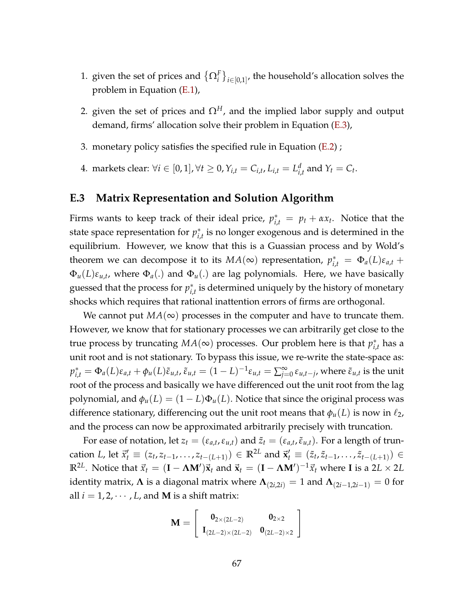- 1. given the set of prices and  $\{\Omega_i^F\}_{i \in [0,1]},$  the household's allocation solves the problem in Equation [\(E.1\)](#page-64-0),
- 2. given the set of prices and  $\Omega^H$ , and the implied labor supply and output demand, firms' allocation solve their problem in Equation [\(E.3\)](#page-65-0),
- 3. monetary policy satisfies the specified rule in Equation [\(E.2\)](#page-64-1) ;
- 4. markets clear: ∀ $i \in [0,1]$ , ∀ $t \geq 0$ ,  $Y_{i,t} = C_{i,t}$ ,  $L_{i,t} = L^d_{i,t}$  $\sum_{i,t}^d$  and  $Y_t = C_t$ .

#### <span id="page-66-0"></span>**E.3 Matrix Representation and Solution Algorithm**

Firms wants to keep track of their ideal price,  $p_{i,t}^* = p_t + \alpha x_t$ . Notice that the state space representation for  $p_i^*$  $_{i,t}^*$  is no longer exogenous and is determined in the equilibrium. However, we know that this is a Guassian process and by Wold's theorem we can decompose it to its  $MA(\infty)$  representation,  $p_{i,t}^* = \Phi_a(L)\varepsilon_{a,t} +$ Φ*u*(*L*)*εu*,*<sup>t</sup>* , where Φ*a*(.) and Φ*u*(.) are lag polynomials. Here, we have basically guessed that the process for *p* ∗  $\hat{r}_{i,t}$  is determined uniquely by the history of monetary shocks which requires that rational inattention errors of firms are orthogonal.

We cannot put  $MA(\infty)$  processes in the computer and have to truncate them. However, we know that for stationary processes we can arbitrarily get close to the true process by truncating  $MA(\infty)$  processes. Our problem here is that  $p_i^*$ *i*,*t* has a unit root and is not stationary. To bypass this issue, we re-write the state-space as:  $p_{i,t}^* = \Phi_a(L)\varepsilon_{a,t} + \phi_u(L)\tilde{\varepsilon}_{u,t}$ ,  $\tilde{\varepsilon}_{u,t} = (1-L)^{-1}\varepsilon_{u,t} = \sum_{j=0}^\infty \frac{1}{j}$  $\sum\limits_{j=0}^{\infty}\varepsilon_{u,t-j}$ , where  $\tilde{\varepsilon}_{u,t}$  is the unit root of the process and basically we have differenced out the unit root from the lag polynomial, and  $\phi_u(L) = (1 - L)\Phi_u(L)$ . Notice that since the original process was difference stationary, differencing out the unit root means that  $\phi_u(L)$  is now in  $\ell_2$ , and the process can now be approximated arbitrarily precisely with truncation.

For ease of notation, let  $z_t = (\varepsilon_{a,t}, \varepsilon_{u,t})$  and  $\tilde{z}_t = (\varepsilon_{a,t}, \tilde{\varepsilon}_{u,t})$ . For a length of truncation L, let  $\vec{x}'_t \equiv (z_t, z_{t-1}, \ldots, z_{t-(L+1)}) \in \mathbb{R}^{2L}$  and  $\vec{x}'_t \equiv (\tilde{z}_t, \tilde{z}_{t-1}, \ldots, \tilde{z}_{t-(L+1)}) \in$  $\mathbb{R}^{2L}$ . Notice that  $\vec{x}_t = (\mathbf{I} - \mathbf{\Lambda}\mathbf{M}')\vec{\mathbf{x}}_t$  and  $\vec{\mathbf{x}}_t = (\mathbf{I} - \mathbf{\Lambda}\mathbf{M}')^{-1}\vec{x}_t$  where  $\mathbf{I}$  is a 2 $L \times 2L$ identity matrix,  $\Lambda$  is a diagonal matrix where  $\Lambda_{(2i,2i)} = 1$  and  $\Lambda_{(2i-1,2i-1)} = 0$  for all  $i = 1, 2, \dots, L$ , and **M** is a shift matrix:

$$
\mathbf{M} = \left[ \begin{array}{cc} \mathbf{0}_{2 \times (2L-2)} & \mathbf{0}_{2 \times 2} \\ \mathbf{I}_{(2L-2) \times (2L-2)} & \mathbf{0}_{(2L-2) \times 2} \end{array} \right]
$$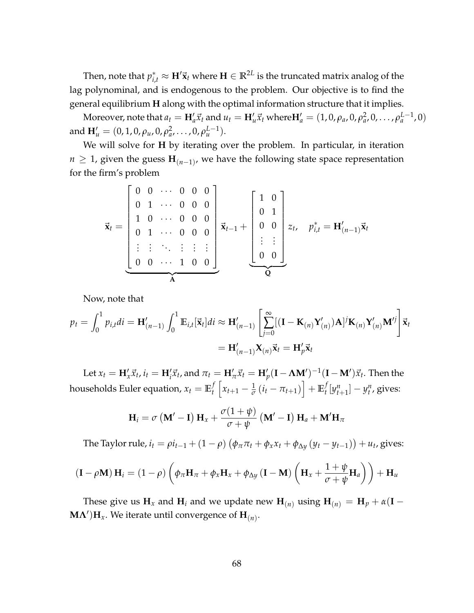Then, note that  $p_{i,t}^* \approx \mathbf{H}' \vec{\mathbf{x}}_t$  where  $\mathbf{H} \in \mathbb{R}^{2L}$  is the truncated matrix analog of the lag polynominal, and is endogenous to the problem. Our objective is to find the general equilibrium **H** along with the optimal information structure that it implies.

Moreover, note that  $a_t = H'_a \vec{x}_t$  and  $u_t = H'_u \vec{x}_t$  where  $H'_a = (1,0,\rho_a,0,\rho_a^2,0,\ldots,\rho_a^{L-1},0)$ and  $\mathbf{H}'_u = (0, 1, 0, \rho_u, 0, \rho_d^2, \dots, 0, \rho_u^{L-1}).$ 

We will solve for **H** by iterating over the problem. In particular, in iteration *n* ≥ 1, given the guess  $\mathbf{H}_{(n-1)}$ , we have the following state space representation for the firm's problem

$$
\vec{\mathbf{x}}_t = \begin{bmatrix} 0 & 0 & \cdots & 0 & 0 & 0 \\ 0 & 1 & \cdots & 0 & 0 & 0 \\ 1 & 0 & \cdots & 0 & 0 & 0 \\ 0 & 1 & \cdots & 0 & 0 & 0 \\ \vdots & \vdots & \ddots & \vdots & \vdots & \vdots \\ 0 & 0 & \cdots & 1 & 0 & 0 \end{bmatrix} \vec{\mathbf{x}}_{t-1} + \begin{bmatrix} 1 & 0 \\ 0 & 1 \\ 0 & 0 \\ \vdots & \vdots \\ 0 & 0 \end{bmatrix} z_t, \quad p_{i,t}^* = \mathbf{H}'_{(n-1)} \vec{\mathbf{x}}_t
$$

Now, note that

$$
p_t = \int_0^1 p_{i,t}di = \mathbf{H}'_{(n-1)} \int_0^1 \mathbb{E}_{i,t}[\vec{\mathbf{x}}_t]di \approx \mathbf{H}'_{(n-1)} \left[ \sum_{j=0}^\infty [(\mathbf{I} - \mathbf{K}_{(n)} \mathbf{Y}'_{(n)}) \mathbf{A}]^j \mathbf{K}_{(n)} \mathbf{Y}'_{(n)} \mathbf{M}'^j \right] \vec{\mathbf{x}}_t
$$

$$
= \mathbf{H}'_{(n-1)} \mathbf{X}_{(n)} \vec{\mathbf{x}}_t = \mathbf{H}'_p \vec{\mathbf{x}}_t
$$

Let  $x_t = \mathbf{H}_x' \vec{x}_t$ ,  $i_t = \mathbf{H}_i' \vec{x}_t$ , and  $\pi_t = \mathbf{H}_\pi' \vec{x}_t = \mathbf{H}_p' (\mathbf{I} - \mathbf{\Lambda} \mathbf{M}')^{-1} (\mathbf{I} - \mathbf{M}') \vec{x}_t$ . Then the households Euler equation,  $x_t = \mathbb{E}_t^f$  $\int_t^f \left[ x_{t+1} - \frac{1}{\sigma} \left( i_t - \pi_{t+1} \right) \right] + \mathbb{E}_t^f$ *t* [*y n*  $[y_{t+1}^n] - y_t^n$ , gives:

$$
\mathbf{H}_{i} = \sigma \left( \mathbf{M}' - \mathbf{I} \right) \mathbf{H}_{x} + \frac{\sigma (1 + \psi)}{\sigma + \psi} \left( \mathbf{M}' - \mathbf{I} \right) \mathbf{H}_{a} + \mathbf{M}' \mathbf{H}_{\pi}
$$

The Taylor rule,  $i_t = \rho i_{t-1} + (1 - \rho) (\phi_\pi \pi_t + \phi_x x_t + \phi_{\Delta y} (y_t - y_{t-1})) + u_t$ , gives:

$$
(\mathbf{I} - \rho \mathbf{M}) \mathbf{H}_i = (1 - \rho) \left( \phi_\pi \mathbf{H}_\pi + \phi_x \mathbf{H}_x + \phi_{\Delta y} (\mathbf{I} - \mathbf{M}) \left( \mathbf{H}_x + \frac{1 + \psi}{\sigma + \psi} \mathbf{H}_a \right) \right) + \mathbf{H}_u
$$

These give us  $\mathbf{H}_x$  and  $\mathbf{H}_i$  and we update new  $\mathbf{H}_{(n)}$  using  $\mathbf{H}_{(n)} = \mathbf{H}_p + \alpha(\mathbf{I} - \mathbf{I}_p)$  $\mathbf{M}\mathbf{\Lambda}'\mathbf{)}\mathbf{H}_x$ . We iterate until convergence of  $\mathbf{H}_{(n)}$ .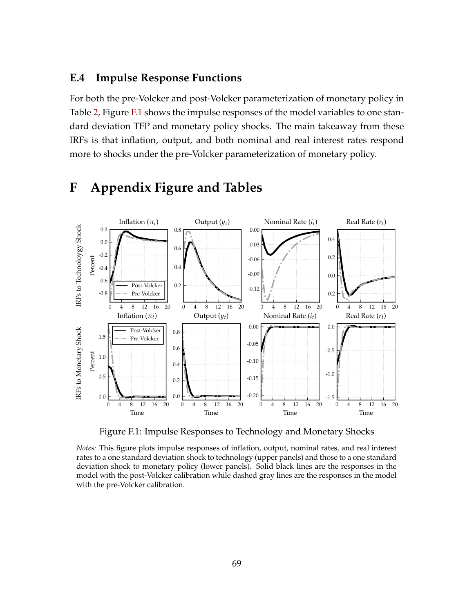### **E.4 Impulse Response Functions**

For both the pre-Volcker and post-Volcker parameterization of monetary policy in Table [2,](#page-35-0) Figure [F.1](#page-68-0) shows the impulse responses of the model variables to one standard deviation TFP and monetary policy shocks. The main takeaway from these IRFs is that inflation, output, and both nominal and real interest rates respond more to shocks under the pre-Volcker parameterization of monetary policy.

<span id="page-68-0"></span>

## **F Appendix Figure and Tables**

Figure F.1: Impulse Responses to Technology and Monetary Shocks

*Notes:* This figure plots impulse responses of inflation, output, nominal rates, and real interest rates to a one standard deviation shock to technology (upper panels) and those to a one standard deviation shock to monetary policy (lower panels). Solid black lines are the responses in the model with the post-Volcker calibration while dashed gray lines are the responses in the model with the pre-Volcker calibration.